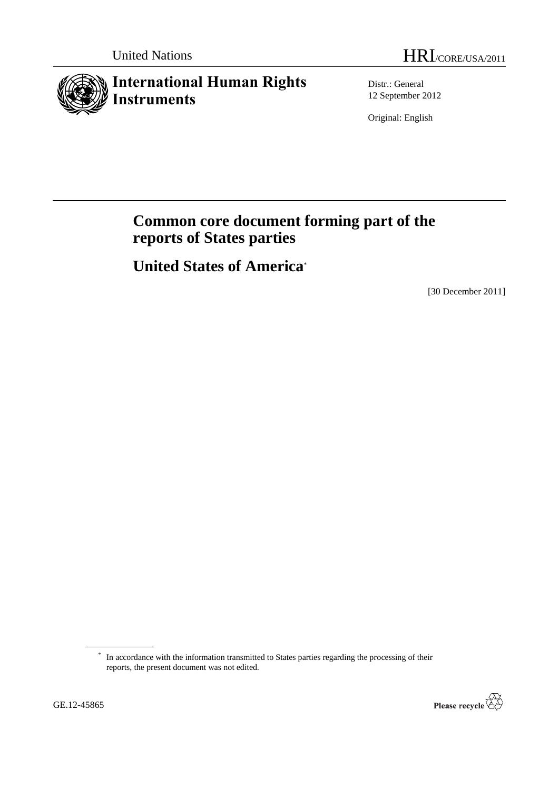# **International Human Rights Instruments**

Distr.: General 12 September 2012

Original: English

# **Common core document forming part of the reports of States parties**

**United States of America**\*

[30 December 2011]

<sup>\*</sup> In accordance with the information transmitted to States parties regarding the processing of their reports, the present document was not edited.

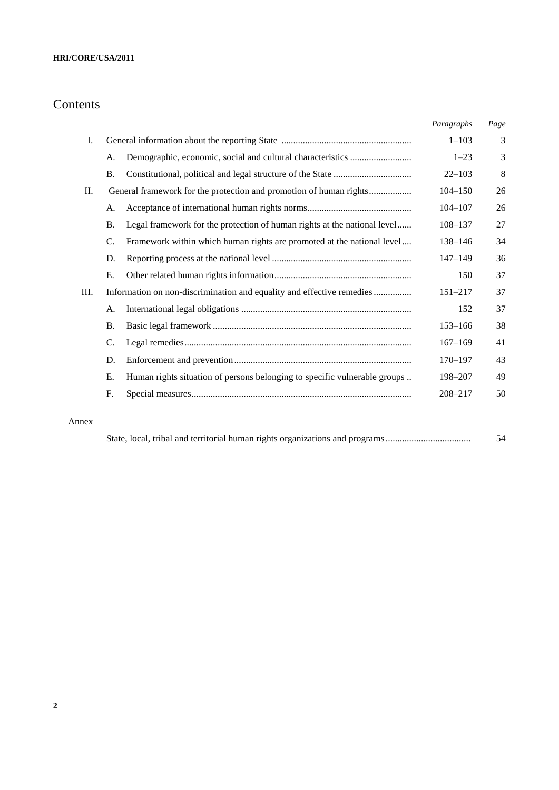# Contents

|         |           |                                                                              | Paragraphs  | Page |
|---------|-----------|------------------------------------------------------------------------------|-------------|------|
| I.      |           |                                                                              | $1 - 103$   | 3    |
|         | A.        |                                                                              | $1 - 23$    | 3    |
|         | <b>B.</b> |                                                                              | $22 - 103$  | 8    |
| $\Pi$ . |           | General framework for the protection and promotion of human rights           | $104 - 150$ | 26   |
|         | A.        |                                                                              | $104 - 107$ | 26   |
|         | <b>B.</b> | Legal framework for the protection of human rights at the national level     | 108-137     | 27   |
|         | C.        | Framework within which human rights are promoted at the national level       | 138-146     | 34   |
|         | D.        |                                                                              | $147 - 149$ | 36   |
|         | E.        |                                                                              | 150         | 37   |
| III.    |           | Information on non-discrimination and equality and effective remedies        | $151 - 217$ | 37   |
|         | А.        |                                                                              | 152         | 37   |
|         | <b>B.</b> |                                                                              | 153-166     | 38   |
|         | C.        |                                                                              | $167 - 169$ | 41   |
|         | D.        |                                                                              | 170-197     | 43   |
|         | E.        | Human rights situation of persons belonging to specific vulnerable groups    | 198-207     | 49   |
|         | F.        |                                                                              | 208-217     | 50   |
| Annex   |           |                                                                              |             |      |
|         |           | State, local, tribal and territorial human rights organizations and programs |             | 54   |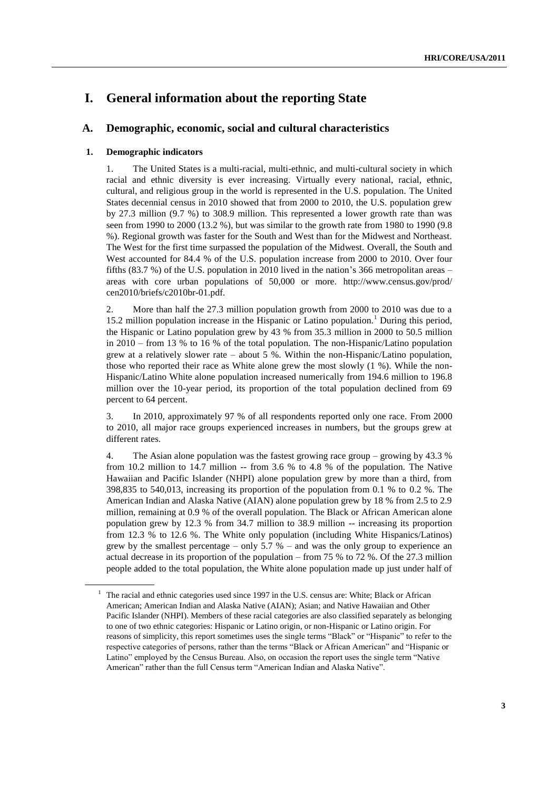# **I. General information about the reporting State**

# **A. Demographic, economic, social and cultural characteristics**

#### **1. Demographic indicators**

1. The United States is a multi-racial, multi-ethnic, and multi-cultural society in which racial and ethnic diversity is ever increasing. Virtually every national, racial, ethnic, cultural, and religious group in the world is represented in the U.S. population. The United States decennial census in 2010 showed that from 2000 to 2010, the U.S. population grew by 27.3 million (9.7 %) to 308.9 million. This represented a lower growth rate than was seen from 1990 to 2000 (13.2 %), but was similar to the growth rate from 1980 to 1990 (9.8 %). Regional growth was faster for the South and West than for the Midwest and Northeast. The West for the first time surpassed the population of the Midwest. Overall, the South and West accounted for 84.4 % of the U.S. population increase from 2000 to 2010. Over four fifths (83.7 %) of the U.S. population in 2010 lived in the nation's 366 metropolitan areas – areas with core urban populations of 50,000 or more. <http://www.census.gov/prod/> cen2010/briefs/c2010br-01.pdf.

2. More than half the 27.3 million population growth from 2000 to 2010 was due to a 15.2 million population increase in the Hispanic or Latino population.<sup>1</sup> During this period, the Hispanic or Latino population grew by 43 % from 35.3 million in 2000 to 50.5 million in 2010 – from 13 % to 16 % of the total population. The non-Hispanic/Latino population grew at a relatively slower rate – about 5 %. Within the non-Hispanic/Latino population, those who reported their race as White alone grew the most slowly (1 %). While the non-Hispanic/Latino White alone population increased numerically from 194.6 million to 196.8 million over the 10-year period, its proportion of the total population declined from 69 percent to 64 percent.

3. In 2010, approximately 97 % of all respondents reported only one race. From 2000 to 2010, all major race groups experienced increases in numbers, but the groups grew at different rates.

4. The Asian alone population was the fastest growing race group – growing by 43.3 % from 10.2 million to 14.7 million -- from 3.6 % to 4.8 % of the population. The Native Hawaiian and Pacific Islander (NHPI) alone population grew by more than a third, from 398,835 to 540,013, increasing its proportion of the population from 0.1 % to 0.2 %. The American Indian and Alaska Native (AIAN) alone population grew by 18 % from 2.5 to 2.9 million, remaining at 0.9 % of the overall population. The Black or African American alone population grew by 12.3 % from 34.7 million to 38.9 million -- increasing its proportion from 12.3 % to 12.6 %. The White only population (including White Hispanics/Latinos) grew by the smallest percentage – only  $5.7 %$  – and was the only group to experience an actual decrease in its proportion of the population – from 75 % to 72 %. Of the 27.3 million people added to the total population, the White alone population made up just under half of

 $<sup>1</sup>$  The racial and ethnic categories used since 1997 in the U.S. census are: White; Black or African</sup> American; American Indian and Alaska Native (AIAN); Asian; and Native Hawaiian and Other Pacific Islander (NHPI). Members of these racial categories are also classified separately as belonging to one of two ethnic categories: Hispanic or Latino origin, or non-Hispanic or Latino origin. For reasons of simplicity, this report sometimes uses the single terms "Black" or "Hispanic" to refer to the respective categories of persons, rather than the terms "Black or African American" and "Hispanic or Latino" employed by the Census Bureau. Also, on occasion the report uses the single term "Native" American" rather than the full Census term "American Indian and Alaska Native".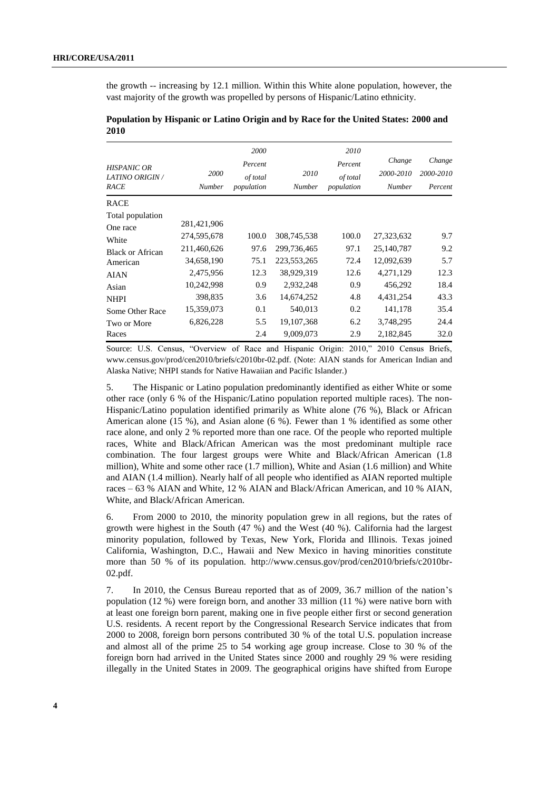the growth -- increasing by 12.1 million. Within this White alone population, however, the vast majority of the growth was propelled by persons of Hispanic/Latino ethnicity.

| <b>HISPANIC OR</b><br>LATINO ORIGIN/<br>RACE | 2000<br>Number            | 2000<br>Percent<br>of total<br>population | 2010<br>Number             | 2010<br>Percent<br>of total<br>population | Change<br>2000-2010<br>Number | Change<br>2000-2010<br>Percent |
|----------------------------------------------|---------------------------|-------------------------------------------|----------------------------|-------------------------------------------|-------------------------------|--------------------------------|
| <b>RACE</b>                                  |                           |                                           |                            |                                           |                               |                                |
| Total population<br>One race                 | 281,421,906               |                                           |                            |                                           |                               |                                |
| White                                        | 274,595,678               | 100.0                                     | 308,745,538                | 100.0                                     | 27,323,632                    | 9.7                            |
| <b>Black or African</b><br>American          | 211,460,626<br>34,658,190 | 97.6<br>75.1                              | 299,736,465<br>223,553,265 | 97.1<br>72.4                              | 25,140,787<br>12,092,639      | 9.2<br>5.7                     |
| AIAN                                         | 2,475,956                 | 12.3                                      | 38,929,319                 | 12.6                                      | 4,271,129                     | 12.3                           |
| Asian<br><b>NHPI</b>                         | 10,242,998<br>398,835     | 0.9<br>3.6                                | 2,932,248<br>14,674,252    | 0.9<br>4.8                                | 456,292<br>4,431,254          | 18.4<br>43.3                   |
| Some Other Race                              | 15,359,073                | 0.1                                       | 540,013                    | 0.2                                       | 141,178                       | 35.4                           |
| Two or More<br>Races                         | 6,826,228                 | 5.5<br>2.4                                | 19,107,368<br>9,009,073    | 6.2<br>2.9                                | 3,748,295<br>2,182,845        | 24.4<br>32.0                   |

#### **Population by Hispanic or Latino Origin and by Race for the United States: 2000 and 2010**

Source: U.S. Census, "Overview of Race and Hispanic Origin: 2010," 2010 Census Briefs, [www.census.gov/prod/cen2010/briefs/c2010br-02.pdf.](http://www.census.gov/prod/cen2010/briefs/c2010br-02.pdf) (Note: AIAN stands for American Indian and Alaska Native; NHPI stands for Native Hawaiian and Pacific Islander.)

5. The Hispanic or Latino population predominantly identified as either White or some other race (only 6 % of the Hispanic/Latino population reported multiple races). The non-Hispanic/Latino population identified primarily as White alone (76 %), Black or African American alone (15 %), and Asian alone (6 %). Fewer than 1 % identified as some other race alone, and only 2 % reported more than one race. Of the people who reported multiple races, White and Black/African American was the most predominant multiple race combination. The four largest groups were White and Black/African American (1.8 million), White and some other race (1.7 million), White and Asian (1.6 million) and White and AIAN (1.4 million). Nearly half of all people who identified as AIAN reported multiple races – 63 % AIAN and White, 12 % AIAN and Black/African American, and 10 % AIAN, White, and Black/African American.

6. From 2000 to 2010, the minority population grew in all regions, but the rates of growth were highest in the South (47 %) and the West (40 %). California had the largest minority population, followed by Texas, New York, Florida and Illinois. Texas joined California, Washington, D.C., Hawaii and New Mexico in having minorities constitute more than 50 % of its population. [http://www.census.gov/prod/cen2010/briefs/c2010br-](http://www.census.gov/prod/cen2010/briefs/c2010br-02.pdf)[02.pdf.](http://www.census.gov/prod/cen2010/briefs/c2010br-02.pdf)

7. In 2010, the Census Bureau reported that as of 2009, 36.7 million of the nation's population (12 %) were foreign born, and another 33 million (11 %) were native born with at least one foreign born parent, making one in five people either first or second generation U.S. residents. A recent report by the Congressional Research Service indicates that from 2000 to 2008, foreign born persons contributed 30 % of the total U.S. population increase and almost all of the prime 25 to 54 working age group increase. Close to 30 % of the foreign born had arrived in the United States since 2000 and roughly 29 % were residing illegally in the United States in 2009. The geographical origins have shifted from Europe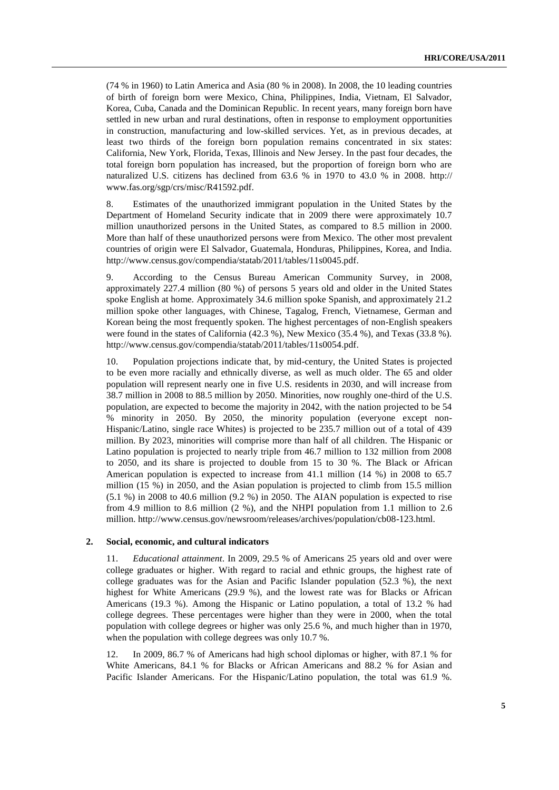(74 % in 1960) to Latin America and Asia (80 % in 2008). In 2008, the 10 leading countries of birth of foreign born were Mexico, China, Philippines, India, Vietnam, El Salvador, Korea, Cuba, Canada and the Dominican Republic. In recent years, many foreign born have settled in new urban and rural destinations, often in response to employment opportunities in construction, manufacturing and low-skilled services. Yet, as in previous decades, at least two thirds of the foreign born population remains concentrated in six states: California, New York, Florida, Texas, Illinois and New Jersey. In the past four decades, the total foreign born population has increased, but the proportion of foreign born who are naturalized U.S. citizens has declined from 63.6 % in 1970 to 43.0 % in 2008. http:// www.fas.org/sgp/crs/misc/R41592.pdf.

8. Estimates of the unauthorized immigrant population in the United States by the Department of Homeland Security indicate that in 2009 there were approximately 10.7 million unauthorized persons in the United States, as compared to 8.5 million in 2000. More than half of these unauthorized persons were from Mexico. The other most prevalent countries of origin were El Salvador, Guatemala, Honduras, Philippines, Korea, and India. [http://www.census.gov/compendia/statab/2011/tables/11s0045.pdf.](http://www.census.gov/compendia/statab/2011/tables/11s0045.pdf)

9. According to the Census Bureau American Community Survey, in 2008, approximately 227.4 million (80 %) of persons 5 years old and older in the United States spoke English at home. Approximately 34.6 million spoke Spanish, and approximately 21.2 million spoke other languages, with Chinese, Tagalog, French, Vietnamese, German and Korean being the most frequently spoken. The highest percentages of non-English speakers were found in the states of California (42.3 %), New Mexico (35.4 %), and Texas (33.8 %). [http://www.census.gov/compendia/statab/2011/tables/11s0054.pdf.](http://www.census.gov/compendia/statab/2011/tables/11s0054.pdf)

10. Population projections indicate that, by mid-century, the United States is projected to be even more racially and ethnically diverse, as well as much older. The 65 and older population will represent nearly one in five U.S. residents in 2030, and will increase from 38.7 million in 2008 to 88.5 million by 2050. Minorities, now roughly one-third of the U.S. population, are expected to become the majority in 2042, with the nation projected to be 54 % minority in 2050. By 2050, the minority population (everyone except non-Hispanic/Latino, single race Whites) is projected to be 235.7 million out of a total of 439 million. By 2023, minorities will comprise more than half of all children. The Hispanic or Latino population is projected to nearly triple from 46.7 million to 132 million from 2008 to 2050, and its share is projected to double from 15 to 30 %. The Black or African American population is expected to increase from 41.1 million (14 %) in 2008 to 65.7 million (15 %) in 2050, and the Asian population is projected to climb from 15.5 million (5.1 %) in 2008 to 40.6 million (9.2 %) in 2050. The AIAN population is expected to rise from 4.9 million to 8.6 million (2 %), and the NHPI population from 1.1 million to 2.6 million. [http://www.census.gov/newsroom/releases/archives/population/cb08-123.html.](http://www.census.gov/newsroom/releases/archives/population/cb08-123.html)

#### **2. Social, economic, and cultural indicators**

11. *Educational attainment*. In 2009, 29.5 % of Americans 25 years old and over were college graduates or higher. With regard to racial and ethnic groups, the highest rate of college graduates was for the Asian and Pacific Islander population (52.3 %), the next highest for White Americans (29.9 %), and the lowest rate was for Blacks or African Americans (19.3 %). Among the Hispanic or Latino population, a total of 13.2 % had college degrees. These percentages were higher than they were in 2000, when the total population with college degrees or higher was only 25.6 %, and much higher than in 1970, when the population with college degrees was only 10.7 %.

12. In 2009, 86.7 % of Americans had high school diplomas or higher, with 87.1 % for White Americans, 84.1 % for Blacks or African Americans and 88.2 % for Asian and Pacific Islander Americans. For the Hispanic/Latino population, the total was 61.9 %.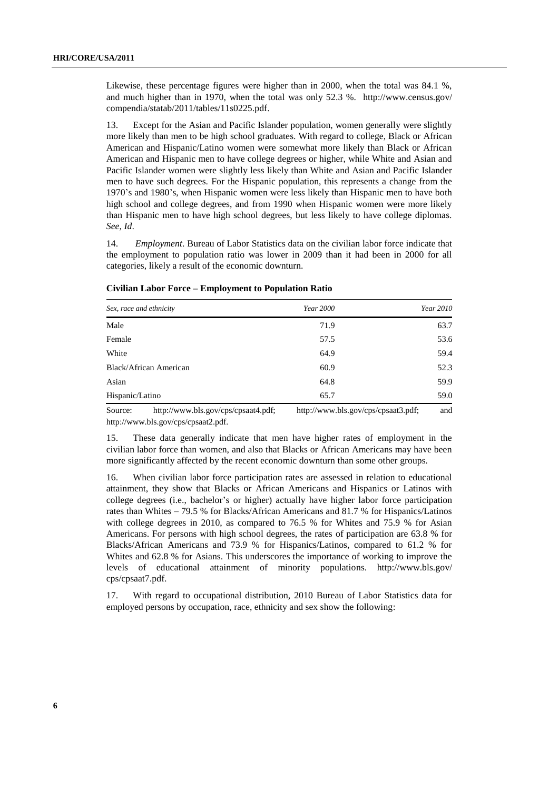Likewise, these percentage figures were higher than in 2000, when the total was 84.1 %, and much higher than in 1970, when the total was only 52.3 %. <http://www.census.gov/> compendia/statab/2011/tables/11s0225.pdf.

13. Except for the Asian and Pacific Islander population, women generally were slightly more likely than men to be high school graduates. With regard to college, Black or African American and Hispanic/Latino women were somewhat more likely than Black or African American and Hispanic men to have college degrees or higher, while White and Asian and Pacific Islander women were slightly less likely than White and Asian and Pacific Islander men to have such degrees. For the Hispanic population, this represents a change from the 1970's and 1980's, when Hispanic women were less likely than Hispanic men to have both high school and college degrees, and from 1990 when Hispanic women were more likely than Hispanic men to have high school degrees, but less likely to have college diplomas. *See*, *Id*.

14. *Employment*. Bureau of Labor Statistics data on the civilian labor force indicate that the employment to population ratio was lower in 2009 than it had been in 2000 for all categories, likely a result of the economic downturn.

| Year 2000 | Year 2010 |
|-----------|-----------|
| 71.9      | 63.7      |
| 57.5      | 53.6      |
| 64.9      | 59.4      |
| 60.9      | 52.3      |
| 64.8      | 59.9      |
| 65.7      | 59.0      |
|           |           |

#### **Civilian Labor Force – Employment to Population Ratio**

Source: [http://www.bls.gov/cps/cpsaat4.pdf;](http://www.bls.gov/cps/cpsaat4.pdf) [http://www.bls.gov/cps/cpsaat3.pdf;](http://www.bls.gov/cps/cpsaat3.pdf) and [http://www.bls.gov/cps/cpsaat2.pdf.](http://www.bls.gov/cps/cpsaat2.pdf)

15. These data generally indicate that men have higher rates of employment in the civilian labor force than women, and also that Blacks or African Americans may have been more significantly affected by the recent economic downturn than some other groups.

16. When civilian labor force participation rates are assessed in relation to educational attainment, they show that Blacks or African Americans and Hispanics or Latinos with college degrees (i.e., bachelor's or higher) actually have higher labor force participation rates than Whites – 79.5 % for Blacks/African Americans and 81.7 % for Hispanics/Latinos with college degrees in 2010, as compared to 76.5 % for Whites and 75.9 % for Asian Americans. For persons with high school degrees, the rates of participation are 63.8 % for Blacks/African Americans and 73.9 % for Hispanics/Latinos, compared to 61.2 % for Whites and 62.8 % for Asians. This underscores the importance of working to improve the levels of educational attainment of minority populations. <http://www.bls.gov/> cps/cpsaat7.pdf.

17. With regard to occupational distribution, 2010 Bureau of Labor Statistics data for employed persons by occupation, race, ethnicity and sex show the following: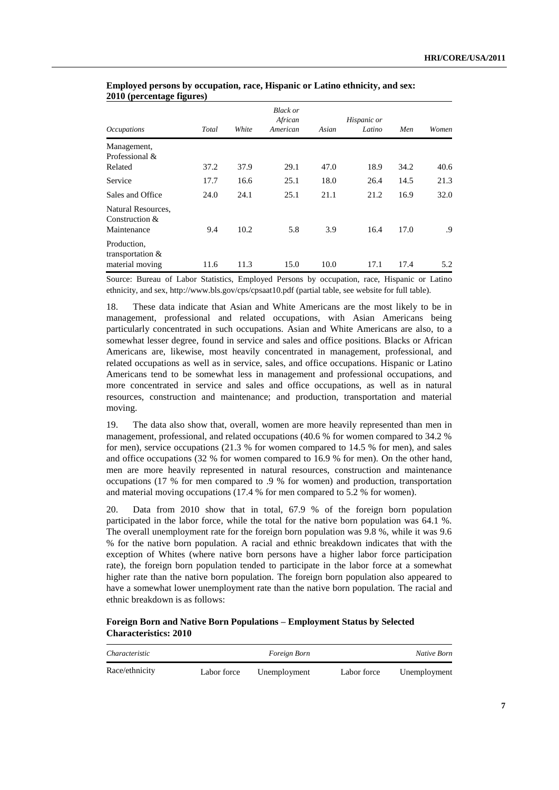| <i>Occupations</i>                                  | Total | White | <b>Black or</b><br>African<br>American | Asian | Hispanic or<br>Latino | Men  | Women |
|-----------------------------------------------------|-------|-------|----------------------------------------|-------|-----------------------|------|-------|
| Management,<br>Professional &<br>Related            | 37.2  | 37.9  | 29.1                                   | 47.0  | 18.9                  | 34.2 | 40.6  |
| Service                                             | 17.7  | 16.6  | 25.1                                   | 18.0  | 26.4                  | 14.5 | 21.3  |
| Sales and Office                                    | 24.0  | 24.1  | 25.1                                   | 21.1  | 21.2                  | 16.9 | 32.0  |
| Natural Resources,<br>Construction &<br>Maintenance | 9.4   | 10.2  | 5.8                                    | 3.9   | 16.4                  | 17.0 | .9    |
| Production,<br>transportation &<br>material moving  | 11.6  | 11.3  | 15.0                                   | 10.0  | 17.1                  | 17.4 | 5.2   |

#### **Employed persons by occupation, race, Hispanic or Latino ethnicity, and sex: 2010 (percentage figures)**

Source: Bureau of Labor Statistics, Employed Persons by occupation, race, Hispanic or Latino ethnicity, and sex,<http://www.bls.gov/cps/cpsaat10.pdf> (partial table, see website for full table).

18. These data indicate that Asian and White Americans are the most likely to be in management, professional and related occupations, with Asian Americans being particularly concentrated in such occupations. Asian and White Americans are also, to a somewhat lesser degree, found in service and sales and office positions. Blacks or African Americans are, likewise, most heavily concentrated in management, professional, and related occupations as well as in service, sales, and office occupations. Hispanic or Latino Americans tend to be somewhat less in management and professional occupations, and more concentrated in service and sales and office occupations, as well as in natural resources, construction and maintenance; and production, transportation and material moving.

19. The data also show that, overall, women are more heavily represented than men in management, professional, and related occupations (40.6 % for women compared to 34.2 % for men), service occupations (21.3 % for women compared to 14.5 % for men), and sales and office occupations (32 % for women compared to 16.9 % for men). On the other hand, men are more heavily represented in natural resources, construction and maintenance occupations (17 % for men compared to .9 % for women) and production, transportation and material moving occupations (17.4 % for men compared to 5.2 % for women).

20. Data from 2010 show that in total, 67.9 % of the foreign born population participated in the labor force, while the total for the native born population was 64.1 %. The overall unemployment rate for the foreign born population was 9.8 %, while it was 9.6 % for the native born population. A racial and ethnic breakdown indicates that with the exception of Whites (where native born persons have a higher labor force participation rate), the foreign born population tended to participate in the labor force at a somewhat higher rate than the native born population. The foreign born population also appeared to have a somewhat lower unemployment rate than the native born population. The racial and ethnic breakdown is as follows:

## **Foreign Born and Native Born Populations – Employment Status by Selected Characteristics: 2010**

| Characteristic |             | Foreign Born |             | Native Born  |
|----------------|-------------|--------------|-------------|--------------|
| Race/ethnicity | Labor force | Unemployment | Labor force | Unemployment |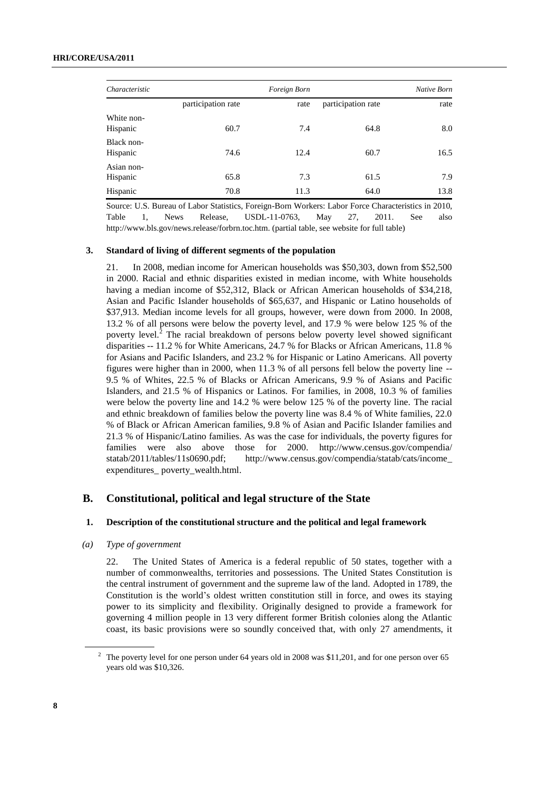| Characteristic         |                    | Foreign Born |                    | Native Born |
|------------------------|--------------------|--------------|--------------------|-------------|
|                        | participation rate | rate         | participation rate | rate        |
| White non-<br>Hispanic | 60.7               | 7.4          | 64.8               | 8.0         |
| Black non-<br>Hispanic | 74.6               | 12.4         | 60.7               | 16.5        |
| Asian non-<br>Hispanic | 65.8               | 7.3          | 61.5               | 7.9         |
| Hispanic               | 70.8               | 11.3         | 64.0               | 13.8        |

Source: U.S. Bureau of Labor Statistics, Foreign-Born Workers: Labor Force Characteristics in 2010, Table 1, News Release, USDL-11-0763, May 27, 2011. See also [http://www.bls.gov/news.release/forbrn.toc.htm.](http://www.bls.gov/news.release/forbrn.toc.htm) (partial table, see website for full table)

#### **3. Standard of living of different segments of the population**

21. In 2008, median income for American households was \$50,303, down from \$52,500 in 2000. Racial and ethnic disparities existed in median income, with White households having a median income of \$52,312, Black or African American households of \$34,218, Asian and Pacific Islander households of \$65,637, and Hispanic or Latino households of \$37,913. Median income levels for all groups, however, were down from 2000. In 2008, 13.2 % of all persons were below the poverty level, and 17.9 % were below 125 % of the poverty level. $<sup>2</sup>$  The racial breakdown of persons below poverty level showed significant</sup> disparities -- 11.2 % for White Americans, 24.7 % for Blacks or African Americans, 11.8 % for Asians and Pacific Islanders, and 23.2 % for Hispanic or Latino Americans. All poverty figures were higher than in 2000, when 11.3 % of all persons fell below the poverty line -- 9.5 % of Whites, 22.5 % of Blacks or African Americans, 9.9 % of Asians and Pacific Islanders, and 21.5 % of Hispanics or Latinos. For families, in 2008, 10.3 % of families were below the poverty line and 14.2 % were below 125 % of the poverty line. The racial and ethnic breakdown of families below the poverty line was 8.4 % of White families, 22.0 % of Black or African American families, 9.8 % of Asian and Pacific Islander families and 21.3 % of Hispanic/Latino families. As was the case for individuals, the poverty figures for families were also above those for 2000. <http://www.census.gov/compendia/> statab/2011/tables/11s0690.pdf; [http://www.census.gov/compendia/statab/cats/income\\_](http://www.census.gov/compendia/statab/cats/income_%0bexpenditures_) [expenditures\\_](http://www.census.gov/compendia/statab/cats/income_%0bexpenditures_) poverty\_wealth.html.

# **B. Constitutional, political and legal structure of the State**

#### **1. Description of the constitutional structure and the political and legal framework**

#### *(a) Type of government*

22. The United States of America is a federal republic of 50 states, together with a number of commonwealths, territories and possessions. The United States Constitution is the central instrument of government and the supreme law of the land. Adopted in 1789, the Constitution is the world's oldest written constitution still in force, and owes its staying power to its simplicity and flexibility. Originally designed to provide a framework for governing 4 million people in 13 very different former British colonies along the Atlantic coast, its basic provisions were so soundly conceived that, with only 27 amendments, it

<sup>&</sup>lt;sup>2</sup> The poverty level for one person under 64 years old in 2008 was \$11,201, and for one person over 65 years old was \$10,326.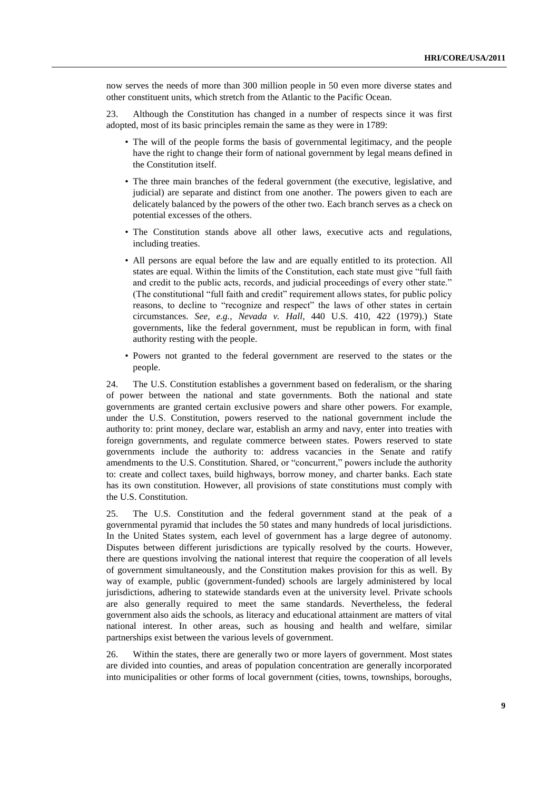now serves the needs of more than 300 million people in 50 even more diverse states and other constituent units, which stretch from the Atlantic to the Pacific Ocean.

23. Although the Constitution has changed in a number of respects since it was first adopted, most of its basic principles remain the same as they were in 1789:

- The will of the people forms the basis of governmental legitimacy, and the people have the right to change their form of national government by legal means defined in the Constitution itself.
- The three main branches of the federal government (the executive, legislative, and judicial) are separate and distinct from one another. The powers given to each are delicately balanced by the powers of the other two. Each branch serves as a check on potential excesses of the others.
- The Constitution stands above all other laws, executive acts and regulations, including treaties.
- All persons are equal before the law and are equally entitled to its protection. All states are equal. Within the limits of the Constitution, each state must give "full faith" and credit to the public acts, records, and judicial proceedings of every other state." (The constitutional "full faith and credit" requirement allows states, for public policy reasons, to decline to "recognize and respect" the laws of other states in certain circumstances. *See*, *e.g.*, *Nevada v. Hall*, 440 U.S. 410, 422 (1979).) State governments, like the federal government, must be republican in form, with final authority resting with the people.
- Powers not granted to the federal government are reserved to the states or the people.

24. The U.S. Constitution establishes a government based on federalism, or the sharing of power between the national and state governments. Both the national and state governments are granted certain exclusive powers and share other powers. For example, under the U.S. Constitution, powers reserved to the national government include the authority to: print money, declare war, establish an army and navy, enter into treaties with foreign governments, and regulate commerce between states. Powers reserved to state governments include the authority to: address vacancies in the Senate and ratify amendments to the U.S. Constitution. Shared, or "concurrent," powers include the authority to: create and collect taxes, build highways, borrow money, and charter banks. Each state has its own constitution. However, all provisions of state constitutions must comply with the U.S. Constitution.

25. The U.S. Constitution and the federal government stand at the peak of a governmental pyramid that includes the 50 states and many hundreds of local jurisdictions. In the United States system, each level of government has a large degree of autonomy. Disputes between different jurisdictions are typically resolved by the courts. However, there are questions involving the national interest that require the cooperation of all levels of government simultaneously, and the Constitution makes provision for this as well. By way of example, public (government-funded) schools are largely administered by local jurisdictions, adhering to statewide standards even at the university level. Private schools are also generally required to meet the same standards. Nevertheless, the federal government also aids the schools, as literacy and educational attainment are matters of vital national interest. In other areas, such as housing and health and welfare, similar partnerships exist between the various levels of government.

26. Within the states, there are generally two or more layers of government. Most states are divided into counties, and areas of population concentration are generally incorporated into municipalities or other forms of local government (cities, towns, townships, boroughs,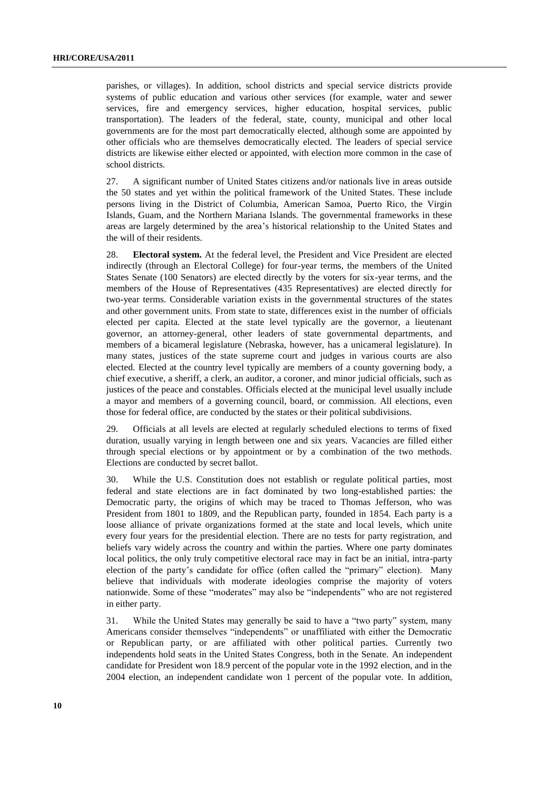parishes, or villages). In addition, school districts and special service districts provide systems of public education and various other services (for example, water and sewer services, fire and emergency services, higher education, hospital services, public transportation). The leaders of the federal, state, county, municipal and other local governments are for the most part democratically elected, although some are appointed by other officials who are themselves democratically elected. The leaders of special service districts are likewise either elected or appointed, with election more common in the case of school districts.

27. A significant number of United States citizens and/or nationals live in areas outside the 50 states and yet within the political framework of the United States. These include persons living in the District of Columbia, American Samoa, Puerto Rico, the Virgin Islands, Guam, and the Northern Mariana Islands. The governmental frameworks in these areas are largely determined by the area's historical relationship to the United States and the will of their residents.

28. **Electoral system.** At the federal level, the President and Vice President are elected indirectly (through an Electoral College) for four-year terms, the members of the United States Senate (100 Senators) are elected directly by the voters for six-year terms, and the members of the House of Representatives (435 Representatives) are elected directly for two-year terms. Considerable variation exists in the governmental structures of the states and other government units. From state to state, differences exist in the number of officials elected per capita. Elected at the state level typically are the governor, a lieutenant governor, an attorney-general, other leaders of state governmental departments, and members of a bicameral legislature (Nebraska, however, has a unicameral legislature). In many states, justices of the state supreme court and judges in various courts are also elected. Elected at the country level typically are members of a county governing body, a chief executive, a sheriff, a clerk, an auditor, a coroner, and minor judicial officials, such as justices of the peace and constables. Officials elected at the municipal level usually include a mayor and members of a governing council, board, or commission. All elections, even those for federal office, are conducted by the states or their political subdivisions.

29. Officials at all levels are elected at regularly scheduled elections to terms of fixed duration, usually varying in length between one and six years. Vacancies are filled either through special elections or by appointment or by a combination of the two methods. Elections are conducted by secret ballot.

30. While the U.S. Constitution does not establish or regulate political parties, most federal and state elections are in fact dominated by two long-established parties: the Democratic party, the origins of which may be traced to Thomas Jefferson, who was President from 1801 to 1809, and the Republican party, founded in 1854. Each party is a loose alliance of private organizations formed at the state and local levels, which unite every four years for the presidential election. There are no tests for party registration, and beliefs vary widely across the country and within the parties. Where one party dominates local politics, the only truly competitive electoral race may in fact be an initial, intra-party election of the party's candidate for office (often called the "primary" election). Many believe that individuals with moderate ideologies comprise the majority of voters nationwide. Some of these "moderates" may also be "independents" who are not registered in either party.

31. While the United States may generally be said to have a "two party" system, many Americans consider themselves "independents" or unaffiliated with either the Democratic or Republican party, or are affiliated with other political parties. Currently two independents hold seats in the United States Congress, both in the Senate. An independent candidate for President won 18.9 percent of the popular vote in the 1992 election, and in the 2004 election, an independent candidate won 1 percent of the popular vote. In addition,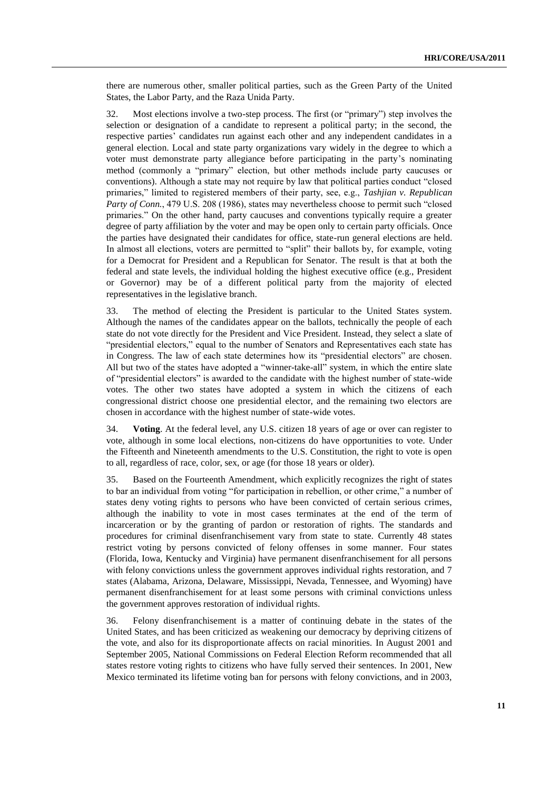there are numerous other, smaller political parties, such as the Green Party of the United States, the Labor Party, and the Raza Unida Party.

32. Most elections involve a two-step process. The first (or "primary") step involves the selection or designation of a candidate to represent a political party; in the second, the respective parties' candidates run against each other and any independent candidates in a general election. Local and state party organizations vary widely in the degree to which a voter must demonstrate party allegiance before participating in the party's nominating method (commonly a "primary" election, but other methods include party caucuses or conventions). Although a state may not require by law that political parties conduct "closed" primaries,‖ limited to registered members of their party, see, e.g., *Tashjian v. Republican*  Party of Conn., 479 U.S. 208 (1986), states may nevertheless choose to permit such "closed primaries.‖ On the other hand, party caucuses and conventions typically require a greater degree of party affiliation by the voter and may be open only to certain party officials. Once the parties have designated their candidates for office, state-run general elections are held. In almost all elections, voters are permitted to "split" their ballots by, for example, voting for a Democrat for President and a Republican for Senator. The result is that at both the federal and state levels, the individual holding the highest executive office (e.g., President or Governor) may be of a different political party from the majority of elected representatives in the legislative branch.

33. The method of electing the President is particular to the United States system. Although the names of the candidates appear on the ballots, technically the people of each state do not vote directly for the President and Vice President. Instead, they select a slate of "presidential electors," equal to the number of Senators and Representatives each state has in Congress. The law of each state determines how its "presidential electors" are chosen. All but two of the states have adopted a "winner-take-all" system, in which the entire slate of "presidential electors" is awarded to the candidate with the highest number of state-wide votes. The other two states have adopted a system in which the citizens of each congressional district choose one presidential elector, and the remaining two electors are chosen in accordance with the highest number of state-wide votes.

34. **Voting**. At the federal level, any U.S. citizen 18 years of age or over can register to vote, although in some local elections, non-citizens do have opportunities to vote. Under the Fifteenth and Nineteenth amendments to the U.S. Constitution, the right to vote is open to all, regardless of race, color, sex, or age (for those 18 years or older).

35. Based on the Fourteenth Amendment, which explicitly recognizes the right of states to bar an individual from voting "for participation in rebellion, or other crime," a number of states deny voting rights to persons who have been convicted of certain serious crimes, although the inability to vote in most cases terminates at the end of the term of incarceration or by the granting of pardon or restoration of rights. The standards and procedures for criminal disenfranchisement vary from state to state. Currently 48 states restrict voting by persons convicted of felony offenses in some manner. Four states (Florida, Iowa, Kentucky and Virginia) have permanent disenfranchisement for all persons with felony convictions unless the government approves individual rights restoration, and 7 states (Alabama, Arizona, Delaware, Mississippi, Nevada, Tennessee, and Wyoming) have permanent disenfranchisement for at least some persons with criminal convictions unless the government approves restoration of individual rights.

36. Felony disenfranchisement is a matter of continuing debate in the states of the United States, and has been criticized as weakening our democracy by depriving citizens of the vote, and also for its disproportionate affects on racial minorities. In August 2001 and September 2005, National Commissions on Federal Election Reform recommended that all states restore voting rights to citizens who have fully served their sentences. In 2001, New Mexico terminated its lifetime voting ban for persons with felony convictions, and in 2003,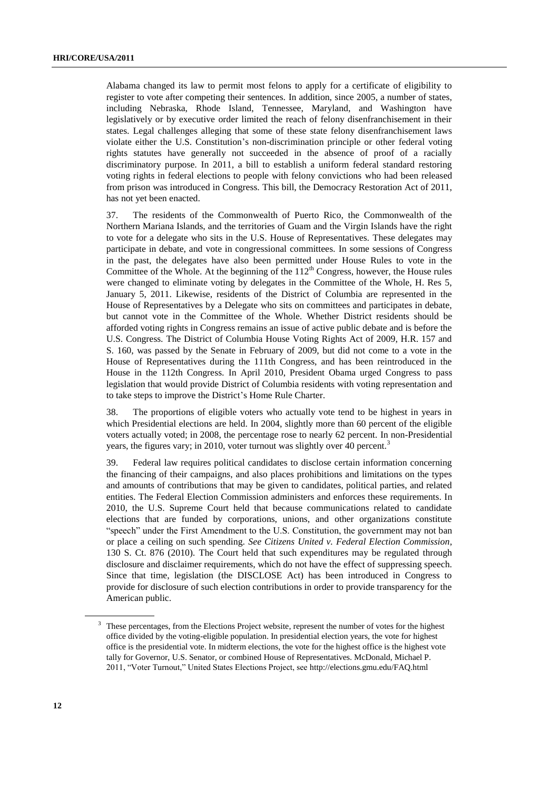Alabama changed its law to permit most felons to apply for a certificate of eligibility to register to vote after competing their sentences. In addition, since 2005, a number of states, including Nebraska, Rhode Island, Tennessee, Maryland, and Washington have legislatively or by executive order limited the reach of felony disenfranchisement in their states. Legal challenges alleging that some of these state felony disenfranchisement laws violate either the U.S. Constitution's non-discrimination principle or other federal voting rights statutes have generally not succeeded in the absence of proof of a racially discriminatory purpose. In 2011, a bill to establish a uniform federal standard restoring voting rights in federal elections to people with felony convictions who had been released from prison was introduced in Congress. This bill, the Democracy Restoration Act of 2011, has not yet been enacted.

37. The residents of the Commonwealth of Puerto Rico, the Commonwealth of the Northern Mariana Islands, and the territories of Guam and the Virgin Islands have the right to vote for a delegate who sits in the U.S. House of Representatives. These delegates may participate in debate, and vote in congressional committees. In some sessions of Congress in the past, the delegates have also been permitted under House Rules to vote in the Committee of the Whole. At the beginning of the  $112<sup>th</sup>$  Congress, however, the House rules were changed to eliminate voting by delegates in the Committee of the Whole, H. Res 5, January 5, 2011. Likewise, residents of the District of Columbia are represented in the House of Representatives by a Delegate who sits on committees and participates in debate, but cannot vote in the Committee of the Whole. Whether District residents should be afforded voting rights in Congress remains an issue of active public debate and is before the U.S. Congress. The District of Columbia House Voting Rights Act of 2009, H.R. 157 and S. 160, was passed by the Senate in February of 2009, but did not come to a vote in the House of Representatives during the 111th Congress, and has been reintroduced in the House in the 112th Congress. In April 2010, President Obama urged Congress to pass legislation that would provide District of Columbia residents with voting representation and to take steps to improve the District's Home Rule Charter.

38. The proportions of eligible voters who actually vote tend to be highest in years in which Presidential elections are held. In 2004, slightly more than 60 percent of the eligible voters actually voted; in 2008, the percentage rose to nearly 62 percent. In non-Presidential years, the figures vary; in 2010, voter turnout was slightly over 40 percent.<sup>3</sup>

39. Federal law requires political candidates to disclose certain information concerning the financing of their campaigns, and also places prohibitions and limitations on the types and amounts of contributions that may be given to candidates, political parties, and related entities. The Federal Election Commission administers and enforces these requirements. In 2010, the U.S. Supreme Court held that because communications related to candidate elections that are funded by corporations, unions, and other organizations constitute ―speech‖ under the First Amendment to the U.S. Constitution, the government may not ban or place a ceiling on such spending. *See Citizens United v. Federal Election Commission*, 130 S. Ct. 876 (2010). The Court held that such expenditures may be regulated through disclosure and disclaimer requirements, which do not have the effect of suppressing speech. Since that time, legislation (the DISCLOSE Act) has been introduced in Congress to provide for disclosure of such election contributions in order to provide transparency for the American public.

<sup>&</sup>lt;sup>3</sup> These percentages, from the Elections Project website, represent the number of votes for the highest office divided by the voting-eligible population. In presidential election years, the vote for highest office is the presidential vote. In midterm elections, the vote for the highest office is the highest vote tally for Governor, U.S. Senator, or combined House of Representatives. McDonald, Michael P. 2011, "Voter Turnout," United States Elections Project, see<http://elections.gmu.edu/FAQ.html>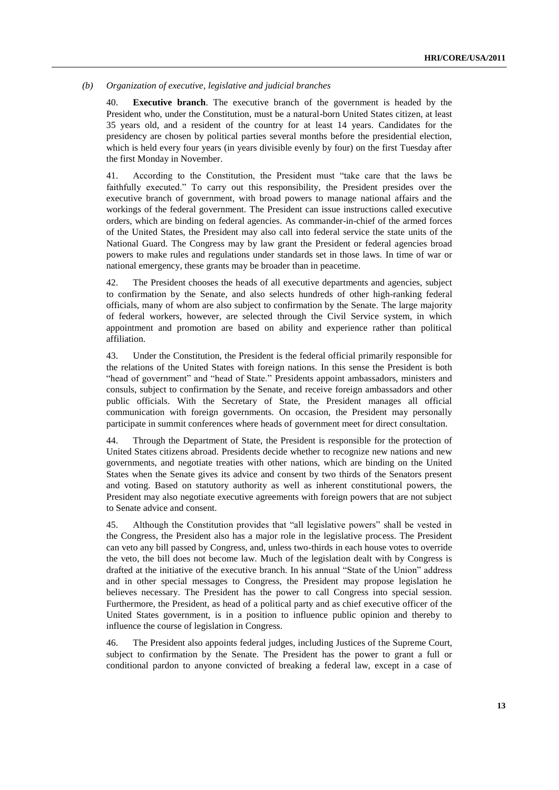#### *(b) Organization of executive, legislative and judicial branches*

40. **Executive branch**. The executive branch of the government is headed by the President who, under the Constitution, must be a natural-born United States citizen, at least 35 years old, and a resident of the country for at least 14 years. Candidates for the presidency are chosen by political parties several months before the presidential election, which is held every four years (in years divisible evenly by four) on the first Tuesday after the first Monday in November.

41. According to the Constitution, the President must "take care that the laws be faithfully executed." To carry out this responsibility, the President presides over the executive branch of government, with broad powers to manage national affairs and the workings of the federal government. The President can issue instructions called executive orders, which are binding on federal agencies. As commander-in-chief of the armed forces of the United States, the President may also call into federal service the state units of the National Guard. The Congress may by law grant the President or federal agencies broad powers to make rules and regulations under standards set in those laws. In time of war or national emergency, these grants may be broader than in peacetime.

42. The President chooses the heads of all executive departments and agencies, subject to confirmation by the Senate, and also selects hundreds of other high-ranking federal officials, many of whom are also subject to confirmation by the Senate. The large majority of federal workers, however, are selected through the Civil Service system, in which appointment and promotion are based on ability and experience rather than political affiliation.

43. Under the Constitution, the President is the federal official primarily responsible for the relations of the United States with foreign nations. In this sense the President is both "head of government" and "head of State." Presidents appoint ambassadors, ministers and consuls, subject to confirmation by the Senate, and receive foreign ambassadors and other public officials. With the Secretary of State, the President manages all official communication with foreign governments. On occasion, the President may personally participate in summit conferences where heads of government meet for direct consultation.

44. Through the Department of State, the President is responsible for the protection of United States citizens abroad. Presidents decide whether to recognize new nations and new governments, and negotiate treaties with other nations, which are binding on the United States when the Senate gives its advice and consent by two thirds of the Senators present and voting. Based on statutory authority as well as inherent constitutional powers, the President may also negotiate executive agreements with foreign powers that are not subject to Senate advice and consent.

45. Although the Constitution provides that "all legislative powers" shall be vested in the Congress, the President also has a major role in the legislative process. The President can veto any bill passed by Congress, and, unless two-thirds in each house votes to override the veto, the bill does not become law. Much of the legislation dealt with by Congress is drafted at the initiative of the executive branch. In his annual "State of the Union" address and in other special messages to Congress, the President may propose legislation he believes necessary. The President has the power to call Congress into special session. Furthermore, the President, as head of a political party and as chief executive officer of the United States government, is in a position to influence public opinion and thereby to influence the course of legislation in Congress.

46. The President also appoints federal judges, including Justices of the Supreme Court, subject to confirmation by the Senate. The President has the power to grant a full or conditional pardon to anyone convicted of breaking a federal law, except in a case of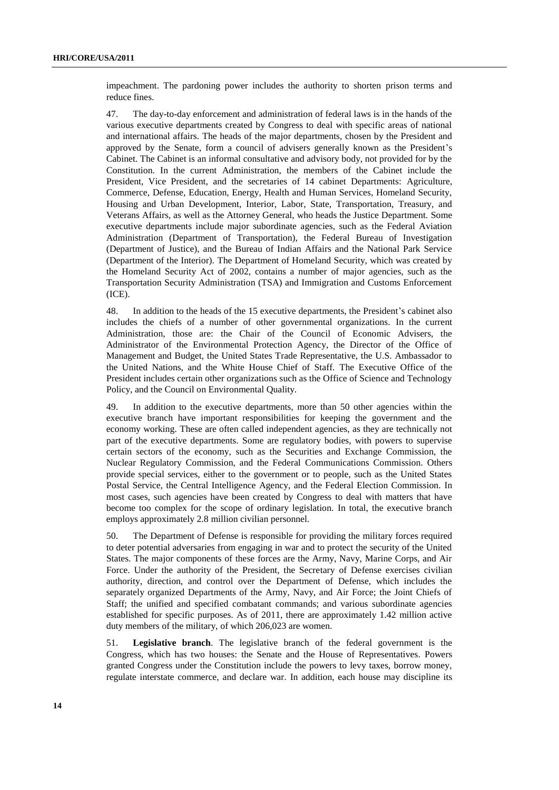impeachment. The pardoning power includes the authority to shorten prison terms and reduce fines.

47. The day-to-day enforcement and administration of federal laws is in the hands of the various executive departments created by Congress to deal with specific areas of national and international affairs. The heads of the major departments, chosen by the President and approved by the Senate, form a council of advisers generally known as the President's Cabinet. The Cabinet is an informal consultative and advisory body, not provided for by the Constitution. In the current Administration, the members of the Cabinet include the President, Vice President, and the secretaries of 14 cabinet Departments: Agriculture, Commerce, Defense, Education, Energy, Health and Human Services, Homeland Security, Housing and Urban Development, Interior, Labor, State, Transportation, Treasury, and Veterans Affairs, as well as the Attorney General, who heads the Justice Department. Some executive departments include major subordinate agencies, such as the Federal Aviation Administration (Department of Transportation), the Federal Bureau of Investigation (Department of Justice), and the Bureau of Indian Affairs and the National Park Service (Department of the Interior). The Department of Homeland Security, which was created by the Homeland Security Act of 2002, contains a number of major agencies, such as the Transportation Security Administration (TSA) and Immigration and Customs Enforcement (ICE).

48. In addition to the heads of the 15 executive departments, the President's cabinet also includes the chiefs of a number of other governmental organizations. In the current Administration, those are: the Chair of the Council of Economic Advisers, the Administrator of the Environmental Protection Agency, the Director of the Office of Management and Budget, the United States Trade Representative, the U.S. Ambassador to the United Nations, and the White House Chief of Staff. The Executive Office of the President includes certain other organizations such as the Office of Science and Technology Policy, and the Council on Environmental Quality.

49. In addition to the executive departments, more than 50 other agencies within the executive branch have important responsibilities for keeping the government and the economy working. These are often called independent agencies, as they are technically not part of the executive departments. Some are regulatory bodies, with powers to supervise certain sectors of the economy, such as the Securities and Exchange Commission, the Nuclear Regulatory Commission, and the Federal Communications Commission. Others provide special services, either to the government or to people, such as the United States Postal Service, the Central Intelligence Agency, and the Federal Election Commission. In most cases, such agencies have been created by Congress to deal with matters that have become too complex for the scope of ordinary legislation. In total, the executive branch employs approximately 2.8 million civilian personnel.

50. The Department of Defense is responsible for providing the military forces required to deter potential adversaries from engaging in war and to protect the security of the United States. The major components of these forces are the Army, Navy, Marine Corps, and Air Force. Under the authority of the President, the Secretary of Defense exercises civilian authority, direction, and control over the Department of Defense, which includes the separately organized Departments of the Army, Navy, and Air Force; the Joint Chiefs of Staff; the unified and specified combatant commands; and various subordinate agencies established for specific purposes. As of 2011, there are approximately 1.42 million active duty members of the military, of which 206,023 are women.

51. **Legislative branch**. The legislative branch of the federal government is the Congress, which has two houses: the Senate and the House of Representatives. Powers granted Congress under the Constitution include the powers to levy taxes, borrow money, regulate interstate commerce, and declare war. In addition, each house may discipline its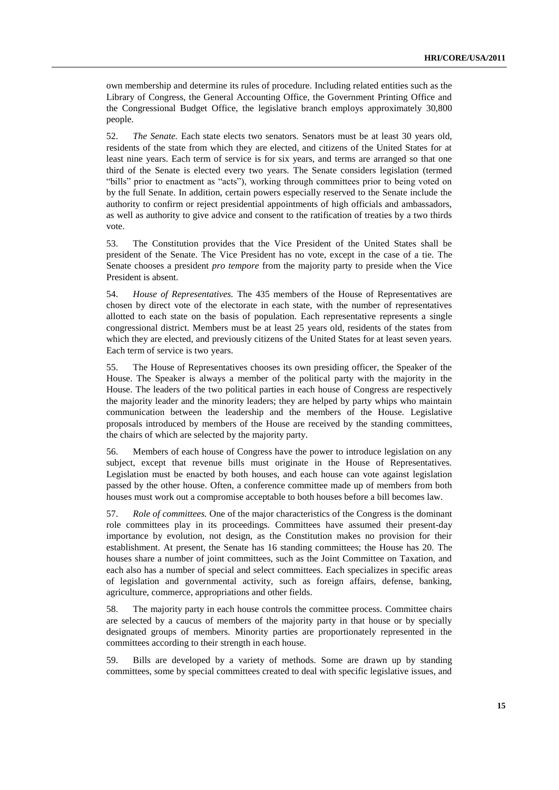own membership and determine its rules of procedure. Including related entities such as the Library of Congress, the General Accounting Office, the Government Printing Office and the Congressional Budget Office, the legislative branch employs approximately 30,800 people.

52. *The Senate.* Each state elects two senators. Senators must be at least 30 years old, residents of the state from which they are elected, and citizens of the United States for at least nine years. Each term of service is for six years, and terms are arranged so that one third of the Senate is elected every two years. The Senate considers legislation (termed "bills" prior to enactment as "acts"), working through committees prior to being voted on by the full Senate. In addition, certain powers especially reserved to the Senate include the authority to confirm or reject presidential appointments of high officials and ambassadors, as well as authority to give advice and consent to the ratification of treaties by a two thirds vote.

53. The Constitution provides that the Vice President of the United States shall be president of the Senate. The Vice President has no vote, except in the case of a tie. The Senate chooses a president *pro tempore* from the majority party to preside when the Vice President is absent.

54. *House of Representatives.* The 435 members of the House of Representatives are chosen by direct vote of the electorate in each state, with the number of representatives allotted to each state on the basis of population. Each representative represents a single congressional district. Members must be at least 25 years old, residents of the states from which they are elected, and previously citizens of the United States for at least seven years. Each term of service is two years.

55. The House of Representatives chooses its own presiding officer, the Speaker of the House. The Speaker is always a member of the political party with the majority in the House. The leaders of the two political parties in each house of Congress are respectively the majority leader and the minority leaders; they are helped by party whips who maintain communication between the leadership and the members of the House. Legislative proposals introduced by members of the House are received by the standing committees, the chairs of which are selected by the majority party.

56. Members of each house of Congress have the power to introduce legislation on any subject, except that revenue bills must originate in the House of Representatives. Legislation must be enacted by both houses, and each house can vote against legislation passed by the other house. Often, a conference committee made up of members from both houses must work out a compromise acceptable to both houses before a bill becomes law.

57. *Role of committees.* One of the major characteristics of the Congress is the dominant role committees play in its proceedings. Committees have assumed their present-day importance by evolution, not design, as the Constitution makes no provision for their establishment. At present, the Senate has 16 standing committees; the House has 20. The houses share a number of joint committees, such as the Joint Committee on Taxation, and each also has a number of special and select committees. Each specializes in specific areas of legislation and governmental activity, such as foreign affairs, defense, banking, agriculture, commerce, appropriations and other fields.

58. The majority party in each house controls the committee process. Committee chairs are selected by a caucus of members of the majority party in that house or by specially designated groups of members. Minority parties are proportionately represented in the committees according to their strength in each house.

59. Bills are developed by a variety of methods. Some are drawn up by standing committees, some by special committees created to deal with specific legislative issues, and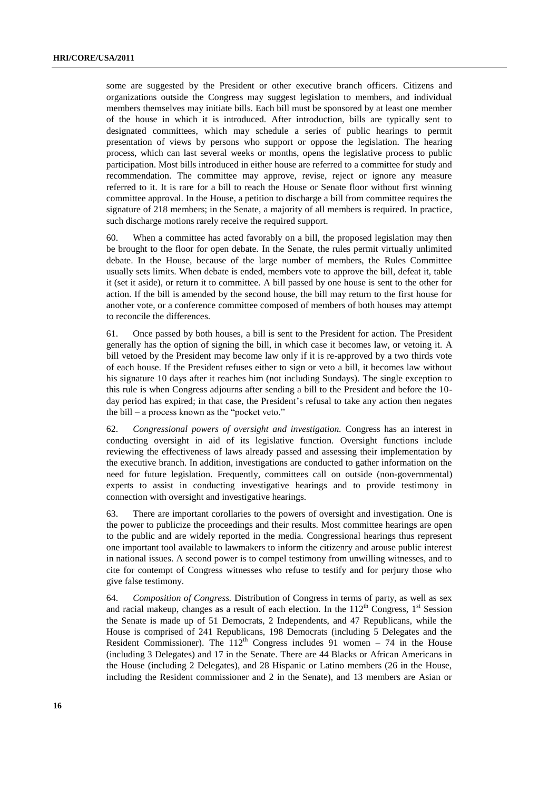some are suggested by the President or other executive branch officers. Citizens and organizations outside the Congress may suggest legislation to members, and individual members themselves may initiate bills. Each bill must be sponsored by at least one member of the house in which it is introduced. After introduction, bills are typically sent to designated committees, which may schedule a series of public hearings to permit presentation of views by persons who support or oppose the legislation. The hearing process, which can last several weeks or months, opens the legislative process to public participation. Most bills introduced in either house are referred to a committee for study and recommendation. The committee may approve, revise, reject or ignore any measure referred to it. It is rare for a bill to reach the House or Senate floor without first winning committee approval. In the House, a petition to discharge a bill from committee requires the signature of 218 members; in the Senate, a majority of all members is required. In practice, such discharge motions rarely receive the required support.

60. When a committee has acted favorably on a bill, the proposed legislation may then be brought to the floor for open debate. In the Senate, the rules permit virtually unlimited debate. In the House, because of the large number of members, the Rules Committee usually sets limits. When debate is ended, members vote to approve the bill, defeat it, table it (set it aside), or return it to committee. A bill passed by one house is sent to the other for action. If the bill is amended by the second house, the bill may return to the first house for another vote, or a conference committee composed of members of both houses may attempt to reconcile the differences.

61. Once passed by both houses, a bill is sent to the President for action. The President generally has the option of signing the bill, in which case it becomes law, or vetoing it. A bill vetoed by the President may become law only if it is re-approved by a two thirds vote of each house. If the President refuses either to sign or veto a bill, it becomes law without his signature 10 days after it reaches him (not including Sundays). The single exception to this rule is when Congress adjourns after sending a bill to the President and before the 10 day period has expired; in that case, the President's refusal to take any action then negates the bill – a process known as the "pocket veto."

62. *Congressional powers of oversight and investigation.* Congress has an interest in conducting oversight in aid of its legislative function. Oversight functions include reviewing the effectiveness of laws already passed and assessing their implementation by the executive branch. In addition, investigations are conducted to gather information on the need for future legislation. Frequently, committees call on outside (non-governmental) experts to assist in conducting investigative hearings and to provide testimony in connection with oversight and investigative hearings.

63. There are important corollaries to the powers of oversight and investigation. One is the power to publicize the proceedings and their results. Most committee hearings are open to the public and are widely reported in the media. Congressional hearings thus represent one important tool available to lawmakers to inform the citizenry and arouse public interest in national issues. A second power is to compel testimony from unwilling witnesses, and to cite for contempt of Congress witnesses who refuse to testify and for perjury those who give false testimony.

64. *Composition of Congress.* Distribution of Congress in terms of party, as well as sex and racial makeup, changes as a result of each election. In the  $112<sup>th</sup>$  Congress,  $1<sup>st</sup>$  Session the Senate is made up of 51 Democrats, 2 Independents, and 47 Republicans, while the House is comprised of 241 Republicans, 198 Democrats (including 5 Delegates and the Resident Commissioner). The  $112<sup>th</sup>$  Congress includes 91 women – 74 in the House (including 3 Delegates) and 17 in the Senate. There are 44 Blacks or African Americans in the House (including 2 Delegates), and 28 Hispanic or Latino members (26 in the House, including the Resident commissioner and 2 in the Senate), and 13 members are Asian or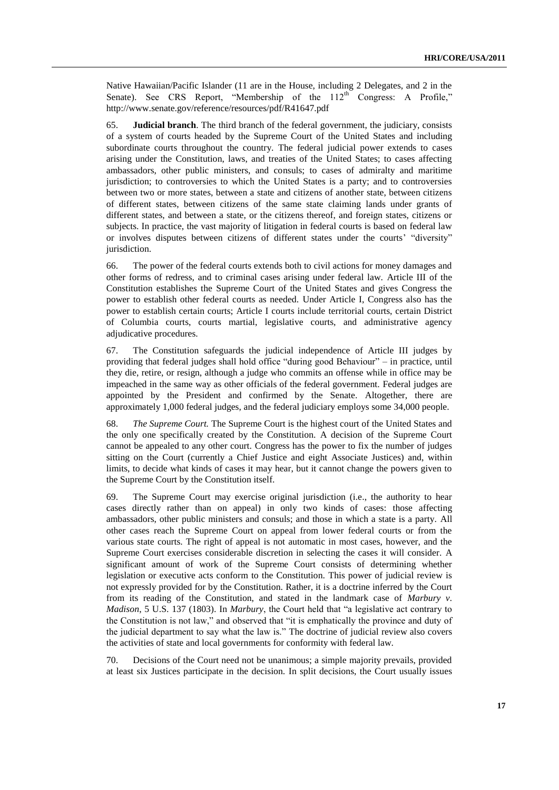Native Hawaiian/Pacific Islander (11 are in the House, including 2 Delegates, and 2 in the Senate). See CRS Report, "Membership of the  $112<sup>th</sup>$  Congress: A Profile," <http://www.senate.gov/reference/resources/pdf/R41647.pdf>

65. **Judicial branch**. The third branch of the federal government, the judiciary, consists of a system of courts headed by the Supreme Court of the United States and including subordinate courts throughout the country. The federal judicial power extends to cases arising under the Constitution, laws, and treaties of the United States; to cases affecting ambassadors, other public ministers, and consuls; to cases of admiralty and maritime jurisdiction; to controversies to which the United States is a party; and to controversies between two or more states, between a state and citizens of another state, between citizens of different states, between citizens of the same state claiming lands under grants of different states, and between a state, or the citizens thereof, and foreign states, citizens or subjects. In practice, the vast majority of litigation in federal courts is based on federal law or involves disputes between citizens of different states under the courts' "diversity" jurisdiction.

66. The power of the federal courts extends both to civil actions for money damages and other forms of redress, and to criminal cases arising under federal law. Article III of the Constitution establishes the Supreme Court of the United States and gives Congress the power to establish other federal courts as needed. Under Article I, Congress also has the power to establish certain courts; Article I courts include territorial courts, certain District of Columbia courts, courts martial, legislative courts, and administrative agency adjudicative procedures.

67. The Constitution safeguards the judicial independence of Article III judges by providing that federal judges shall hold office "during good Behaviour" – in practice, until they die, retire, or resign, although a judge who commits an offense while in office may be impeached in the same way as other officials of the federal government. Federal judges are appointed by the President and confirmed by the Senate. Altogether, there are approximately 1,000 federal judges, and the federal judiciary employs some 34,000 people.

68. *The Supreme Court.* The Supreme Court is the highest court of the United States and the only one specifically created by the Constitution. A decision of the Supreme Court cannot be appealed to any other court. Congress has the power to fix the number of judges sitting on the Court (currently a Chief Justice and eight Associate Justices) and, within limits, to decide what kinds of cases it may hear, but it cannot change the powers given to the Supreme Court by the Constitution itself.

69. The Supreme Court may exercise original jurisdiction (i.e., the authority to hear cases directly rather than on appeal) in only two kinds of cases: those affecting ambassadors, other public ministers and consuls; and those in which a state is a party. All other cases reach the Supreme Court on appeal from lower federal courts or from the various state courts. The right of appeal is not automatic in most cases, however, and the Supreme Court exercises considerable discretion in selecting the cases it will consider. A significant amount of work of the Supreme Court consists of determining whether legislation or executive acts conform to the Constitution. This power of judicial review is not expressly provided for by the Constitution. Rather, it is a doctrine inferred by the Court from its reading of the Constitution, and stated in the landmark case of *Marbury v. Madison*, 5 U.S. 137 (1803). In *Marbury*, the Court held that "a legislative act contrary to the Constitution is not law," and observed that "it is emphatically the province and duty of the judicial department to say what the law is." The doctrine of judicial review also covers the activities of state and local governments for conformity with federal law.

70. Decisions of the Court need not be unanimous; a simple majority prevails, provided at least six Justices participate in the decision. In split decisions, the Court usually issues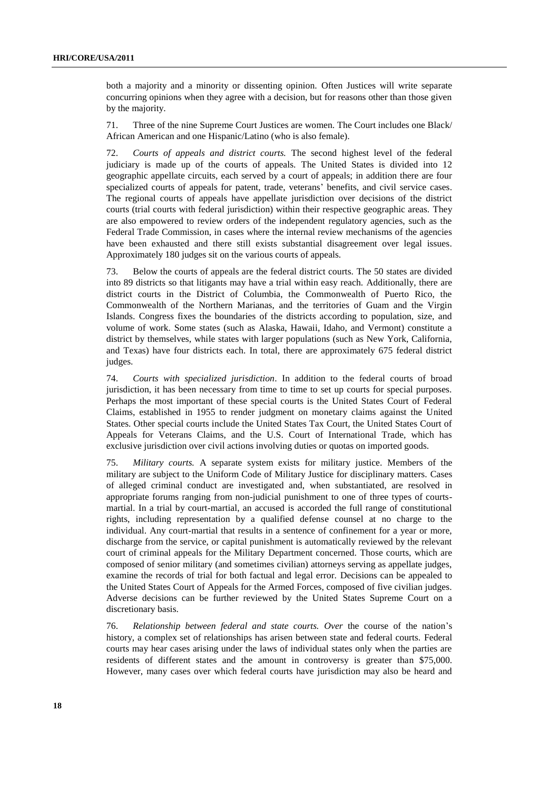both a majority and a minority or dissenting opinion. Often Justices will write separate concurring opinions when they agree with a decision, but for reasons other than those given by the majority.

71. Three of the nine Supreme Court Justices are women. The Court includes one Black/ African American and one Hispanic/Latino (who is also female).

72. *Courts of appeals and district courts.* The second highest level of the federal judiciary is made up of the courts of appeals. The United States is divided into 12 geographic appellate circuits, each served by a court of appeals; in addition there are four specialized courts of appeals for patent, trade, veterans' benefits, and civil service cases. The regional courts of appeals have appellate jurisdiction over decisions of the district courts (trial courts with federal jurisdiction) within their respective geographic areas. They are also empowered to review orders of the independent regulatory agencies, such as the Federal Trade Commission, in cases where the internal review mechanisms of the agencies have been exhausted and there still exists substantial disagreement over legal issues. Approximately 180 judges sit on the various courts of appeals.

73. Below the courts of appeals are the federal district courts. The 50 states are divided into 89 districts so that litigants may have a trial within easy reach. Additionally, there are district courts in the District of Columbia, the Commonwealth of Puerto Rico, the Commonwealth of the Northern Marianas, and the territories of Guam and the Virgin Islands. Congress fixes the boundaries of the districts according to population, size, and volume of work. Some states (such as Alaska, Hawaii, Idaho, and Vermont) constitute a district by themselves, while states with larger populations (such as New York, California, and Texas) have four districts each. In total, there are approximately 675 federal district judges.

74. *Courts with specialized jurisdiction*. In addition to the federal courts of broad jurisdiction, it has been necessary from time to time to set up courts for special purposes. Perhaps the most important of these special courts is the United States Court of Federal Claims, established in 1955 to render judgment on monetary claims against the United States. Other special courts include the United States Tax Court, the United States Court of Appeals for Veterans Claims, and the U.S. Court of International Trade, which has exclusive jurisdiction over civil actions involving duties or quotas on imported goods.

75. *Military courts.* A separate system exists for military justice. Members of the military are subject to the Uniform Code of Military Justice for disciplinary matters. Cases of alleged criminal conduct are investigated and, when substantiated, are resolved in appropriate forums ranging from non-judicial punishment to one of three types of courtsmartial. In a trial by court-martial, an accused is accorded the full range of constitutional rights, including representation by a qualified defense counsel at no charge to the individual. Any court-martial that results in a sentence of confinement for a year or more, discharge from the service, or capital punishment is automatically reviewed by the relevant court of criminal appeals for the Military Department concerned. Those courts, which are composed of senior military (and sometimes civilian) attorneys serving as appellate judges, examine the records of trial for both factual and legal error. Decisions can be appealed to the United States Court of Appeals for the Armed Forces, composed of five civilian judges. Adverse decisions can be further reviewed by the United States Supreme Court on a discretionary basis.

76. *Relationship between federal and state courts. Over* the course of the nation's history, a complex set of relationships has arisen between state and federal courts. Federal courts may hear cases arising under the laws of individual states only when the parties are residents of different states and the amount in controversy is greater than \$75,000. However, many cases over which federal courts have jurisdiction may also be heard and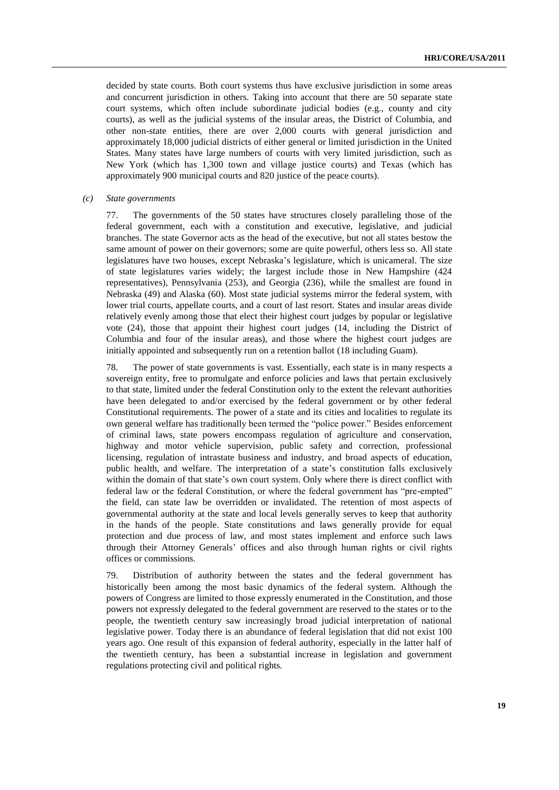decided by state courts. Both court systems thus have exclusive jurisdiction in some areas and concurrent jurisdiction in others. Taking into account that there are 50 separate state court systems, which often include subordinate judicial bodies (e.g., county and city courts), as well as the judicial systems of the insular areas, the District of Columbia, and other non-state entities, there are over 2,000 courts with general jurisdiction and approximately 18,000 judicial districts of either general or limited jurisdiction in the United States. Many states have large numbers of courts with very limited jurisdiction, such as New York (which has 1,300 town and village justice courts) and Texas (which has approximately 900 municipal courts and 820 justice of the peace courts).

#### *(c) State governments*

77. The governments of the 50 states have structures closely paralleling those of the federal government, each with a constitution and executive, legislative, and judicial branches. The state Governor acts as the head of the executive, but not all states bestow the same amount of power on their governors; some are quite powerful, others less so. All state legislatures have two houses, except Nebraska's legislature, which is unicameral. The size of state legislatures varies widely; the largest include those in New Hampshire (424 representatives), Pennsylvania (253), and Georgia (236), while the smallest are found in Nebraska (49) and Alaska (60). Most state judicial systems mirror the federal system, with lower trial courts, appellate courts, and a court of last resort. States and insular areas divide relatively evenly among those that elect their highest court judges by popular or legislative vote (24), those that appoint their highest court judges (14, including the District of Columbia and four of the insular areas), and those where the highest court judges are initially appointed and subsequently run on a retention ballot (18 including Guam).

78. The power of state governments is vast. Essentially, each state is in many respects a sovereign entity, free to promulgate and enforce policies and laws that pertain exclusively to that state, limited under the federal Constitution only to the extent the relevant authorities have been delegated to and/or exercised by the federal government or by other federal Constitutional requirements. The power of a state and its cities and localities to regulate its own general welfare has traditionally been termed the "police power." Besides enforcement of criminal laws, state powers encompass regulation of agriculture and conservation, highway and motor vehicle supervision, public safety and correction, professional licensing, regulation of intrastate business and industry, and broad aspects of education, public health, and welfare. The interpretation of a state's constitution falls exclusively within the domain of that state's own court system. Only where there is direct conflict with federal law or the federal Constitution, or where the federal government has "pre-empted" the field, can state law be overridden or invalidated. The retention of most aspects of governmental authority at the state and local levels generally serves to keep that authority in the hands of the people. State constitutions and laws generally provide for equal protection and due process of law, and most states implement and enforce such laws through their Attorney Generals' offices and also through human rights or civil rights offices or commissions.

79. Distribution of authority between the states and the federal government has historically been among the most basic dynamics of the federal system. Although the powers of Congress are limited to those expressly enumerated in the Constitution, and those powers not expressly delegated to the federal government are reserved to the states or to the people, the twentieth century saw increasingly broad judicial interpretation of national legislative power. Today there is an abundance of federal legislation that did not exist 100 years ago. One result of this expansion of federal authority, especially in the latter half of the twentieth century, has been a substantial increase in legislation and government regulations protecting civil and political rights.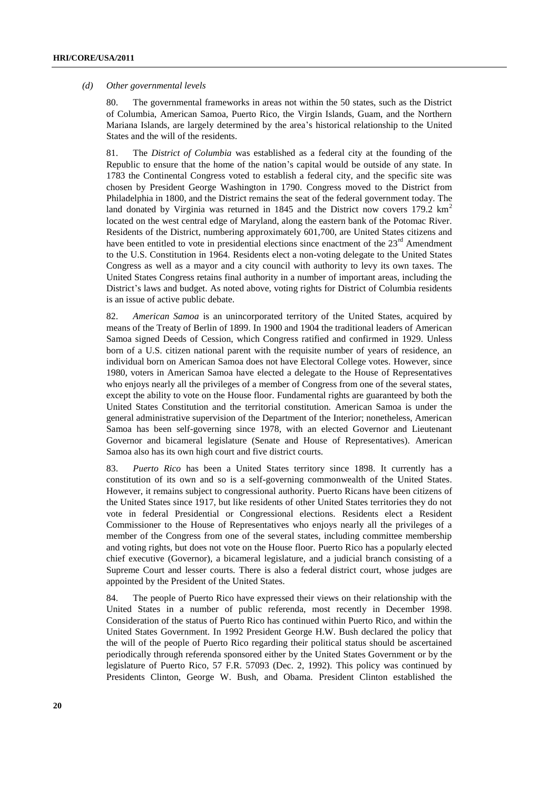#### *(d) Other governmental levels*

80. The governmental frameworks in areas not within the 50 states, such as the District of Columbia, American Samoa, Puerto Rico, the Virgin Islands, Guam, and the Northern Mariana Islands, are largely determined by the area's historical relationship to the United States and the will of the residents.

81. The *District of Columbia* was established as a federal city at the founding of the Republic to ensure that the home of the nation's capital would be outside of any state. In 1783 the Continental Congress voted to establish a federal city, and the specific site was chosen by President George Washington in 1790. Congress moved to the District from Philadelphia in 1800, and the District remains the seat of the federal government today. The land donated by Virginia was returned in 1845 and the District now covers 179.2  $km<sup>2</sup>$ located on the west central edge of Maryland, along the eastern bank of the Potomac River. Residents of the District, numbering approximately 601,700, are United States citizens and have been entitled to vote in presidential elections since enactment of the  $23<sup>rd</sup>$  Amendment to the U.S. Constitution in 1964. Residents elect a non-voting delegate to the United States Congress as well as a mayor and a city council with authority to levy its own taxes. The United States Congress retains final authority in a number of important areas, including the District's laws and budget. As noted above, voting rights for District of Columbia residents is an issue of active public debate.

82. *American Samoa* is an unincorporated territory of the United States, acquired by means of the Treaty of Berlin of 1899. In 1900 and 1904 the traditional leaders of American Samoa signed Deeds of Cession, which Congress ratified and confirmed in 1929. Unless born of a U.S. citizen national parent with the requisite number of years of residence, an individual born on American Samoa does not have Electoral College votes. However, since 1980, voters in American Samoa have elected a delegate to the House of Representatives who enjoys nearly all the privileges of a member of Congress from one of the several states, except the ability to vote on the House floor. Fundamental rights are guaranteed by both the United States Constitution and the territorial constitution. American Samoa is under the general administrative supervision of the Department of the Interior; nonetheless, American Samoa has been self-governing since 1978, with an elected Governor and Lieutenant Governor and bicameral legislature (Senate and House of Representatives). American Samoa also has its own high court and five district courts.

83. *Puerto Rico* has been a United States territory since 1898. It currently has a constitution of its own and so is a self-governing commonwealth of the United States. However, it remains subject to congressional authority. Puerto Ricans have been citizens of the United States since 1917, but like residents of other United States territories they do not vote in federal Presidential or Congressional elections. Residents elect a Resident Commissioner to the House of Representatives who enjoys nearly all the privileges of a member of the Congress from one of the several states, including committee membership and voting rights, but does not vote on the House floor. Puerto Rico has a popularly elected chief executive (Governor), a bicameral legislature, and a judicial branch consisting of a Supreme Court and lesser courts. There is also a federal district court, whose judges are appointed by the President of the United States.

84. The people of Puerto Rico have expressed their views on their relationship with the United States in a number of public referenda, most recently in December 1998. Consideration of the status of Puerto Rico has continued within Puerto Rico, and within the United States Government. In 1992 President George H.W. Bush declared the policy that the will of the people of Puerto Rico regarding their political status should be ascertained periodically through referenda sponsored either by the United States Government or by the legislature of Puerto Rico, 57 F.R. 57093 (Dec. 2, 1992). This policy was continued by Presidents Clinton, George W. Bush, and Obama. President Clinton established the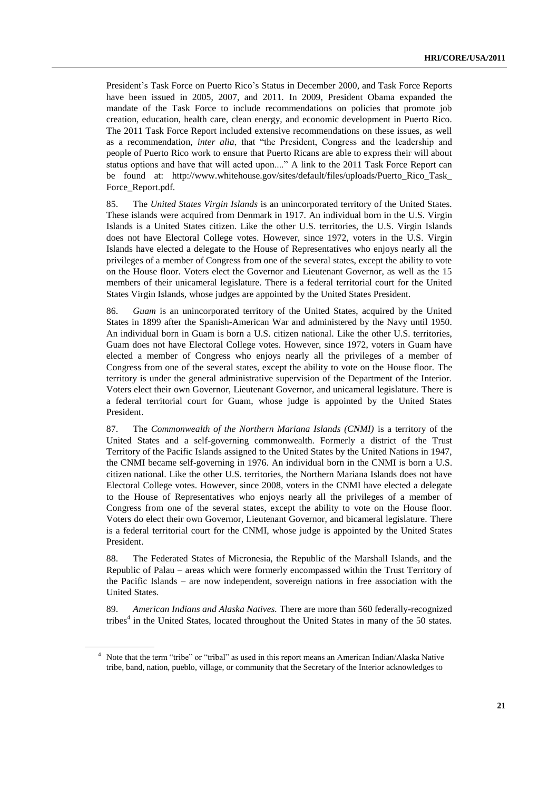President's Task Force on Puerto Rico's Status in December 2000, and Task Force Reports have been issued in 2005, 2007, and 2011. In 2009, President Obama expanded the mandate of the Task Force to include recommendations on policies that promote job creation, education, health care, clean energy, and economic development in Puerto Rico. The 2011 Task Force Report included extensive recommendations on these issues, as well as a recommendation, *inter alia*, that "the President, Congress and the leadership and people of Puerto Rico work to ensure that Puerto Ricans are able to express their will about status options and have that will acted upon...." A link to the 2011 Task Force Report can be found at: [http://www.whitehouse.gov/sites/default/files/uploads/Puerto\\_Rico\\_Task\\_](http://www.whitehouse.gov/sites/default/files/uploads/Puerto_Rico_Task_%20Force_Report.pdf)  [Force\\_Report.pdf.](http://www.whitehouse.gov/sites/default/files/uploads/Puerto_Rico_Task_%20Force_Report.pdf)

85. The *United States Virgin Islands* is an unincorporated territory of the United States. These islands were acquired from Denmark in 1917. An individual born in the U.S. Virgin Islands is a United States citizen. Like the other U.S. territories, the U.S. Virgin Islands does not have Electoral College votes. However, since 1972, voters in the U.S. Virgin Islands have elected a delegate to the House of Representatives who enjoys nearly all the privileges of a member of Congress from one of the several states, except the ability to vote on the House floor. Voters elect the Governor and Lieutenant Governor, as well as the 15 members of their unicameral legislature. There is a federal territorial court for the United States Virgin Islands, whose judges are appointed by the United States President.

86. *Guam* is an unincorporated territory of the United States, acquired by the United States in 1899 after the Spanish-American War and administered by the Navy until 1950. An individual born in Guam is born a U.S. citizen national. Like the other U.S. territories, Guam does not have Electoral College votes. However, since 1972, voters in Guam have elected a member of Congress who enjoys nearly all the privileges of a member of Congress from one of the several states, except the ability to vote on the House floor. The territory is under the general administrative supervision of the Department of the Interior. Voters elect their own Governor, Lieutenant Governor, and unicameral legislature. There is a federal territorial court for Guam, whose judge is appointed by the United States President.

87. The *Commonwealth of the Northern Mariana Islands (CNMI)* is a territory of the United States and a self-governing commonwealth. Formerly a district of the Trust Territory of the Pacific Islands assigned to the United States by the United Nations in 1947, the CNMI became self-governing in 1976. An individual born in the CNMI is born a U.S. citizen national. Like the other U.S. territories, the Northern Mariana Islands does not have Electoral College votes. However, since 2008, voters in the CNMI have elected a delegate to the House of Representatives who enjoys nearly all the privileges of a member of Congress from one of the several states, except the ability to vote on the House floor. Voters do elect their own Governor, Lieutenant Governor, and bicameral legislature. There is a federal territorial court for the CNMI, whose judge is appointed by the United States President.

88. The Federated States of Micronesia, the Republic of the Marshall Islands, and the Republic of Palau – areas which were formerly encompassed within the Trust Territory of the Pacific Islands – are now independent, sovereign nations in free association with the United States.

89. *American Indians and Alaska Natives.* There are more than 560 federally-recognized tribes<sup>4</sup> in the United States, located throughout the United States in many of the 50 states.

<sup>&</sup>lt;sup>4</sup> Note that the term "tribe" or "tribal" as used in this report means an American Indian/Alaska Native tribe, band, nation, pueblo, village, or community that the Secretary of the Interior acknowledges to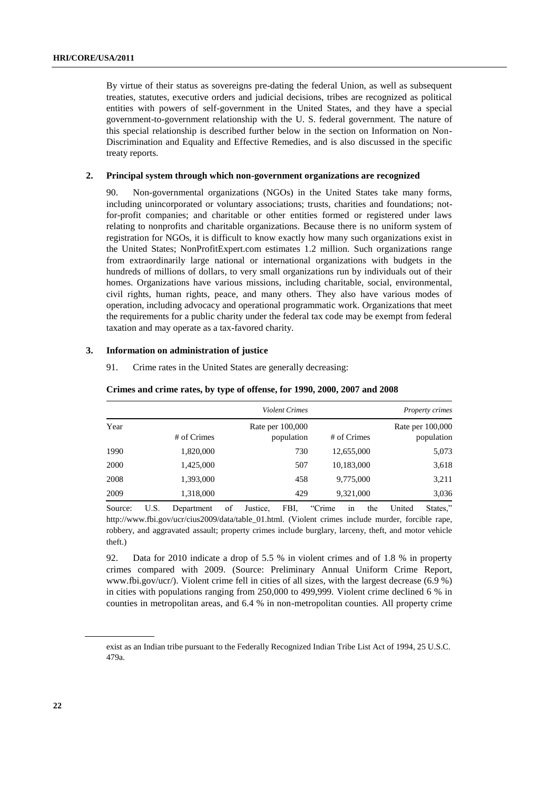By virtue of their status as sovereigns pre-dating the federal Union, as well as subsequent treaties, statutes, executive orders and judicial decisions, tribes are recognized as political entities with powers of self-government in the United States, and they have a special government-to-government relationship with the U. S. federal government. The nature of this special relationship is described further below in the section on Information on Non-Discrimination and Equality and Effective Remedies, and is also discussed in the specific treaty reports.

#### **2. Principal system through which non-government organizations are recognized**

90. Non-governmental organizations (NGOs) in the United States take many forms, including unincorporated or voluntary associations; trusts, charities and foundations; notfor-profit companies; and charitable or other entities formed or registered under laws relating to nonprofits and charitable organizations. Because there is no uniform system of registration for NGOs, it is difficult to know exactly how many such organizations exist in the United States; NonProfitExpert.com estimates 1.2 million. Such organizations range from extraordinarily large national or international organizations with budgets in the hundreds of millions of dollars, to very small organizations run by individuals out of their homes. Organizations have various missions, including charitable, social, environmental, civil rights, human rights, peace, and many others. They also have various modes of operation, including advocacy and operational programmatic work. Organizations that meet the requirements for a public charity under the federal tax code may be exempt from federal taxation and may operate as a tax-favored charity.

#### **3. Information on administration of justice**

91. Crime rates in the United States are generally decreasing:

|        |             | Violent Crimes                                |                             | <b>Property crimes</b>         |
|--------|-------------|-----------------------------------------------|-----------------------------|--------------------------------|
| Year   | # of Crimes | Rate per 100,000<br>population                | # of Crimes                 | Rate per 100,000<br>population |
| 1990   | 1,820,000   | 730                                           | 12,655,000                  | 5,073                          |
| 2000   | 1,425,000   | 507                                           | 10,183,000                  | 3,618                          |
| 2008   | 1,393,000   | 458                                           | 9,775,000                   | 3,211                          |
| 2009   | 1,318,000   | 429                                           | 9,321,000                   | 3,036                          |
| $\sim$ | <b>**</b> A | $\sim$ $\sim$<br>$\sim$ $\sim$ $\sim$<br>---- | $\sim$ $\sim$ $\sim$ $\sim$ | .<br>$\sim$ $\sim$ $\sim$      |

**Crimes and crime rates, by type of offense, for 1990, 2000, 2007 and 2008**

Source: U.S. Department of Justice, FBI, "Crime in the United States," [http://www.fbi.gov/ucr/c](http://www.fbi.gov/ucr)ius2009/data/table\_01.html. (Violent crimes include murder, forcible rape, robbery, and aggravated assault; property crimes include burglary, larceny, theft, and motor vehicle theft.)

92. Data for 2010 indicate a drop of 5.5 % in violent crimes and of 1.8 % in property crimes compared with 2009. (Source: Preliminary Annual Uniform Crime Report, [www.fbi.gov/ucr/\)](http://www.fbi.gov/ucr/). Violent crime fell in cities of all sizes, with the largest decrease (6.9 %) in cities with populations ranging from 250,000 to 499,999. Violent crime declined 6 % in counties in metropolitan areas, and 6.4 % in non-metropolitan counties. All property crime

exist as an Indian tribe pursuant to the Federally Recognized Indian Tribe List Act of 1994, 25 U.S.C. 479a.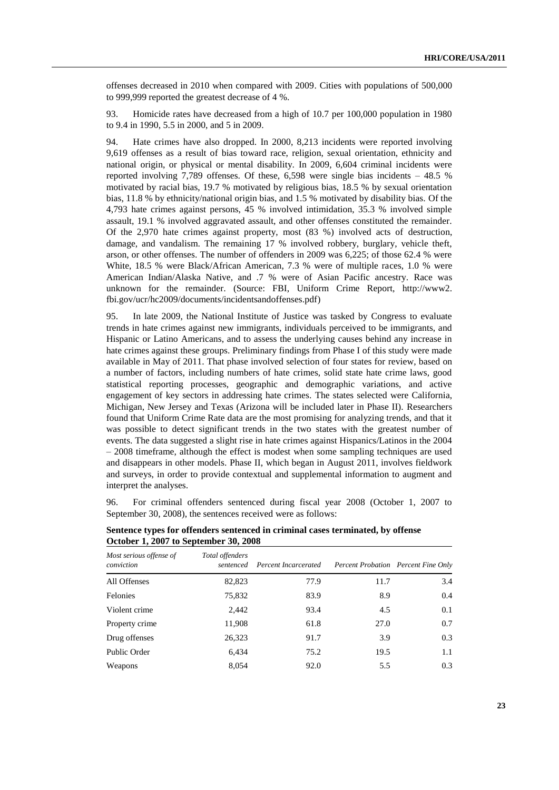offenses decreased in 2010 when compared with 2009. Cities with populations of 500,000 to 999,999 reported the greatest decrease of 4 %.

93. Homicide rates have decreased from a high of 10.7 per 100,000 population in 1980 to 9.4 in 1990, 5.5 in 2000, and 5 in 2009.

94. Hate crimes have also dropped. In 2000, 8,213 incidents were reported involving 9,619 offenses as a result of bias toward race, religion, sexual orientation, ethnicity and national origin, or physical or mental disability. In 2009, 6,604 criminal incidents were reported involving 7,789 offenses. Of these, 6,598 were single bias incidents – 48.5 % motivated by racial bias, 19.7 % motivated by religious bias, 18.5 % by sexual orientation bias, 11.8 % by ethnicity/national origin bias, and 1.5 % motivated by disability bias. Of the 4,793 hate crimes against persons, 45 % involved intimidation, 35.3 % involved simple assault, 19.1 % involved aggravated assault, and other offenses constituted the remainder. Of the 2,970 hate crimes against property, most (83 %) involved acts of destruction, damage, and vandalism. The remaining 17 % involved robbery, burglary, vehicle theft, arson, or other offenses. The number of offenders in 2009 was 6,225; of those 62.4 % were White, 18.5 % were Black/African American, 7.3 % were of multiple races, 1.0 % were American Indian/Alaska Native, and .7 % were of Asian Pacific ancestry. Race was unknown for the remainder. (Source: FBI, Uniform Crime Report, http://www2. fbi.gov/ucr/hc2009/documents/incidentsandoffenses.pdf)

95. In late 2009, the National Institute of Justice was tasked by Congress to evaluate trends in hate crimes against new immigrants, individuals perceived to be immigrants, and Hispanic or Latino Americans, and to assess the underlying causes behind any increase in hate crimes against these groups. Preliminary findings from Phase I of this study were made available in May of 2011. That phase involved selection of four states for review, based on a number of factors, including numbers of hate crimes, solid state hate crime laws, good statistical reporting processes, geographic and demographic variations, and active engagement of key sectors in addressing hate crimes. The states selected were California, Michigan, New Jersey and Texas (Arizona will be included later in Phase II). Researchers found that Uniform Crime Rate data are the most promising for analyzing trends, and that it was possible to detect significant trends in the two states with the greatest number of events. The data suggested a slight rise in hate crimes against Hispanics/Latinos in the 2004 – 2008 timeframe, although the effect is modest when some sampling techniques are used and disappears in other models. Phase II, which began in August 2011, involves fieldwork and surveys, in order to provide contextual and supplemental information to augment and interpret the analyses.

96. For criminal offenders sentenced during fiscal year 2008 (October 1, 2007 to September 30, 2008), the sentences received were as follows:

| Most serious offense of<br>conviction | Total offenders<br>sentenced | Percent Incarcerated |      | <b>Percent Probation</b> Percent Fine Only |
|---------------------------------------|------------------------------|----------------------|------|--------------------------------------------|
| All Offenses                          | 82,823                       | 77.9                 | 11.7 | 3.4                                        |
| Felonies                              | 75,832                       | 83.9                 | 8.9  | 0.4                                        |
| Violent crime                         | 2,442                        | 93.4                 | 4.5  | 0.1                                        |
| Property crime                        | 11,908                       | 61.8                 | 27.0 | 0.7                                        |
| Drug offenses                         | 26,323                       | 91.7                 | 3.9  | 0.3                                        |
| Public Order                          | 6,434                        | 75.2                 | 19.5 | 1.1                                        |
| Weapons                               | 8,054                        | 92.0                 | 5.5  | 0.3                                        |

**Sentence types for offenders sentenced in criminal cases terminated, by offense October 1, 2007 to September 30, 2008**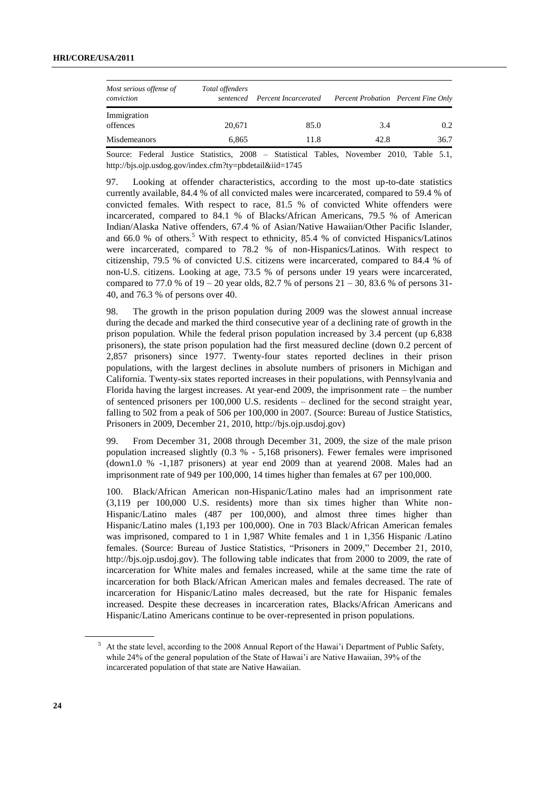| Most serious offense of<br>conviction | Total offenders<br>sentenced | Percent Incarcerated | <b>Percent Probation</b> Percent Fine Only |               |
|---------------------------------------|------------------------------|----------------------|--------------------------------------------|---------------|
| Immigration<br>offences               | 20,671                       | 85.0                 | 3.4                                        | $0.2^{\circ}$ |
| Misdemeanors                          | 6,865                        | 11.8                 | 42.8                                       | 36.7          |

Source: Federal Justice Statistics, 2008 – Statistical Tables, November 2010, Table 5.1, <http://bjs.ojp.usdog.gov/index.cfm?ty=pbdetail&iid=1745>

97. Looking at offender characteristics, according to the most up-to-date statistics currently available, 84.4 % of all convicted males were incarcerated, compared to 59.4 % of convicted females. With respect to race, 81.5 % of convicted White offenders were incarcerated, compared to 84.1 % of Blacks/African Americans, 79.5 % of American Indian/Alaska Native offenders, 67.4 % of Asian/Native Hawaiian/Other Pacific Islander, and 66.0 % of others.<sup>5</sup> With respect to ethnicity, 85.4 % of convicted Hispanics/Latinos were incarcerated, compared to 78.2 % of non-Hispanics/Latinos. With respect to citizenship, 79.5 % of convicted U.S. citizens were incarcerated, compared to 84.4 % of non-U.S. citizens. Looking at age, 73.5 % of persons under 19 years were incarcerated, compared to 77.0 % of  $19 - 20$  year olds, 82.7 % of persons  $21 - 30$ , 83.6 % of persons 31-40, and 76.3 % of persons over 40.

98. The growth in the prison population during 2009 was the slowest annual increase during the decade and marked the third consecutive year of a declining rate of growth in the prison population. While the federal prison population increased by 3.4 percent (up 6,838 prisoners), the state prison population had the first measured decline (down 0.2 percent of 2,857 prisoners) since 1977. Twenty-four states reported declines in their prison populations, with the largest declines in absolute numbers of prisoners in Michigan and California. Twenty-six states reported increases in their populations, with Pennsylvania and Florida having the largest increases. At year-end 2009, the imprisonment rate – the number of sentenced prisoners per 100,000 U.S. residents – declined for the second straight year, falling to 502 from a peak of 506 per 100,000 in 2007. (Source: Bureau of Justice Statistics, Prisoners in 2009, December 21, 2010, [http://bjs.ojp.usdoj.gov\)](http://bjs.ojp.usdoj.gov/)

99. From December 31, 2008 through December 31, 2009, the size of the male prison population increased slightly (0.3 % - 5,168 prisoners). Fewer females were imprisoned (down1.0 % -1,187 prisoners) at year end 2009 than at yearend 2008. Males had an imprisonment rate of 949 per 100,000, 14 times higher than females at 67 per 100,000.

100. Black/African American non-Hispanic/Latino males had an imprisonment rate (3,119 per 100,000 U.S. residents) more than six times higher than White non-Hispanic/Latino males (487 per 100,000), and almost three times higher than Hispanic/Latino males (1,193 per 100,000). One in 703 Black/African American females was imprisoned, compared to 1 in 1,987 White females and 1 in 1,356 Hispanic /Latino females. (Source: Bureau of Justice Statistics, "Prisoners in 2009," December 21, 2010, [http://bjs.ojp.usdoj.gov\)](http://bjs.ojp.usdoj.gov/). The following table indicates that from 2000 to 2009, the rate of incarceration for White males and females increased, while at the same time the rate of incarceration for both Black/African American males and females decreased. The rate of incarceration for Hispanic/Latino males decreased, but the rate for Hispanic females increased. Despite these decreases in incarceration rates, Blacks/African Americans and Hispanic/Latino Americans continue to be over-represented in prison populations.

<sup>5</sup> At the state level, according to the 2008 Annual Report of the Hawai'i Department of Public Safety, while 24% of the general population of the State of Hawai'i are Native Hawaiian, 39% of the incarcerated population of that state are Native Hawaiian.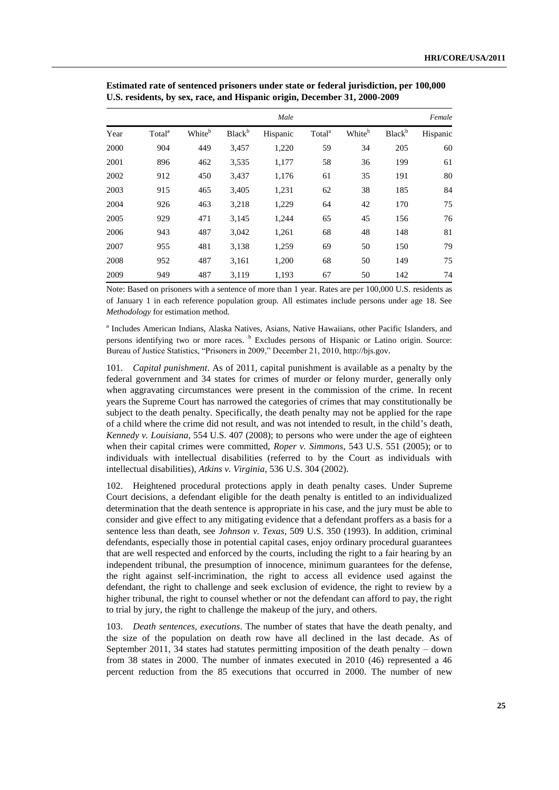|      |                    |                    |                    | Male     |                    |                    |                    | Female   |
|------|--------------------|--------------------|--------------------|----------|--------------------|--------------------|--------------------|----------|
| Year | Total <sup>a</sup> | White <sup>b</sup> | Black <sup>b</sup> | Hispanic | Total <sup>a</sup> | White <sup>b</sup> | Black <sup>b</sup> | Hispanic |
| 2000 | 904                | 449                | 3,457              | 1,220    | 59                 | 34                 | 205                | 60       |
| 2001 | 896                | 462                | 3,535              | 1,177    | 58                 | 36                 | 199                | 61       |
| 2002 | 912                | 450                | 3,437              | 1,176    | 61                 | 35                 | 191                | 80       |
| 2003 | 915                | 465                | 3,405              | 1,231    | 62                 | 38                 | 185                | 84       |
| 2004 | 926                | 463                | 3,218              | 1,229    | 64                 | 42                 | 170                | 75       |
| 2005 | 929                | 471                | 3,145              | 1,244    | 65                 | 45                 | 156                | 76       |
| 2006 | 943                | 487                | 3,042              | 1,261    | 68                 | 48                 | 148                | 81       |
| 2007 | 955                | 481                | 3,138              | 1,259    | 69                 | 50                 | 150                | 79       |
| 2008 | 952                | 487                | 3,161              | 1,200    | 68                 | 50                 | 149                | 75       |
| 2009 | 949                | 487                | 3.119              | 1.193    | 67                 | 50                 | 142                | 74       |

**Estimated rate of sentenced prisoners under state or federal jurisdiction, per 100,000 U.S. residents, by sex, race, and Hispanic origin, December 31, 2000-2009**

Note: Based on prisoners with a sentence of more than 1 year. Rates are per 100,000 U.S. residents as of January 1 in each reference population group. All estimates include persons under age 18. See *Methodology* for estimation method.

<sup>a</sup> Includes American Indians, Alaska Natives, Asians, Native Hawaiians, other Pacific Islanders, and persons identifying two or more races. <sup>b</sup> Excludes persons of Hispanic or Latino origin. Source: Bureau of Justice Statistics, "Prisoners in 2009," December 21, 2010, [http://bjs.gov](http://bjs.gov/).

101. *Capital punishment*. As of 2011, capital punishment is available as a penalty by the federal government and 34 states for crimes of murder or felony murder, generally only when aggravating circumstances were present in the commission of the crime. In recent years the Supreme Court has narrowed the categories of crimes that may constitutionally be subject to the death penalty. Specifically, the death penalty may not be applied for the rape of a child where the crime did not result, and was not intended to result, in the child's death, *Kennedy v. Louisiana*, 554 U.S. 407 (2008); to persons who were under the age of eighteen when their capital crimes were committed, *Roper v. Simmons*, 543 U.S. 551 (2005); or to individuals with intellectual disabilities (referred to by the Court as individuals with intellectual disabilities), *Atkins v. Virginia*, 536 U.S. 304 (2002).

102. Heightened procedural protections apply in death penalty cases. Under Supreme Court decisions, a defendant eligible for the death penalty is entitled to an individualized determination that the death sentence is appropriate in his case, and the jury must be able to consider and give effect to any mitigating evidence that a defendant proffers as a basis for a sentence less than death, see *Johnson v. Texas*, 509 U.S. 350 (1993). In addition, criminal defendants, especially those in potential capital cases, enjoy ordinary procedural guarantees that are well respected and enforced by the courts, including the right to a fair hearing by an independent tribunal, the presumption of innocence, minimum guarantees for the defense, the right against self-incrimination, the right to access all evidence used against the defendant, the right to challenge and seek exclusion of evidence, the right to review by a higher tribunal, the right to counsel whether or not the defendant can afford to pay, the right to trial by jury, the right to challenge the makeup of the jury, and others.

103. *Death sentences, executions*. The number of states that have the death penalty, and the size of the population on death row have all declined in the last decade. As of September 2011, 34 states had statutes permitting imposition of the death penalty – down from 38 states in 2000. The number of inmates executed in 2010 (46) represented a 46 percent reduction from the 85 executions that occurred in 2000. The number of new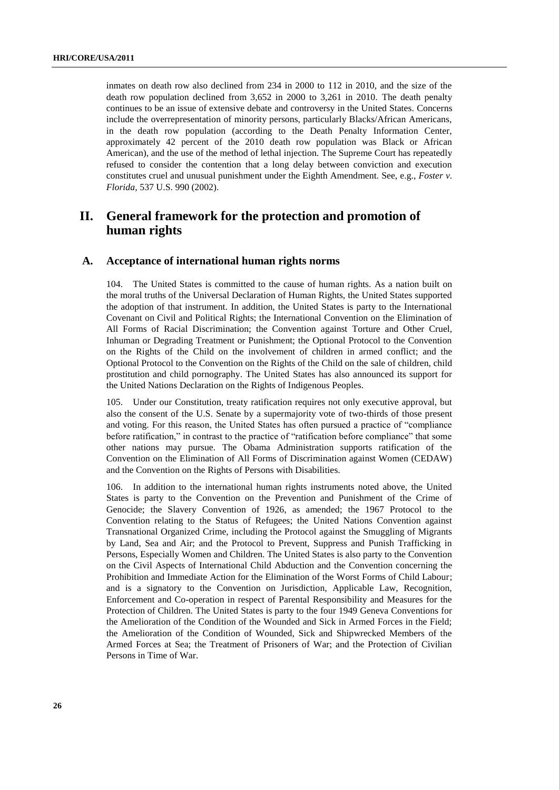inmates on death row also declined from 234 in 2000 to 112 in 2010, and the size of the death row population declined from 3,652 in 2000 to 3,261 in 2010. The death penalty continues to be an issue of extensive debate and controversy in the United States. Concerns include the overrepresentation of minority persons, particularly Blacks/African Americans, in the death row population (according to the Death Penalty Information Center, approximately 42 percent of the 2010 death row population was Black or African American), and the use of the method of lethal injection. The Supreme Court has repeatedly refused to consider the contention that a long delay between conviction and execution constitutes cruel and unusual punishment under the Eighth Amendment. See, e.g., *Foster v. Florida,* 537 U.S. 990 (2002).

# **II. General framework for the protection and promotion of human rights**

### **A. Acceptance of international human rights norms**

104. The United States is committed to the cause of human rights. As a nation built on the moral truths of the Universal Declaration of Human Rights, the United States supported the adoption of that instrument. In addition, the United States is party to the International Covenant on Civil and Political Rights; the International Convention on the Elimination of All Forms of Racial Discrimination; the Convention against Torture and Other Cruel, Inhuman or Degrading Treatment or Punishment; the Optional Protocol to the Convention on the Rights of the Child on the involvement of children in armed conflict; and the Optional Protocol to the Convention on the Rights of the Child on the sale of children, child prostitution and child pornography. The United States has also announced its support for the United Nations Declaration on the Rights of Indigenous Peoples.

105. Under our Constitution, treaty ratification requires not only executive approval, but also the consent of the U.S. Senate by a supermajority vote of two-thirds of those present and voting. For this reason, the United States has often pursued a practice of "compliance before ratification," in contrast to the practice of "ratification before compliance" that some other nations may pursue. The Obama Administration supports ratification of the Convention on the Elimination of All Forms of Discrimination against Women (CEDAW) and the Convention on the Rights of Persons with Disabilities.

106. In addition to the international human rights instruments noted above, the United States is party to the Convention on the Prevention and Punishment of the Crime of Genocide; the Slavery Convention of 1926, as amended; the 1967 Protocol to the Convention relating to the Status of Refugees; the United Nations Convention against Transnational Organized Crime, including the Protocol against the Smuggling of Migrants by Land, Sea and Air; and the Protocol to Prevent, Suppress and Punish Trafficking in Persons, Especially Women and Children. The United States is also party to the Convention on the Civil Aspects of International Child Abduction and the Convention concerning the Prohibition and Immediate Action for the Elimination of the Worst Forms of Child Labour; and is a signatory to the Convention on Jurisdiction, Applicable Law, Recognition, Enforcement and Co-operation in respect of Parental Responsibility and Measures for the Protection of Children. The United States is party to the four 1949 Geneva Conventions for the Amelioration of the Condition of the Wounded and Sick in Armed Forces in the Field; the Amelioration of the Condition of Wounded, Sick and Shipwrecked Members of the Armed Forces at Sea; the Treatment of Prisoners of War; and the Protection of Civilian Persons in Time of War.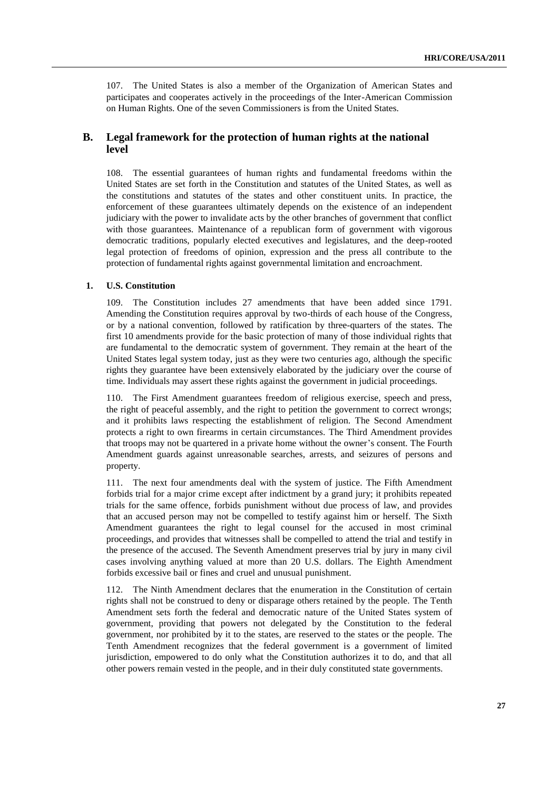107. The United States is also a member of the Organization of American States and participates and cooperates actively in the proceedings of the Inter-American Commission on Human Rights. One of the seven Commissioners is from the United States.

# **B. Legal framework for the protection of human rights at the national level**

108. The essential guarantees of human rights and fundamental freedoms within the United States are set forth in the Constitution and statutes of the United States, as well as the constitutions and statutes of the states and other constituent units. In practice, the enforcement of these guarantees ultimately depends on the existence of an independent judiciary with the power to invalidate acts by the other branches of government that conflict with those guarantees. Maintenance of a republican form of government with vigorous democratic traditions, popularly elected executives and legislatures, and the deep-rooted legal protection of freedoms of opinion, expression and the press all contribute to the protection of fundamental rights against governmental limitation and encroachment.

### **1. U.S. Constitution**

109. The Constitution includes 27 amendments that have been added since 1791. Amending the Constitution requires approval by two-thirds of each house of the Congress, or by a national convention, followed by ratification by three-quarters of the states. The first 10 amendments provide for the basic protection of many of those individual rights that are fundamental to the democratic system of government. They remain at the heart of the United States legal system today, just as they were two centuries ago, although the specific rights they guarantee have been extensively elaborated by the judiciary over the course of time. Individuals may assert these rights against the government in judicial proceedings.

110. The First Amendment guarantees freedom of religious exercise, speech and press, the right of peaceful assembly, and the right to petition the government to correct wrongs; and it prohibits laws respecting the establishment of religion. The Second Amendment protects a right to own firearms in certain circumstances. The Third Amendment provides that troops may not be quartered in a private home without the owner's consent. The Fourth Amendment guards against unreasonable searches, arrests, and seizures of persons and property.

111. The next four amendments deal with the system of justice. The Fifth Amendment forbids trial for a major crime except after indictment by a grand jury; it prohibits repeated trials for the same offence, forbids punishment without due process of law, and provides that an accused person may not be compelled to testify against him or herself. The Sixth Amendment guarantees the right to legal counsel for the accused in most criminal proceedings, and provides that witnesses shall be compelled to attend the trial and testify in the presence of the accused. The Seventh Amendment preserves trial by jury in many civil cases involving anything valued at more than 20 U.S. dollars. The Eighth Amendment forbids excessive bail or fines and cruel and unusual punishment.

112. The Ninth Amendment declares that the enumeration in the Constitution of certain rights shall not be construed to deny or disparage others retained by the people. The Tenth Amendment sets forth the federal and democratic nature of the United States system of government, providing that powers not delegated by the Constitution to the federal government, nor prohibited by it to the states, are reserved to the states or the people. The Tenth Amendment recognizes that the federal government is a government of limited jurisdiction, empowered to do only what the Constitution authorizes it to do, and that all other powers remain vested in the people, and in their duly constituted state governments.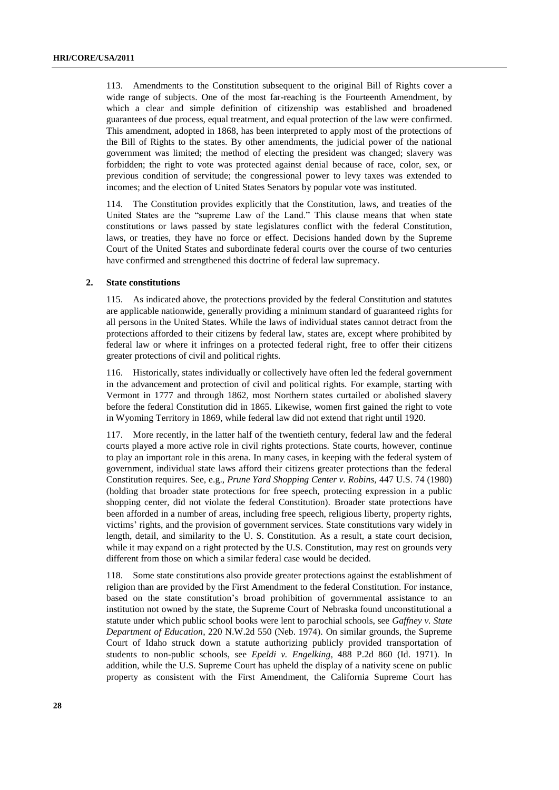113. Amendments to the Constitution subsequent to the original Bill of Rights cover a wide range of subjects. One of the most far-reaching is the Fourteenth Amendment, by which a clear and simple definition of citizenship was established and broadened guarantees of due process, equal treatment, and equal protection of the law were confirmed. This amendment, adopted in 1868, has been interpreted to apply most of the protections of the Bill of Rights to the states. By other amendments, the judicial power of the national government was limited; the method of electing the president was changed; slavery was forbidden; the right to vote was protected against denial because of race, color, sex, or previous condition of servitude; the congressional power to levy taxes was extended to incomes; and the election of United States Senators by popular vote was instituted.

114. The Constitution provides explicitly that the Constitution, laws, and treaties of the United States are the "supreme Law of the Land." This clause means that when state constitutions or laws passed by state legislatures conflict with the federal Constitution, laws, or treaties, they have no force or effect. Decisions handed down by the Supreme Court of the United States and subordinate federal courts over the course of two centuries have confirmed and strengthened this doctrine of federal law supremacy.

#### **2. State constitutions**

115. As indicated above, the protections provided by the federal Constitution and statutes are applicable nationwide, generally providing a minimum standard of guaranteed rights for all persons in the United States. While the laws of individual states cannot detract from the protections afforded to their citizens by federal law, states are, except where prohibited by federal law or where it infringes on a protected federal right, free to offer their citizens greater protections of civil and political rights.

116. Historically, states individually or collectively have often led the federal government in the advancement and protection of civil and political rights. For example, starting with Vermont in 1777 and through 1862, most Northern states curtailed or abolished slavery before the federal Constitution did in 1865. Likewise, women first gained the right to vote in Wyoming Territory in 1869, while federal law did not extend that right until 1920.

117. More recently, in the latter half of the twentieth century, federal law and the federal courts played a more active role in civil rights protections. State courts, however, continue to play an important role in this arena. In many cases, in keeping with the federal system of government, individual state laws afford their citizens greater protections than the federal Constitution requires. See, e.g., *Prune Yard Shopping Center v. Robins,* 447 U.S. 74 (1980) (holding that broader state protections for free speech, protecting expression in a public shopping center, did not violate the federal Constitution). Broader state protections have been afforded in a number of areas, including free speech, religious liberty, property rights, victims' rights, and the provision of government services. State constitutions vary widely in length, detail, and similarity to the U. S. Constitution. As a result, a state court decision, while it may expand on a right protected by the U.S. Constitution, may rest on grounds very different from those on which a similar federal case would be decided.

118. Some state constitutions also provide greater protections against the establishment of religion than are provided by the First Amendment to the federal Constitution. For instance, based on the state constitution's broad prohibition of governmental assistance to an institution not owned by the state, the Supreme Court of Nebraska found unconstitutional a statute under which public school books were lent to parochial schools, see *Gaffney v. State Department of Education*, 220 N.W.2d 550 (Neb. 1974). On similar grounds, the Supreme Court of Idaho struck down a statute authorizing publicly provided transportation of students to non-public schools, see *Epeldi v. Engelking*, 488 P.2d 860 (Id. 1971). In addition, while the U.S. Supreme Court has upheld the display of a nativity scene on public property as consistent with the First Amendment, the California Supreme Court has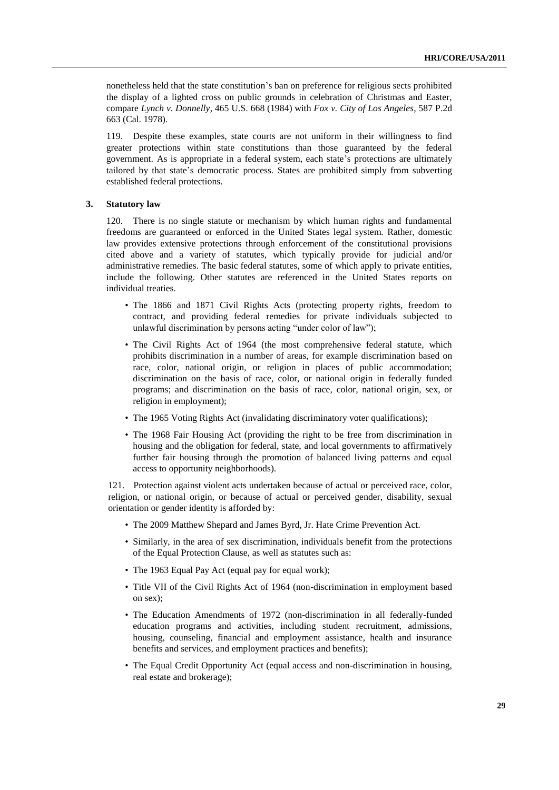nonetheless held that the state constitution's ban on preference for religious sects prohibited the display of a lighted cross on public grounds in celebration of Christmas and Easter, compare *Lynch v. Donnelly*, 465 U.S. 668 (1984) with *Fox v. City of Los Angeles*, 587 P.2d 663 (Cal. 1978).

119. Despite these examples, state courts are not uniform in their willingness to find greater protections within state constitutions than those guaranteed by the federal government. As is appropriate in a federal system, each state's protections are ultimately tailored by that state's democratic process. States are prohibited simply from subverting established federal protections.

#### **3. Statutory law**

120. There is no single statute or mechanism by which human rights and fundamental freedoms are guaranteed or enforced in the United States legal system. Rather, domestic law provides extensive protections through enforcement of the constitutional provisions cited above and a variety of statutes, which typically provide for judicial and/or administrative remedies. The basic federal statutes, some of which apply to private entities, include the following. Other statutes are referenced in the United States reports on individual treaties.

- The 1866 and 1871 Civil Rights Acts (protecting property rights, freedom to contract, and providing federal remedies for private individuals subjected to unlawful discrimination by persons acting "under color of law");
- The Civil Rights Act of 1964 (the most comprehensive federal statute, which prohibits discrimination in a number of areas, for example discrimination based on race, color, national origin, or religion in places of public accommodation; discrimination on the basis of race, color, or national origin in federally funded programs; and discrimination on the basis of race, color, national origin, sex, or religion in employment);
- The 1965 Voting Rights Act (invalidating discriminatory voter qualifications);
- The 1968 Fair Housing Act (providing the right to be free from discrimination in housing and the obligation for federal, state, and local governments to affirmatively further fair housing through the promotion of balanced living patterns and equal access to opportunity neighborhoods).

121. Protection against violent acts undertaken because of actual or perceived race, color, religion, or national origin, or because of actual or perceived gender, disability, sexual orientation or gender identity is afforded by:

- The 2009 Matthew Shepard and James Byrd, Jr. Hate Crime Prevention Act.
- Similarly, in the area of sex discrimination, individuals benefit from the protections of the Equal Protection Clause, as well as statutes such as:
- The 1963 Equal Pay Act (equal pay for equal work);
- Title VII of the Civil Rights Act of 1964 (non-discrimination in employment based on sex);
- The Education Amendments of 1972 (non-discrimination in all federally-funded education programs and activities, including student recruitment, admissions, housing, counseling, financial and employment assistance, health and insurance benefits and services, and employment practices and benefits);
- The Equal Credit Opportunity Act (equal access and non-discrimination in housing, real estate and brokerage);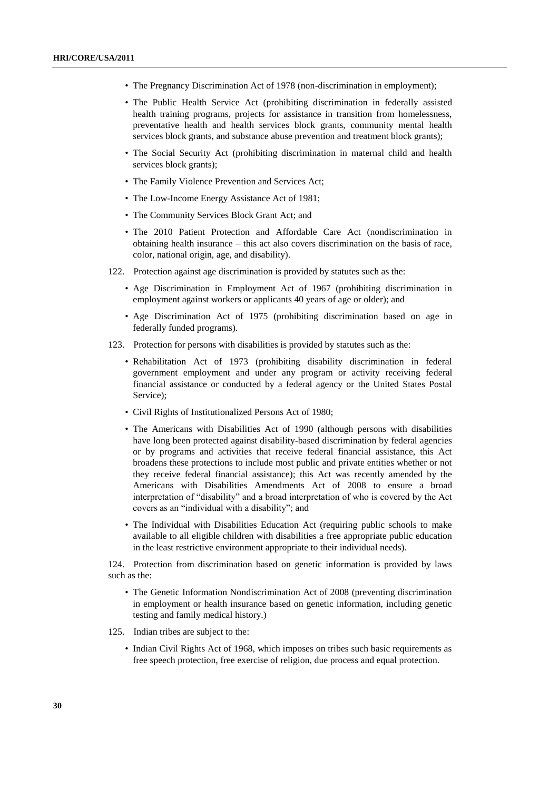- The Pregnancy Discrimination Act of 1978 (non-discrimination in employment);
- The Public Health Service Act (prohibiting discrimination in federally assisted health training programs, projects for assistance in transition from homelessness, preventative health and health services block grants, community mental health services block grants, and substance abuse prevention and treatment block grants);
- The Social Security Act (prohibiting discrimination in maternal child and health services block grants);
- The Family Violence Prevention and Services Act;
- The Low-Income Energy Assistance Act of 1981;
- The Community Services Block Grant Act; and
- The 2010 Patient Protection and Affordable Care Act (nondiscrimination in obtaining health insurance – this act also covers discrimination on the basis of race, color, national origin, age, and disability).
- 122. Protection against age discrimination is provided by statutes such as the:
	- Age Discrimination in Employment Act of 1967 (prohibiting discrimination in employment against workers or applicants 40 years of age or older); and
	- Age Discrimination Act of 1975 (prohibiting discrimination based on age in federally funded programs).
- 123. Protection for persons with disabilities is provided by statutes such as the:
	- Rehabilitation Act of 1973 (prohibiting disability discrimination in federal government employment and under any program or activity receiving federal financial assistance or conducted by a federal agency or the United States Postal Service);
	- Civil Rights of Institutionalized Persons Act of 1980;
	- The Americans with Disabilities Act of 1990 (although persons with disabilities have long been protected against disability-based discrimination by federal agencies or by programs and activities that receive federal financial assistance, this Act broadens these protections to include most public and private entities whether or not they receive federal financial assistance); this Act was recently amended by the Americans with Disabilities Amendments Act of 2008 to ensure a broad interpretation of "disability" and a broad interpretation of who is covered by the Act covers as an "individual with a disability"; and
	- The Individual with Disabilities Education Act (requiring public schools to make available to all eligible children with disabilities a free appropriate public education in the least restrictive environment appropriate to their individual needs).

124. Protection from discrimination based on genetic information is provided by laws such as the:

- The Genetic Information Nondiscrimination Act of 2008 (preventing discrimination in employment or health insurance based on genetic information, including genetic testing and family medical history.)
- 125. Indian tribes are subject to the:
	- Indian Civil Rights Act of 1968, which imposes on tribes such basic requirements as free speech protection, free exercise of religion, due process and equal protection.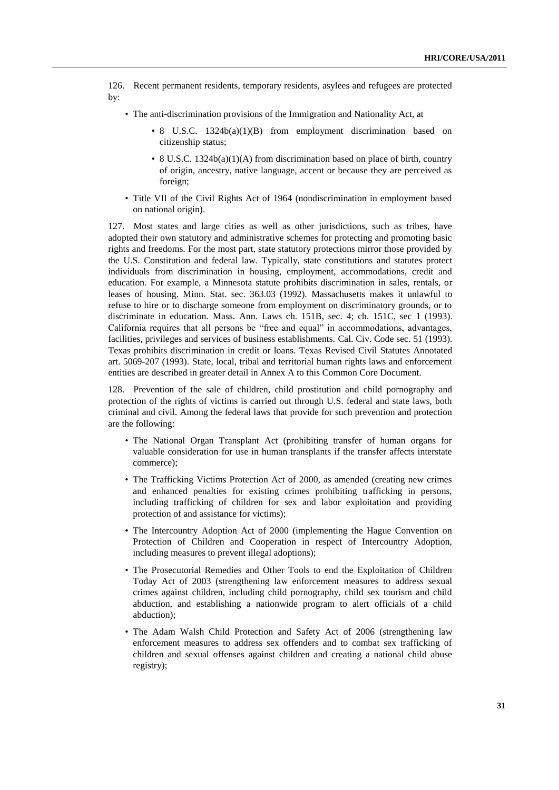126. Recent permanent residents, temporary residents, asylees and refugees are protected by:

- The anti-discrimination provisions of the Immigration and Nationality Act, at
	- 8 U.S.C. 1324b(a)(1)(B) from employment discrimination based on citizenship status;
	- 8 U.S.C. 1324b(a)(1)(A) from discrimination based on place of birth, country of origin, ancestry, native language, accent or because they are perceived as foreign;
- Title VII of the Civil Rights Act of 1964 (nondiscrimination in employment based on national origin).

127. Most states and large cities as well as other jurisdictions, such as tribes, have adopted their own statutory and administrative schemes for protecting and promoting basic rights and freedoms. For the most part, state statutory protections mirror those provided by the U.S. Constitution and federal law. Typically, state constitutions and statutes protect individuals from discrimination in housing, employment, accommodations, credit and education. For example, a Minnesota statute prohibits discrimination in sales, rentals, or leases of housing. Minn. Stat. sec. 363.03 (1992). Massachusetts makes it unlawful to refuse to hire or to discharge someone from employment on discriminatory grounds, or to discriminate in education. Mass. Ann. Laws ch. 151B, sec. 4; ch. 151C, sec 1 (1993). California requires that all persons be "free and equal" in accommodations, advantages, facilities, privileges and services of business establishments. Cal. Civ. Code sec. 51 (1993). Texas prohibits discrimination in credit or loans. Texas Revised Civil Statutes Annotated art. 5069-207 (1993). State, local, tribal and territorial human rights laws and enforcement entities are described in greater detail in Annex A to this Common Core Document.

128. Prevention of the sale of children, child prostitution and child pornography and protection of the rights of victims is carried out through U.S. federal and state laws, both criminal and civil. Among the federal laws that provide for such prevention and protection are the following:

- The National Organ Transplant Act (prohibiting transfer of human organs for valuable consideration for use in human transplants if the transfer affects interstate commerce);
- The Trafficking Victims Protection Act of 2000, as amended (creating new crimes and enhanced penalties for existing crimes prohibiting trafficking in persons, including trafficking of children for sex and labor exploitation and providing protection of and assistance for victims);
- The Intercountry Adoption Act of 2000 (implementing the Hague Convention on Protection of Children and Cooperation in respect of Intercountry Adoption, including measures to prevent illegal adoptions);
- The Prosecutorial Remedies and Other Tools to end the Exploitation of Children Today Act of 2003 (strengthening law enforcement measures to address sexual crimes against children, including child pornography, child sex tourism and child abduction, and establishing a nationwide program to alert officials of a child abduction);
- The Adam Walsh Child Protection and Safety Act of 2006 (strengthening law enforcement measures to address sex offenders and to combat sex trafficking of children and sexual offenses against children and creating a national child abuse registry);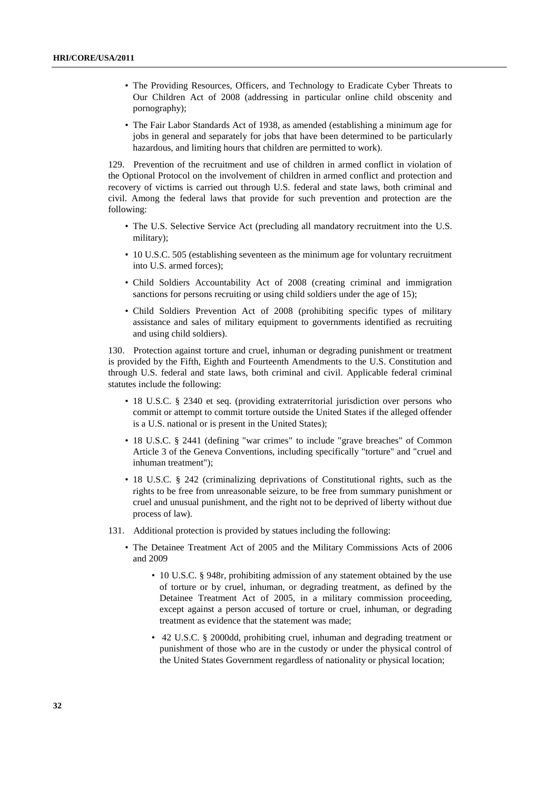- The Providing Resources, Officers, and Technology to Eradicate Cyber Threats to Our Children Act of 2008 (addressing in particular online child obscenity and pornography);
- The Fair Labor Standards Act of 1938, as amended (establishing a minimum age for jobs in general and separately for jobs that have been determined to be particularly hazardous, and limiting hours that children are permitted to work).

129. Prevention of the recruitment and use of children in armed conflict in violation of the Optional Protocol on the involvement of children in armed conflict and protection and recovery of victims is carried out through U.S. federal and state laws, both criminal and civil. Among the federal laws that provide for such prevention and protection are the following:

- The U.S. Selective Service Act (precluding all mandatory recruitment into the U.S. military);
- 10 U.S.C. 505 (establishing seventeen as the minimum age for voluntary recruitment into U.S. armed forces);
- Child Soldiers Accountability Act of 2008 (creating criminal and immigration sanctions for persons recruiting or using child soldiers under the age of 15);
- Child Soldiers Prevention Act of 2008 (prohibiting specific types of military assistance and sales of military equipment to governments identified as recruiting and using child soldiers).

130. Protection against torture and cruel, inhuman or degrading punishment or treatment is provided by the Fifth, Eighth and Fourteenth Amendments to the U.S. Constitution and through U.S. federal and state laws, both criminal and civil. Applicable federal criminal statutes include the following:

- 18 U.S.C. § 2340 et seq. (providing extraterritorial jurisdiction over persons who commit or attempt to commit torture outside the United States if the alleged offender is a U.S. national or is present in the United States);
- 18 U.S.C. § 2441 (defining "war crimes" to include "grave breaches" of Common Article 3 of the Geneva Conventions, including specifically "torture" and "cruel and inhuman treatment");
- 18 U.S.C. § 242 (criminalizing deprivations of Constitutional rights, such as the rights to be free from unreasonable seizure, to be free from summary punishment or cruel and unusual punishment, and the right not to be deprived of liberty without due process of law).
- 131. Additional protection is provided by statues including the following:
	- The Detainee Treatment Act of 2005 and the Military Commissions Acts of 2006 and 2009
		- 10 U.S.C. § 948r, prohibiting admission of any statement obtained by the use of torture or by cruel, inhuman, or degrading treatment, as defined by the Detainee Treatment Act of 2005, in a military commission proceeding, except against a person accused of torture or cruel, inhuman, or degrading treatment as evidence that the statement was made;
		- 42 U.S.C. § 2000dd, prohibiting cruel, inhuman and degrading treatment or punishment of those who are in the custody or under the physical control of the United States Government regardless of nationality or physical location;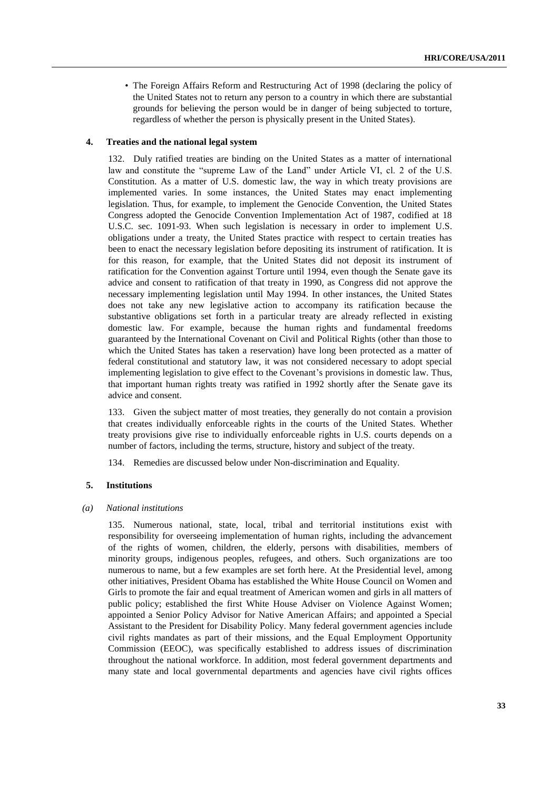• The Foreign Affairs Reform and Restructuring Act of 1998 (declaring the policy of the United States not to return any person to a country in which there are substantial grounds for believing the person would be in danger of being subjected to torture, regardless of whether the person is physically present in the United States).

#### **4. Treaties and the national legal system**

132. Duly ratified treaties are binding on the United States as a matter of international law and constitute the "supreme Law of the Land" under Article VI, cl. 2 of the U.S. Constitution. As a matter of U.S. domestic law, the way in which treaty provisions are implemented varies. In some instances, the United States may enact implementing legislation. Thus, for example, to implement the Genocide Convention, the United States Congress adopted the Genocide Convention Implementation Act of 1987, codified at 18 U.S.C. sec. 1091-93. When such legislation is necessary in order to implement U.S. obligations under a treaty, the United States practice with respect to certain treaties has been to enact the necessary legislation before depositing its instrument of ratification. It is for this reason, for example, that the United States did not deposit its instrument of ratification for the Convention against Torture until 1994, even though the Senate gave its advice and consent to ratification of that treaty in 1990, as Congress did not approve the necessary implementing legislation until May 1994. In other instances, the United States does not take any new legislative action to accompany its ratification because the substantive obligations set forth in a particular treaty are already reflected in existing domestic law. For example, because the human rights and fundamental freedoms guaranteed by the International Covenant on Civil and Political Rights (other than those to which the United States has taken a reservation) have long been protected as a matter of federal constitutional and statutory law, it was not considered necessary to adopt special implementing legislation to give effect to the Covenant's provisions in domestic law. Thus, that important human rights treaty was ratified in 1992 shortly after the Senate gave its advice and consent.

133. Given the subject matter of most treaties, they generally do not contain a provision that creates individually enforceable rights in the courts of the United States. Whether treaty provisions give rise to individually enforceable rights in U.S. courts depends on a number of factors, including the terms, structure, history and subject of the treaty.

134. Remedies are discussed below under Non-discrimination and Equality.

#### **5. Institutions**

#### *(a) National institutions*

135. Numerous national, state, local, tribal and territorial institutions exist with responsibility for overseeing implementation of human rights, including the advancement of the rights of women, children, the elderly, persons with disabilities, members of minority groups, indigenous peoples, refugees, and others. Such organizations are too numerous to name, but a few examples are set forth here. At the Presidential level, among other initiatives, President Obama has established the White House Council on Women and Girls to promote the fair and equal treatment of American women and girls in all matters of public policy; established the first White House Adviser on Violence Against Women; appointed a Senior Policy Advisor for Native American Affairs; and appointed a Special Assistant to the President for Disability Policy. Many federal government agencies include civil rights mandates as part of their missions, and the Equal Employment Opportunity Commission (EEOC), was specifically established to address issues of discrimination throughout the national workforce. In addition, most federal government departments and many state and local governmental departments and agencies have civil rights offices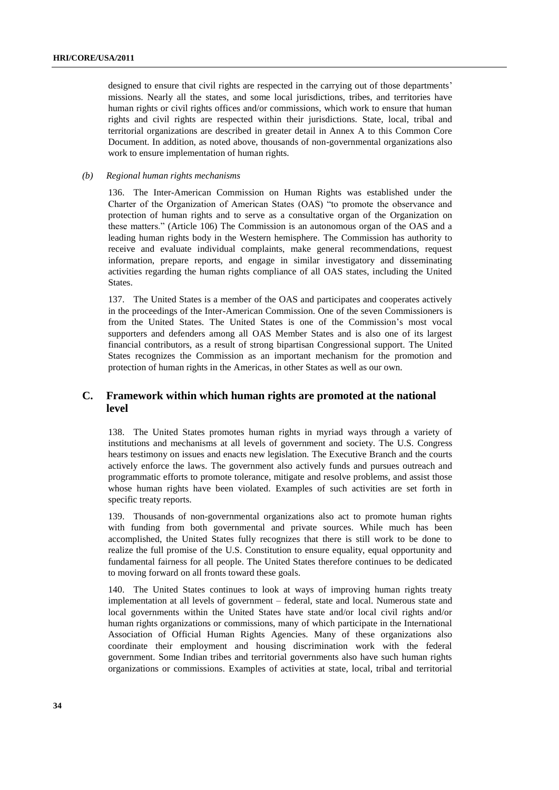designed to ensure that civil rights are respected in the carrying out of those departments' missions. Nearly all the states, and some local jurisdictions, tribes, and territories have human rights or civil rights offices and/or commissions, which work to ensure that human rights and civil rights are respected within their jurisdictions. State, local, tribal and territorial organizations are described in greater detail in Annex A to this Common Core Document. In addition, as noted above, thousands of non-governmental organizations also work to ensure implementation of human rights.

#### *(b) Regional human rights mechanisms*

136. The Inter-American Commission on Human Rights was established under the Charter of the Organization of American States (OAS) "to promote the observance and protection of human rights and to serve as a consultative organ of the Organization on these matters.‖ (Article 106) The Commission is an autonomous organ of the OAS and a leading human rights body in the Western hemisphere. The Commission has authority to receive and evaluate individual complaints, make general recommendations, request information, prepare reports, and engage in similar investigatory and disseminating activities regarding the human rights compliance of all OAS states, including the United States.

137. The United States is a member of the OAS and participates and cooperates actively in the proceedings of the Inter-American Commission. One of the seven Commissioners is from the United States. The United States is one of the Commission's most vocal supporters and defenders among all OAS Member States and is also one of its largest financial contributors, as a result of strong bipartisan Congressional support. The United States recognizes the Commission as an important mechanism for the promotion and protection of human rights in the Americas, in other States as well as our own.

# **C. Framework within which human rights are promoted at the national level**

138. The United States promotes human rights in myriad ways through a variety of institutions and mechanisms at all levels of government and society. The U.S. Congress hears testimony on issues and enacts new legislation. The Executive Branch and the courts actively enforce the laws. The government also actively funds and pursues outreach and programmatic efforts to promote tolerance, mitigate and resolve problems, and assist those whose human rights have been violated. Examples of such activities are set forth in specific treaty reports.

139. Thousands of non-governmental organizations also act to promote human rights with funding from both governmental and private sources. While much has been accomplished, the United States fully recognizes that there is still work to be done to realize the full promise of the U.S. Constitution to ensure equality, equal opportunity and fundamental fairness for all people. The United States therefore continues to be dedicated to moving forward on all fronts toward these goals.

140. The United States continues to look at ways of improving human rights treaty implementation at all levels of government – federal, state and local. Numerous state and local governments within the United States have state and/or local civil rights and/or human rights organizations or commissions, many of which participate in the International Association of Official Human Rights Agencies. Many of these organizations also coordinate their employment and housing discrimination work with the federal government. Some Indian tribes and territorial governments also have such human rights organizations or commissions. Examples of activities at state, local, tribal and territorial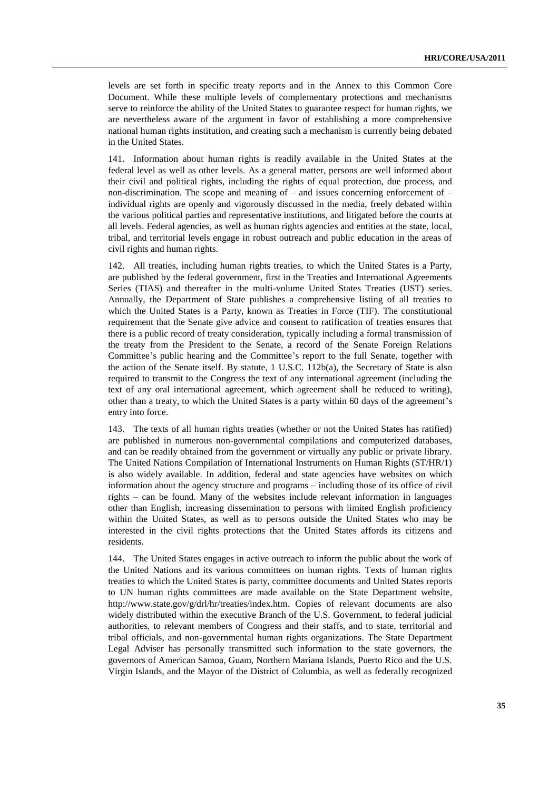levels are set forth in specific treaty reports and in the Annex to this Common Core Document. While these multiple levels of complementary protections and mechanisms serve to reinforce the ability of the United States to guarantee respect for human rights, we are nevertheless aware of the argument in favor of establishing a more comprehensive national human rights institution, and creating such a mechanism is currently being debated in the United States.

141. Information about human rights is readily available in the United States at the federal level as well as other levels. As a general matter, persons are well informed about their civil and political rights, including the rights of equal protection, due process, and non-discrimination. The scope and meaning of – and issues concerning enforcement of – individual rights are openly and vigorously discussed in the media, freely debated within the various political parties and representative institutions, and litigated before the courts at all levels. Federal agencies, as well as human rights agencies and entities at the state, local, tribal, and territorial levels engage in robust outreach and public education in the areas of civil rights and human rights.

142. All treaties, including human rights treaties, to which the United States is a Party, are published by the federal government, first in the Treaties and International Agreements Series (TIAS) and thereafter in the multi-volume United States Treaties (UST) series. Annually, the Department of State publishes a comprehensive listing of all treaties to which the United States is a Party, known as Treaties in Force (TIF). The constitutional requirement that the Senate give advice and consent to ratification of treaties ensures that there is a public record of treaty consideration, typically including a formal transmission of the treaty from the President to the Senate, a record of the Senate Foreign Relations Committee's public hearing and the Committee's report to the full Senate, together with the action of the Senate itself. By statute, 1 U.S.C. 112b(a), the Secretary of State is also required to transmit to the Congress the text of any international agreement (including the text of any oral international agreement, which agreement shall be reduced to writing), other than a treaty, to which the United States is a party within 60 days of the agreement's entry into force.

143. The texts of all human rights treaties (whether or not the United States has ratified) are published in numerous non-governmental compilations and computerized databases, and can be readily obtained from the government or virtually any public or private library. The United Nations Compilation of International Instruments on Human Rights (ST/HR/1) is also widely available. In addition, federal and state agencies have websites on which information about the agency structure and programs – including those of its office of civil rights – can be found. Many of the websites include relevant information in languages other than English, increasing dissemination to persons with limited English proficiency within the United States, as well as to persons outside the United States who may be interested in the civil rights protections that the United States affords its citizens and residents.

144. The United States engages in active outreach to inform the public about the work of the United Nations and its various committees on human rights. Texts of human rights treaties to which the United States is party, committee documents and United States reports to UN human rights committees are made available on the State Department website, [http://www.state.gov/g/drl/hr/treaties/index.htm.](http://www.state.gov/g/drl/hr/treaties/index.htm) Copies of relevant documents are also widely distributed within the executive Branch of the U.S. Government, to federal judicial authorities, to relevant members of Congress and their staffs, and to state, territorial and tribal officials, and non-governmental human rights organizations. The State Department Legal Adviser has personally transmitted such information to the state governors, the governors of American Samoa, Guam, Northern Mariana Islands, Puerto Rico and the U.S. Virgin Islands, and the Mayor of the District of Columbia, as well as federally recognized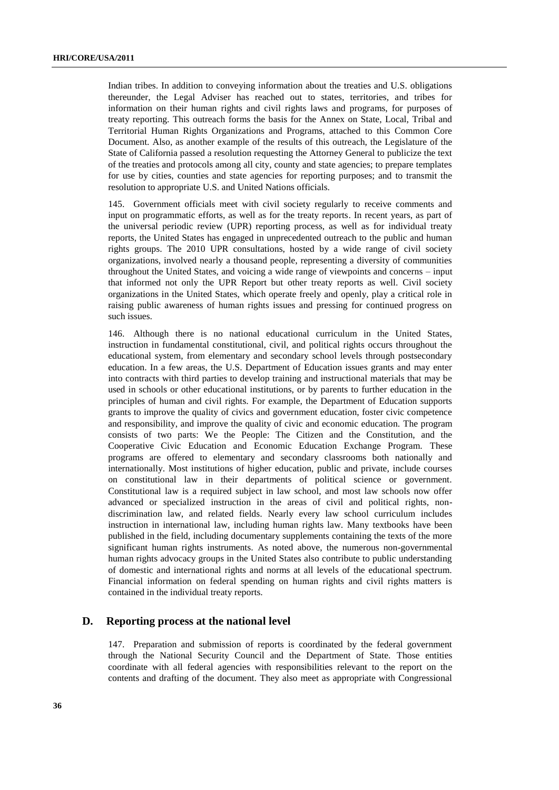Indian tribes. In addition to conveying information about the treaties and U.S. obligations thereunder, the Legal Adviser has reached out to states, territories, and tribes for information on their human rights and civil rights laws and programs, for purposes of treaty reporting. This outreach forms the basis for the Annex on State, Local, Tribal and Territorial Human Rights Organizations and Programs, attached to this Common Core Document. Also, as another example of the results of this outreach, the Legislature of the State of California passed a resolution requesting the Attorney General to publicize the text of the treaties and protocols among all city, county and state agencies; to prepare templates for use by cities, counties and state agencies for reporting purposes; and to transmit the resolution to appropriate U.S. and United Nations officials.

145. Government officials meet with civil society regularly to receive comments and input on programmatic efforts, as well as for the treaty reports. In recent years, as part of the universal periodic review (UPR) reporting process, as well as for individual treaty reports, the United States has engaged in unprecedented outreach to the public and human rights groups. The 2010 UPR consultations, hosted by a wide range of civil society organizations, involved nearly a thousand people, representing a diversity of communities throughout the United States, and voicing a wide range of viewpoints and concerns – input that informed not only the UPR Report but other treaty reports as well. Civil society organizations in the United States, which operate freely and openly, play a critical role in raising public awareness of human rights issues and pressing for continued progress on such issues.

146. Although there is no national educational curriculum in the United States, instruction in fundamental constitutional, civil, and political rights occurs throughout the educational system, from elementary and secondary school levels through postsecondary education. In a few areas, the U.S. Department of Education issues grants and may enter into contracts with third parties to develop training and instructional materials that may be used in schools or other educational institutions, or by parents to further education in the principles of human and civil rights. For example, the Department of Education supports grants to improve the quality of civics and government education, foster civic competence and responsibility, and improve the quality of civic and economic education. The program consists of two parts: We the People: The Citizen and the Constitution, and the Cooperative Civic Education and Economic Education Exchange Program. These programs are offered to elementary and secondary classrooms both nationally and internationally. Most institutions of higher education, public and private, include courses on constitutional law in their departments of political science or government. Constitutional law is a required subject in law school, and most law schools now offer advanced or specialized instruction in the areas of civil and political rights, nondiscrimination law, and related fields. Nearly every law school curriculum includes instruction in international law, including human rights law. Many textbooks have been published in the field, including documentary supplements containing the texts of the more significant human rights instruments. As noted above, the numerous non-governmental human rights advocacy groups in the United States also contribute to public understanding of domestic and international rights and norms at all levels of the educational spectrum. Financial information on federal spending on human rights and civil rights matters is contained in the individual treaty reports.

## **D. Reporting process at the national level**

147. Preparation and submission of reports is coordinated by the federal government through the National Security Council and the Department of State. Those entities coordinate with all federal agencies with responsibilities relevant to the report on the contents and drafting of the document. They also meet as appropriate with Congressional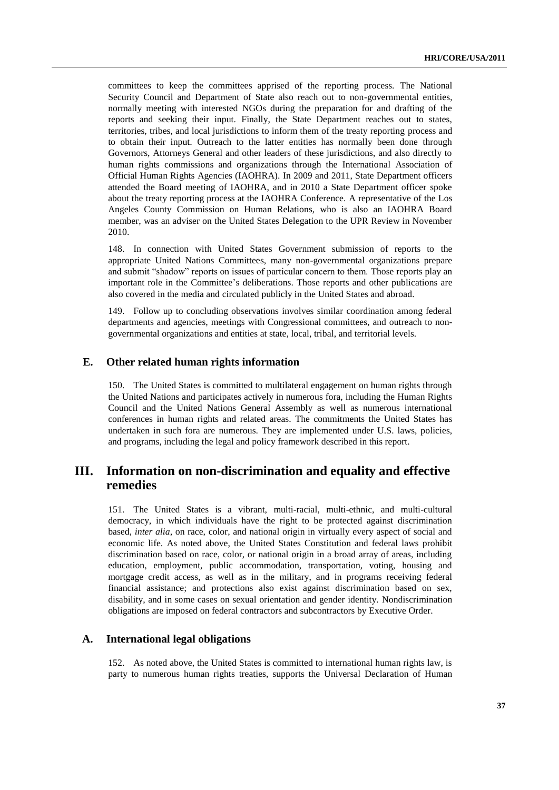committees to keep the committees apprised of the reporting process. The National Security Council and Department of State also reach out to non-governmental entities, normally meeting with interested NGOs during the preparation for and drafting of the reports and seeking their input. Finally, the State Department reaches out to states, territories, tribes, and local jurisdictions to inform them of the treaty reporting process and to obtain their input. Outreach to the latter entities has normally been done through Governors, Attorneys General and other leaders of these jurisdictions, and also directly to human rights commissions and organizations through the International Association of Official Human Rights Agencies (IAOHRA). In 2009 and 2011, State Department officers attended the Board meeting of IAOHRA, and in 2010 a State Department officer spoke about the treaty reporting process at the IAOHRA Conference. A representative of the Los Angeles County Commission on Human Relations, who is also an IAOHRA Board member, was an adviser on the United States Delegation to the UPR Review in November 2010.

148. In connection with United States Government submission of reports to the appropriate United Nations Committees, many non-governmental organizations prepare and submit "shadow" reports on issues of particular concern to them. Those reports play an important role in the Committee's deliberations. Those reports and other publications are also covered in the media and circulated publicly in the United States and abroad.

149. Follow up to concluding observations involves similar coordination among federal departments and agencies, meetings with Congressional committees, and outreach to nongovernmental organizations and entities at state, local, tribal, and territorial levels.

# **E. Other related human rights information**

150. The United States is committed to multilateral engagement on human rights through the United Nations and participates actively in numerous fora, including the Human Rights Council and the United Nations General Assembly as well as numerous international conferences in human rights and related areas. The commitments the United States has undertaken in such fora are numerous. They are implemented under U.S. laws, policies, and programs, including the legal and policy framework described in this report.

# **III. Information on non-discrimination and equality and effective remedies**

151. The United States is a vibrant, multi-racial, multi-ethnic, and multi-cultural democracy, in which individuals have the right to be protected against discrimination based, *inter alia*, on race, color, and national origin in virtually every aspect of social and economic life. As noted above, the United States Constitution and federal laws prohibit discrimination based on race, color, or national origin in a broad array of areas, including education, employment, public accommodation, transportation, voting, housing and mortgage credit access, as well as in the military, and in programs receiving federal financial assistance; and protections also exist against discrimination based on sex, disability, and in some cases on sexual orientation and gender identity. Nondiscrimination obligations are imposed on federal contractors and subcontractors by Executive Order.

# **A. International legal obligations**

152. As noted above, the United States is committed to international human rights law, is party to numerous human rights treaties, supports the Universal Declaration of Human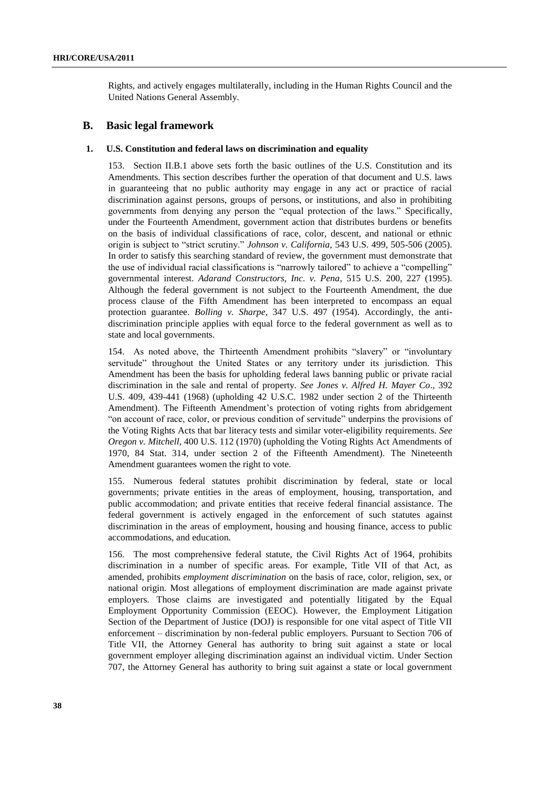Rights, and actively engages multilaterally, including in the Human Rights Council and the United Nations General Assembly.

# **B. Basic legal framework**

## **1. U.S. Constitution and federal laws on discrimination and equality**

153. Section II.B.1 above sets forth the basic outlines of the U.S. Constitution and its Amendments. This section describes further the operation of that document and U.S. laws in guaranteeing that no public authority may engage in any act or practice of racial discrimination against persons, groups of persons, or institutions, and also in prohibiting governments from denying any person the "equal protection of the laws." Specifically, under the Fourteenth Amendment, government action that distributes burdens or benefits on the basis of individual classifications of race, color, descent, and national or ethnic origin is subject to "strict scrutiny." *Johnson v. California*, 543 U.S. 499, 505-506 (2005). In order to satisfy this searching standard of review, the government must demonstrate that the use of individual racial classifications is "narrowly tailored" to achieve a "compelling" governmental interest. *Adarand Constructors, Inc. v. Pena*, 515 U.S. 200, 227 (1995). Although the federal government is not subject to the Fourteenth Amendment, the due process clause of the Fifth Amendment has been interpreted to encompass an equal protection guarantee. *Bolling v. Sharpe*, 347 U.S. 497 (1954). Accordingly, the antidiscrimination principle applies with equal force to the federal government as well as to state and local governments.

154. As noted above, the Thirteenth Amendment prohibits "slavery" or "involuntary servitude" throughout the United States or any territory under its jurisdiction. This Amendment has been the basis for upholding federal laws banning public or private racial discrimination in the sale and rental of property. *See Jones v. Alfred H. Mayer Co*., 392 U.S. 409, 439-441 (1968) (upholding 42 U.S.C. 1982 under section 2 of the Thirteenth Amendment). The Fifteenth Amendment's protection of voting rights from abridgement " on account of race, color, or previous condition of servitude" underpins the provisions of the Voting Rights Acts that bar literacy tests and similar voter-eligibility requirements. *See Oregon v. Mitchell*, 400 U.S. 112 (1970) (upholding the Voting Rights Act Amendments of 1970, 84 Stat. 314, under section 2 of the Fifteenth Amendment). The Nineteenth Amendment guarantees women the right to vote.

155. Numerous federal statutes prohibit discrimination by federal, state or local governments; private entities in the areas of employment, housing, transportation, and public accommodation; and private entities that receive federal financial assistance. The federal government is actively engaged in the enforcement of such statutes against discrimination in the areas of employment, housing and housing finance, access to public accommodations, and education.

156. The most comprehensive federal statute, the Civil Rights Act of 1964, prohibits discrimination in a number of specific areas. For example, Title VII of that Act, as amended, prohibits *employment discrimination* on the basis of race, color, religion, sex, or national origin. Most allegations of employment discrimination are made against private employers. Those claims are investigated and potentially litigated by the Equal Employment Opportunity Commission (EEOC). However, the Employment Litigation Section of the Department of Justice (DOJ) is responsible for one vital aspect of Title VII enforcement – discrimination by non-federal public employers. Pursuant to Section 706 of Title VII, the Attorney General has authority to bring suit against a state or local government employer alleging discrimination against an individual victim. Under Section 707, the Attorney General has authority to bring suit against a state or local government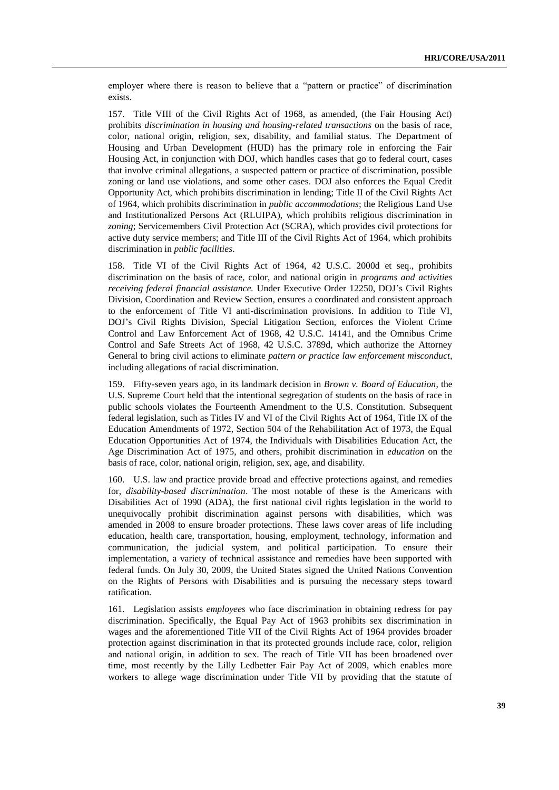employer where there is reason to believe that a "pattern or practice" of discrimination exists.

157. Title VIII of the Civil Rights Act of 1968, as amended, (the Fair Housing Act) prohibits *discrimination in housing and housing-related transactions* on the basis of race, color, national origin, religion, sex, disability, and familial status. The Department of Housing and Urban Development (HUD) has the primary role in enforcing the Fair Housing Act, in conjunction with DOJ, which handles cases that go to federal court, cases that involve criminal allegations, a suspected pattern or practice of discrimination, possible zoning or land use violations, and some other cases. DOJ also enforces the Equal Credit Opportunity Act, which prohibits discrimination in lending; Title II of the Civil Rights Act of 1964, which prohibits discrimination in *public accommodations*; the Religious Land Use and Institutionalized Persons Act (RLUIPA), which prohibits religious discrimination in *zoning*; Servicemembers Civil Protection Act (SCRA), which provides civil protections for active duty service members; and Title III of the Civil Rights Act of 1964, which prohibits discrimination in *public facilities*.

158. Title VI of the Civil Rights Act of 1964, 42 U.S.C. 2000d et seq., prohibits discrimination on the basis of race, color, and national origin in *programs and activities receiving federal financial assistance.* Under Executive Order 12250, DOJ's Civil Rights Division, Coordination and Review Section, ensures a coordinated and consistent approach to the enforcement of Title VI anti-discrimination provisions. In addition to Title VI, DOJ's Civil Rights Division, Special Litigation Section, enforces the Violent Crime Control and Law Enforcement Act of 1968, 42 U.S.C. 14141, and the Omnibus Crime Control and Safe Streets Act of 1968, 42 U.S.C. 3789d, which authorize the Attorney General to bring civil actions to eliminate *pattern or practice law enforcement misconduct*, including allegations of racial discrimination.

159. Fifty-seven years ago, in its landmark decision in *Brown v. Board of Education*, the U.S. Supreme Court held that the intentional segregation of students on the basis of race in public schools violates the Fourteenth Amendment to the U.S. Constitution. Subsequent federal legislation, such as Titles IV and VI of the Civil Rights Act of 1964, Title IX of the Education Amendments of 1972, Section 504 of the Rehabilitation Act of 1973, the Equal Education Opportunities Act of 1974, the Individuals with Disabilities Education Act, the Age Discrimination Act of 1975, and others, prohibit discrimination in *education* on the basis of race, color, national origin, religion, sex, age, and disability.

160. U.S. law and practice provide broad and effective protections against, and remedies for, *disability-based discrimination*. The most notable of these is the Americans with Disabilities Act of 1990 (ADA), the first national civil rights legislation in the world to unequivocally prohibit discrimination against persons with disabilities, which was amended in 2008 to ensure broader protections. These laws cover areas of life including education, health care, transportation, housing, employment, technology, information and communication, the judicial system, and political participation. To ensure their implementation, a variety of technical assistance and remedies have been supported with federal funds. On July 30, 2009, the United States signed the United Nations Convention on the Rights of Persons with Disabilities and is pursuing the necessary steps toward ratification.

161. Legislation assists *employees* who face discrimination in obtaining redress for pay discrimination. Specifically, the Equal Pay Act of 1963 prohibits sex discrimination in wages and the aforementioned Title VII of the Civil Rights Act of 1964 provides broader protection against discrimination in that its protected grounds include race, color, religion and national origin, in addition to sex. The reach of Title VII has been broadened over time, most recently by the Lilly Ledbetter Fair Pay Act of 2009, which enables more workers to allege wage discrimination under Title VII by providing that the statute of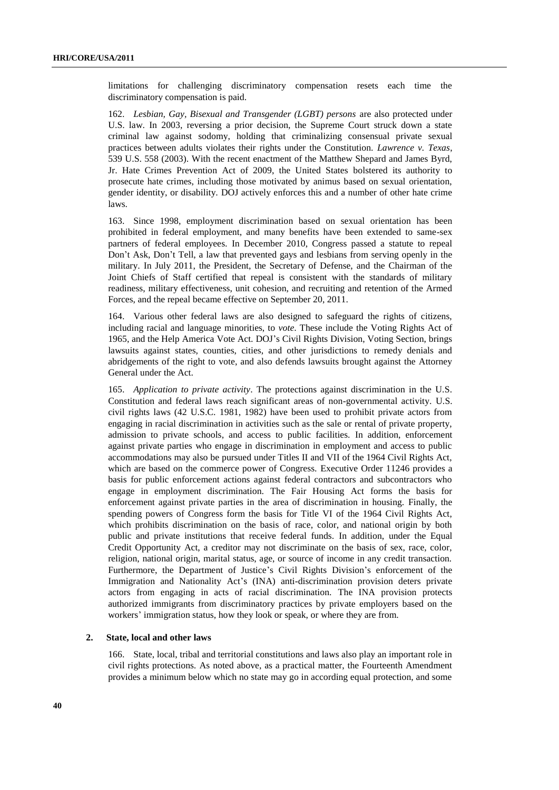limitations for challenging discriminatory compensation resets each time the discriminatory compensation is paid.

162. *Lesbian, Gay, Bisexual and Transgender (LGBT) persons* are also protected under U.S. law. In 2003, reversing a prior decision, the Supreme Court struck down a state criminal law against sodomy, holding that criminalizing consensual private sexual practices between adults violates their rights under the Constitution. *Lawrence v. Texas*, 539 U.S. 558 (2003). With the recent enactment of the Matthew Shepard and James Byrd, Jr. Hate Crimes Prevention Act of 2009, the United States bolstered its authority to prosecute hate crimes, including those motivated by animus based on sexual orientation, gender identity, or disability. DOJ actively enforces this and a number of other hate crime laws.

163. Since 1998, employment discrimination based on sexual orientation has been prohibited in federal employment, and many benefits have been extended to same-sex partners of federal employees. In December 2010, Congress passed a statute to repeal Don't Ask, Don't Tell, a law that prevented gays and lesbians from serving openly in the military. In July 2011, the President, the Secretary of Defense, and the Chairman of the Joint Chiefs of Staff certified that repeal is consistent with the standards of military readiness, military effectiveness, unit cohesion, and recruiting and retention of the Armed Forces, and the repeal became effective on September 20, 2011.

164. Various other federal laws are also designed to safeguard the rights of citizens, including racial and language minorities, to *vote*. These include the Voting Rights Act of 1965, and the Help America Vote Act. DOJ's Civil Rights Division, Voting Section, brings lawsuits against states, counties, cities, and other jurisdictions to remedy denials and abridgements of the right to vote, and also defends lawsuits brought against the Attorney General under the Act.

165. *Application to private activity*. The protections against discrimination in the U.S. Constitution and federal laws reach significant areas of non-governmental activity. U.S. civil rights laws (42 U.S.C. 1981, 1982) have been used to prohibit private actors from engaging in racial discrimination in activities such as the sale or rental of private property, admission to private schools, and access to public facilities. In addition, enforcement against private parties who engage in discrimination in employment and access to public accommodations may also be pursued under Titles II and VII of the 1964 Civil Rights Act, which are based on the commerce power of Congress. Executive Order 11246 provides a basis for public enforcement actions against federal contractors and subcontractors who engage in employment discrimination. The Fair Housing Act forms the basis for enforcement against private parties in the area of discrimination in housing. Finally, the spending powers of Congress form the basis for Title VI of the 1964 Civil Rights Act, which prohibits discrimination on the basis of race, color, and national origin by both public and private institutions that receive federal funds. In addition, under the Equal Credit Opportunity Act, a creditor may not discriminate on the basis of sex, race, color, religion, national origin, marital status, age, or source of income in any credit transaction. Furthermore, the Department of Justice's Civil Rights Division's enforcement of the Immigration and Nationality Act's (INA) anti-discrimination provision deters private actors from engaging in acts of racial discrimination. The INA provision protects authorized immigrants from discriminatory practices by private employers based on the workers' immigration status, how they look or speak, or where they are from.

## **2. State, local and other laws**

166. State, local, tribal and territorial constitutions and laws also play an important role in civil rights protections. As noted above, as a practical matter, the Fourteenth Amendment provides a minimum below which no state may go in according equal protection, and some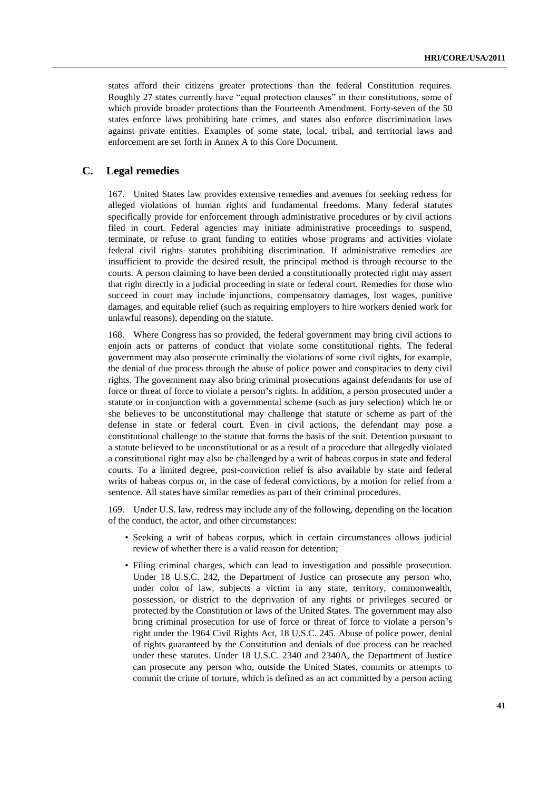states afford their citizens greater protections than the federal Constitution requires. Roughly 27 states currently have "equal protection clauses" in their constitutions, some of which provide broader protections than the Fourteenth Amendment. Forty-seven of the 50 states enforce laws prohibiting hate crimes, and states also enforce discrimination laws against private entities. Examples of some state, local, tribal, and territorial laws and enforcement are set forth in Annex A to this Core Document.

# **C. Legal remedies**

167. United States law provides extensive remedies and avenues for seeking redress for alleged violations of human rights and fundamental freedoms. Many federal statutes specifically provide for enforcement through administrative procedures or by civil actions filed in court. Federal agencies may initiate administrative proceedings to suspend, terminate, or refuse to grant funding to entities whose programs and activities violate federal civil rights statutes prohibiting discrimination. If administrative remedies are insufficient to provide the desired result, the principal method is through recourse to the courts. A person claiming to have been denied a constitutionally protected right may assert that right directly in a judicial proceeding in state or federal court. Remedies for those who succeed in court may include injunctions, compensatory damages, lost wages, punitive damages, and equitable relief (such as requiring employers to hire workers denied work for unlawful reasons), depending on the statute.

168. Where Congress has so provided, the federal government may bring civil actions to enjoin acts or patterns of conduct that violate some constitutional rights. The federal government may also prosecute criminally the violations of some civil rights, for example, the denial of due process through the abuse of police power and conspiracies to deny civil rights. The government may also bring criminal prosecutions against defendants for use of force or threat of force to violate a person's rights. In addition, a person prosecuted under a statute or in conjunction with a governmental scheme (such as jury selection) which he or she believes to be unconstitutional may challenge that statute or scheme as part of the defense in state or federal court. Even in civil actions, the defendant may pose a constitutional challenge to the statute that forms the basis of the suit. Detention pursuant to a statute believed to be unconstitutional or as a result of a procedure that allegedly violated a constitutional right may also be challenged by a writ of habeas corpus in state and federal courts. To a limited degree, post-conviction relief is also available by state and federal writs of habeas corpus or, in the case of federal convictions, by a motion for relief from a sentence. All states have similar remedies as part of their criminal procedures.

169. Under U.S. law, redress may include any of the following, depending on the location of the conduct, the actor, and other circumstances:

- Seeking a writ of habeas corpus*,* which in certain circumstances allows judicial review of whether there is a valid reason for detention;
- Filing criminal charges, which can lead to investigation and possible prosecution. Under 18 U.S.C. 242, the Department of Justice can prosecute any person who, under color of law, subjects a victim in any state, territory, commonwealth, possession, or district to the deprivation of any rights or privileges secured or protected by the Constitution or laws of the United States. The government may also bring criminal prosecution for use of force or threat of force to violate a person's right under the 1964 Civil Rights Act, 18 U.S.C. 245. Abuse of police power, denial of rights guaranteed by the Constitution and denials of due process can be reached under these statutes. Under 18 U.S.C. 2340 and 2340A, the Department of Justice can prosecute any person who, outside the United States, commits or attempts to commit the crime of torture, which is defined as an act committed by a person acting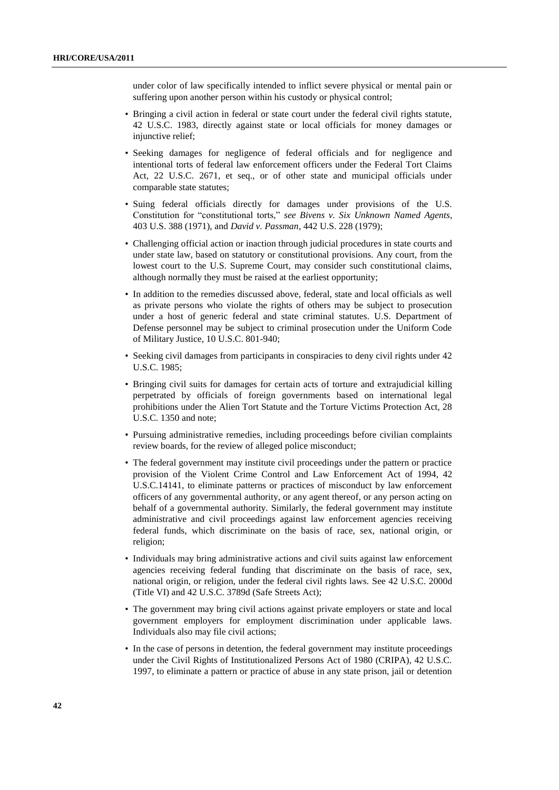under color of law specifically intended to inflict severe physical or mental pain or suffering upon another person within his custody or physical control;

- Bringing a civil action in federal or state court under the federal civil rights statute, 42 U.S.C. 1983, directly against state or local officials for money damages or injunctive relief;
- Seeking damages for negligence of federal officials and for negligence and intentional torts of federal law enforcement officers under the Federal Tort Claims Act, 22 U.S.C. 2671, et seq., or of other state and municipal officials under comparable state statutes;
- Suing federal officials directly for damages under provisions of the U.S. Constitution for "constitutional torts," see Bivens v. Six Unknown Named Agents, 403 U.S. 388 (1971), and *David v. Passman*, 442 U.S. 228 (1979);
- Challenging official action or inaction through judicial procedures in state courts and under state law, based on statutory or constitutional provisions. Any court, from the lowest court to the U.S. Supreme Court, may consider such constitutional claims, although normally they must be raised at the earliest opportunity;
- In addition to the remedies discussed above, federal, state and local officials as well as private persons who violate the rights of others may be subject to prosecution under a host of generic federal and state criminal statutes. U.S. Department of Defense personnel may be subject to criminal prosecution under the Uniform Code of Military Justice, 10 U.S.C. 801-940;
- Seeking civil damages from participants in conspiracies to deny civil rights under 42 U.S.C. 1985;
- Bringing civil suits for damages for certain acts of torture and extrajudicial killing perpetrated by officials of foreign governments based on international legal prohibitions under the Alien Tort Statute and the Torture Victims Protection Act, 28 U.S.C. 1350 and note;
- Pursuing administrative remedies, including proceedings before civilian complaints review boards, for the review of alleged police misconduct;
- The federal government may institute civil proceedings under the pattern or practice provision of the Violent Crime Control and Law Enforcement Act of 1994, 42 U.S.C.14141, to eliminate patterns or practices of misconduct by law enforcement officers of any governmental authority, or any agent thereof, or any person acting on behalf of a governmental authority. Similarly, the federal government may institute administrative and civil proceedings against law enforcement agencies receiving federal funds, which discriminate on the basis of race, sex, national origin, or religion;
- Individuals may bring administrative actions and civil suits against law enforcement agencies receiving federal funding that discriminate on the basis of race, sex, national origin, or religion, under the federal civil rights laws. See 42 U.S.C. 2000d (Title VI) and 42 U.S.C. 3789d (Safe Streets Act);
- The government may bring civil actions against private employers or state and local government employers for employment discrimination under applicable laws. Individuals also may file civil actions;
- In the case of persons in detention, the federal government may institute proceedings under the Civil Rights of Institutionalized Persons Act of 1980 (CRIPA), 42 U.S.C. 1997, to eliminate a pattern or practice of abuse in any state prison, jail or detention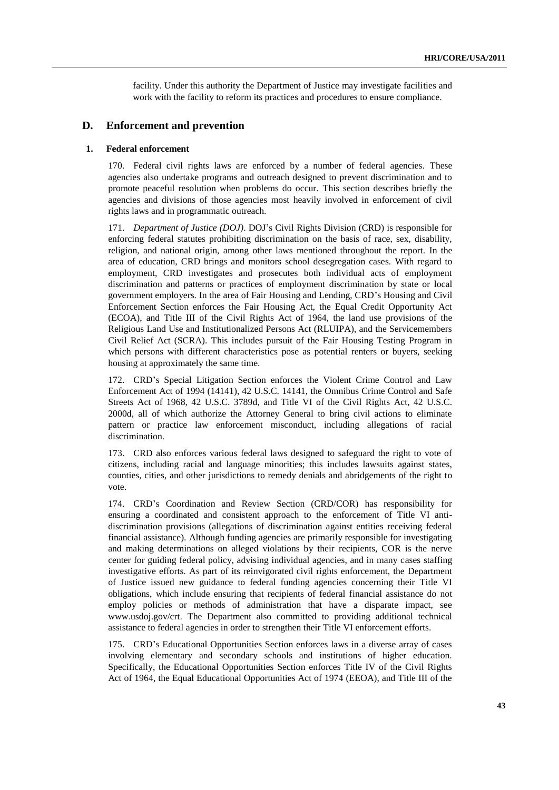facility. Under this authority the Department of Justice may investigate facilities and work with the facility to reform its practices and procedures to ensure compliance.

# **D. Enforcement and prevention**

## **1. Federal enforcement**

170. Federal civil rights laws are enforced by a number of federal agencies. These agencies also undertake programs and outreach designed to prevent discrimination and to promote peaceful resolution when problems do occur. This section describes briefly the agencies and divisions of those agencies most heavily involved in enforcement of civil rights laws and in programmatic outreach.

171. *Department of Justice (DOJ)*. DOJ's Civil Rights Division (CRD) is responsible for enforcing federal statutes prohibiting discrimination on the basis of race, sex, disability, religion, and national origin, among other laws mentioned throughout the report. In the area of education, CRD brings and monitors school desegregation cases. With regard to employment, CRD investigates and prosecutes both individual acts of employment discrimination and patterns or practices of employment discrimination by state or local government employers. In the area of Fair Housing and Lending, CRD's Housing and Civil Enforcement Section enforces the Fair Housing Act, the Equal Credit Opportunity Act (ECOA), and Title III of the Civil Rights Act of 1964, the land use provisions of the Religious Land Use and Institutionalized Persons Act (RLUIPA), and the Servicemembers Civil Relief Act (SCRA). This includes pursuit of the Fair Housing Testing Program in which persons with different characteristics pose as potential renters or buyers, seeking housing at approximately the same time.

172. CRD's Special Litigation Section enforces the Violent Crime Control and Law Enforcement Act of 1994 (14141), 42 U.S.C. 14141, the Omnibus Crime Control and Safe Streets Act of 1968, 42 U.S.C. 3789d, and Title VI of the Civil Rights Act, 42 U.S.C. 2000d, all of which authorize the Attorney General to bring civil actions to eliminate pattern or practice law enforcement misconduct, including allegations of racial discrimination.

173. CRD also enforces various federal laws designed to safeguard the right to vote of citizens, including racial and language minorities; this includes lawsuits against states, counties, cities, and other jurisdictions to remedy denials and abridgements of the right to vote.

174. CRD's Coordination and Review Section (CRD/COR) has responsibility for ensuring a coordinated and consistent approach to the enforcement of Title VI antidiscrimination provisions (allegations of discrimination against entities receiving federal financial assistance). Although funding agencies are primarily responsible for investigating and making determinations on alleged violations by their recipients, COR is the nerve center for guiding federal policy, advising individual agencies, and in many cases staffing investigative efforts. As part of its reinvigorated civil rights enforcement, the Department of Justice issued new guidance to federal funding agencies concerning their Title VI obligations, which include ensuring that recipients of federal financial assistance do not employ policies or methods of administration that have a disparate impact, see [www.usdoj.gov/crt.](http://www.usdoj.gov/crt) The Department also committed to providing additional technical assistance to federal agencies in order to strengthen their Title VI enforcement efforts.

175. CRD's Educational Opportunities Section enforces laws in a diverse array of cases involving elementary and secondary schools and institutions of higher education. Specifically, the Educational Opportunities Section enforces Title IV of the Civil Rights Act of 1964, the Equal Educational Opportunities Act of 1974 (EEOA), and Title III of the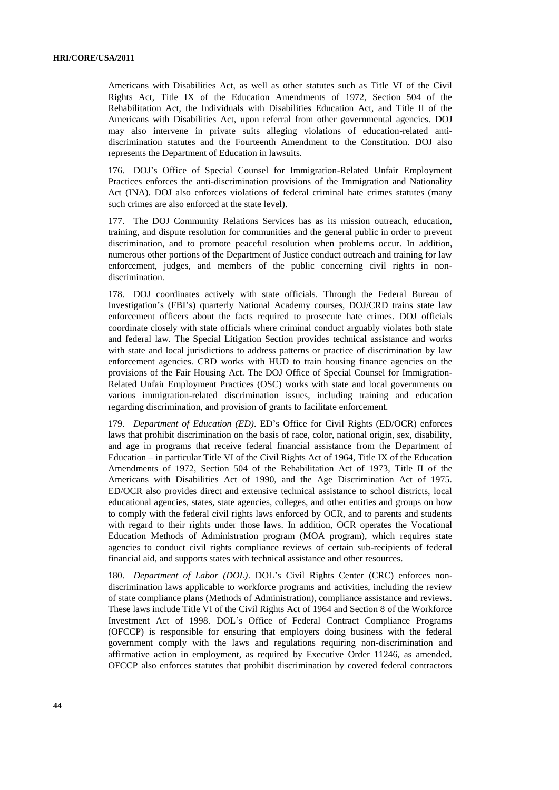Americans with Disabilities Act, as well as other statutes such as Title VI of the Civil Rights Act, Title IX of the Education Amendments of 1972, Section 504 of the Rehabilitation Act, the Individuals with Disabilities Education Act, and Title II of the Americans with Disabilities Act, upon referral from other governmental agencies. DOJ may also intervene in private suits alleging violations of education-related antidiscrimination statutes and the Fourteenth Amendment to the Constitution. DOJ also represents the Department of Education in lawsuits.

176. DOJ's Office of Special Counsel for Immigration-Related Unfair Employment Practices enforces the anti-discrimination provisions of the Immigration and Nationality Act (INA). DOJ also enforces violations of federal criminal hate crimes statutes (many such crimes are also enforced at the state level).

177. The DOJ Community Relations Services has as its mission outreach, education, training, and dispute resolution for communities and the general public in order to prevent discrimination, and to promote peaceful resolution when problems occur. In addition, numerous other portions of the Department of Justice conduct outreach and training for law enforcement, judges, and members of the public concerning civil rights in nondiscrimination.

178. DOJ coordinates actively with state officials. Through the Federal Bureau of Investigation's (FBI's) quarterly National Academy courses, DOJ/CRD trains state law enforcement officers about the facts required to prosecute hate crimes. DOJ officials coordinate closely with state officials where criminal conduct arguably violates both state and federal law. The Special Litigation Section provides technical assistance and works with state and local jurisdictions to address patterns or practice of discrimination by law enforcement agencies. CRD works with HUD to train housing finance agencies on the provisions of the Fair Housing Act. The DOJ Office of Special Counsel for Immigration-Related Unfair Employment Practices (OSC) works with state and local governments on various immigration-related discrimination issues, including training and education regarding discrimination, and provision of grants to facilitate enforcement.

179. *Department of Education (ED)*. ED's Office for Civil Rights (ED/OCR) enforces laws that prohibit discrimination on the basis of race, color, national origin, sex, disability, and age in programs that receive federal financial assistance from the Department of Education – in particular Title VI of the Civil Rights Act of 1964, Title IX of the Education Amendments of 1972, Section 504 of the Rehabilitation Act of 1973, Title II of the Americans with Disabilities Act of 1990, and the Age Discrimination Act of 1975. ED/OCR also provides direct and extensive technical assistance to school districts, local educational agencies, states, state agencies, colleges, and other entities and groups on how to comply with the federal civil rights laws enforced by OCR, and to parents and students with regard to their rights under those laws. In addition, OCR operates the Vocational Education Methods of Administration program (MOA program), which requires state agencies to conduct civil rights compliance reviews of certain sub-recipients of federal financial aid, and supports states with technical assistance and other resources.

180. *Department of Labor (DOL)*. DOL's Civil Rights Center (CRC) enforces nondiscrimination laws applicable to workforce programs and activities, including the review of state compliance plans (Methods of Administration), compliance assistance and reviews. These laws include Title VI of the Civil Rights Act of 1964 and Section 8 of the Workforce Investment Act of 1998. DOL's Office of Federal Contract Compliance Programs (OFCCP) is responsible for ensuring that employers doing business with the federal government comply with the laws and regulations requiring non-discrimination and affirmative action in employment, as required by Executive Order 11246, as amended. OFCCP also enforces statutes that prohibit discrimination by covered federal contractors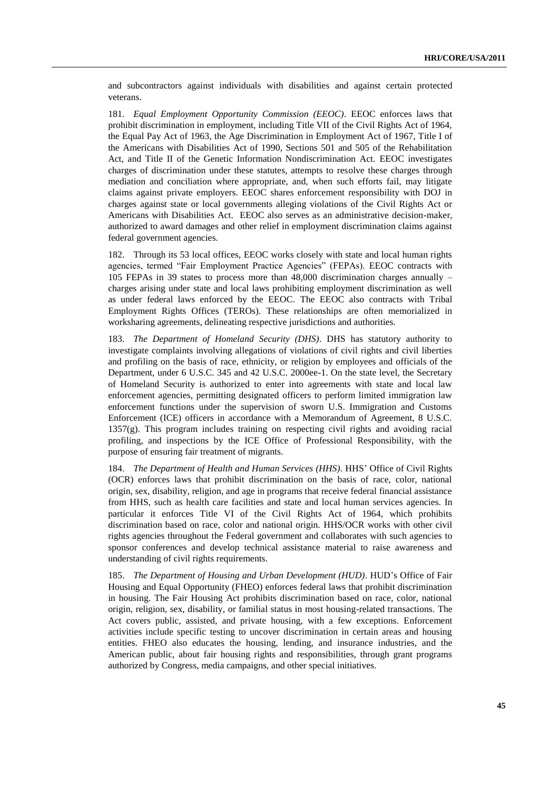and subcontractors against individuals with disabilities and against certain protected veterans.

181. *Equal Employment Opportunity Commission (EEOC)*. EEOC enforces laws that prohibit discrimination in employment, including Title VII of the Civil Rights Act of 1964, the Equal Pay Act of 1963, the Age Discrimination in Employment Act of 1967, Title I of the Americans with Disabilities Act of 1990, Sections 501 and 505 of the Rehabilitation Act, and Title II of the Genetic Information Nondiscrimination Act. EEOC investigates charges of discrimination under these statutes, attempts to resolve these charges through mediation and conciliation where appropriate, and, when such efforts fail, may litigate claims against private employers. EEOC shares enforcement responsibility with DOJ in charges against state or local governments alleging violations of the Civil Rights Act or Americans with Disabilities Act. EEOC also serves as an administrative decision-maker, authorized to award damages and other relief in employment discrimination claims against federal government agencies.

182. Through its 53 local offices, EEOC works closely with state and local human rights agencies, termed "Fair Employment Practice Agencies" (FEPAs). EEOC contracts with 105 FEPAs in 39 states to process more than 48,000 discrimination charges annually – charges arising under state and local laws prohibiting employment discrimination as well as under federal laws enforced by the EEOC. The EEOC also contracts with Tribal Employment Rights Offices (TEROs). These relationships are often memorialized in worksharing agreements, delineating respective jurisdictions and authorities.

183. *The Department of Homeland Security (DHS)*. DHS has statutory authority to investigate complaints involving allegations of violations of civil rights and civil liberties and profiling on the basis of race, ethnicity, or religion by employees and officials of the Department, under 6 U.S.C. 345 and 42 U.S.C. 2000ee-1. On the state level, the Secretary of Homeland Security is authorized to enter into agreements with state and local law enforcement agencies, permitting designated officers to perform limited immigration law enforcement functions under the supervision of sworn U.S. Immigration and Customs Enforcement (ICE) officers in accordance with a Memorandum of Agreement, 8 U.S.C.  $1357(g)$ . This program includes training on respecting civil rights and avoiding racial profiling, and inspections by the ICE Office of Professional Responsibility, with the purpose of ensuring fair treatment of migrants.

184. *The Department of Health and Human Services (HHS)*. HHS' Office of Civil Rights (OCR) enforces laws that prohibit discrimination on the basis of race, color, national origin, sex, disability, religion, and age in programs that receive federal financial assistance from HHS, such as health care facilities and state and local human services agencies. In particular it enforces Title VI of the Civil Rights Act of 1964, which prohibits discrimination based on race, color and national origin. HHS/OCR works with other civil rights agencies throughout the Federal government and collaborates with such agencies to sponsor conferences and develop technical assistance material to raise awareness and understanding of civil rights requirements.

185. *The Department of Housing and Urban Development (HUD)*. HUD's Office of Fair Housing and Equal Opportunity (FHEO) enforces federal laws that prohibit discrimination in housing. The Fair Housing Act prohibits discrimination based on race, color, national origin, religion, sex, disability, or familial status in most housing-related transactions. The Act covers public, assisted, and private housing, with a few exceptions. Enforcement activities include specific testing to uncover discrimination in certain areas and housing entities. FHEO also educates the housing, lending, and insurance industries, and the American public, about fair housing rights and responsibilities, through grant programs authorized by Congress, media campaigns, and other special initiatives.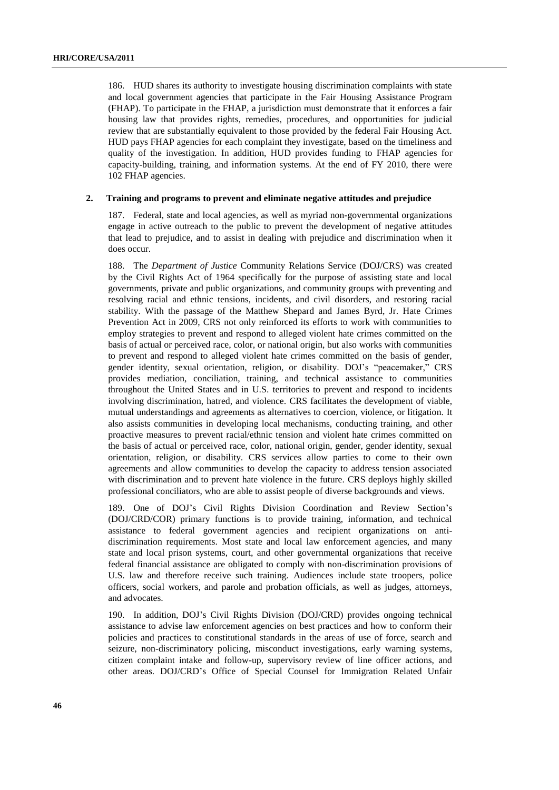186. HUD shares its authority to investigate housing discrimination complaints with state and local government agencies that participate in the Fair Housing Assistance Program (FHAP). To participate in the FHAP, a jurisdiction must demonstrate that it enforces a fair housing law that provides rights, remedies, procedures, and opportunities for judicial review that are substantially equivalent to those provided by the federal Fair Housing Act. HUD pays FHAP agencies for each complaint they investigate, based on the timeliness and quality of the investigation. In addition, HUD provides funding to FHAP agencies for capacity-building, training, and information systems. At the end of FY 2010, there were 102 FHAP agencies.

#### **2. Training and programs to prevent and eliminate negative attitudes and prejudice**

187. Federal, state and local agencies, as well as myriad non-governmental organizations engage in active outreach to the public to prevent the development of negative attitudes that lead to prejudice, and to assist in dealing with prejudice and discrimination when it does occur.

188. The *Department of Justice* Community Relations Service (DOJ/CRS) was created by the Civil Rights Act of 1964 specifically for the purpose of assisting state and local governments, private and public organizations, and community groups with preventing and resolving racial and ethnic tensions, incidents, and civil disorders, and restoring racial stability. With the passage of the Matthew Shepard and James Byrd, Jr. Hate Crimes Prevention Act in 2009, CRS not only reinforced its efforts to work with communities to employ strategies to prevent and respond to alleged violent hate crimes committed on the basis of actual or perceived race, color, or national origin, but also works with communities to prevent and respond to alleged violent hate crimes committed on the basis of gender, gender identity, sexual orientation, religion, or disability. DOJ's "peacemaker," CRS provides mediation, conciliation, training, and technical assistance to communities throughout the United States and in U.S. territories to prevent and respond to incidents involving discrimination, hatred, and violence. CRS facilitates the development of viable, mutual understandings and agreements as alternatives to coercion, violence, or litigation. It also assists communities in developing local mechanisms, conducting training, and other proactive measures to prevent racial/ethnic tension and violent hate crimes committed on the basis of actual or perceived race, color, national origin, gender, gender identity, sexual orientation, religion, or disability. CRS services allow parties to come to their own agreements and allow communities to develop the capacity to address tension associated with discrimination and to prevent hate violence in the future. CRS deploys highly skilled professional conciliators, who are able to assist people of diverse backgrounds and views.

189. One of DOJ's Civil Rights Division Coordination and Review Section's (DOJ/CRD/COR) primary functions is to provide training, information, and technical assistance to federal government agencies and recipient organizations on antidiscrimination requirements. Most state and local law enforcement agencies, and many state and local prison systems, court, and other governmental organizations that receive federal financial assistance are obligated to comply with non-discrimination provisions of U.S. law and therefore receive such training. Audiences include state troopers, police officers, social workers, and parole and probation officials, as well as judges, attorneys, and advocates.

190. In addition, DOJ's Civil Rights Division (DOJ/CRD) provides ongoing technical assistance to advise law enforcement agencies on best practices and how to conform their policies and practices to constitutional standards in the areas of use of force, search and seizure, non-discriminatory policing, misconduct investigations, early warning systems, citizen complaint intake and follow-up, supervisory review of line officer actions, and other areas. DOJ/CRD's Office of Special Counsel for Immigration Related Unfair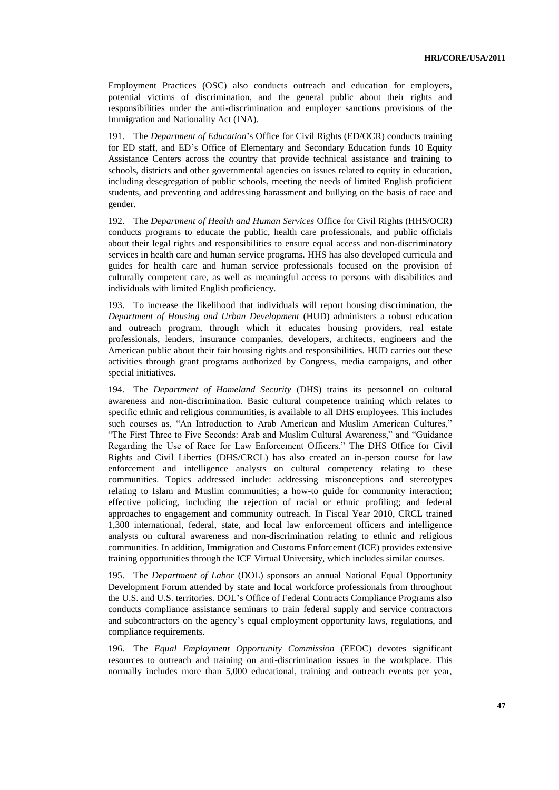Employment Practices (OSC) also conducts outreach and education for employers, potential victims of discrimination, and the general public about their rights and responsibilities under the anti-discrimination and employer sanctions provisions of the Immigration and Nationality Act (INA).

191. The *Department of Education*'s Office for Civil Rights (ED/OCR) conducts training for ED staff, and ED's Office of Elementary and Secondary Education funds 10 Equity Assistance Centers across the country that provide technical assistance and training to schools, districts and other governmental agencies on issues related to equity in education, including desegregation of public schools, meeting the needs of limited English proficient students, and preventing and addressing harassment and bullying on the basis of race and gender.

192. The *Department of Health and Human Services* Office for Civil Rights (HHS/OCR) conducts programs to educate the public, health care professionals, and public officials about their legal rights and responsibilities to ensure equal access and non-discriminatory services in health care and human service programs. HHS has also developed curricula and guides for health care and human service professionals focused on the provision of culturally competent care, as well as meaningful access to persons with disabilities and individuals with limited English proficiency.

193. To increase the likelihood that individuals will report housing discrimination, the *Department of Housing and Urban Development* (HUD) administers a robust education and outreach program, through which it educates housing providers, real estate professionals, lenders, insurance companies, developers, architects, engineers and the American public about their fair housing rights and responsibilities. HUD carries out these activities through grant programs authorized by Congress, media campaigns, and other special initiatives.

194. The *Department of Homeland Security* (DHS) trains its personnel on cultural awareness and non-discrimination. Basic cultural competence training which relates to specific ethnic and religious communities, is available to all DHS employees. This includes such courses as, "An Introduction to Arab American and Muslim American Cultures," "The First Three to Five Seconds: Arab and Muslim Cultural Awareness," and "Guidance" Regarding the Use of Race for Law Enforcement Officers." The DHS Office for Civil Rights and Civil Liberties (DHS/CRCL) has also created an in-person course for law enforcement and intelligence analysts on cultural competency relating to these communities. Topics addressed include: addressing misconceptions and stereotypes relating to Islam and Muslim communities; a how-to guide for community interaction; effective policing, including the rejection of racial or ethnic profiling; and federal approaches to engagement and community outreach. In Fiscal Year 2010, CRCL trained 1,300 international, federal, state, and local law enforcement officers and intelligence analysts on cultural awareness and non-discrimination relating to ethnic and religious communities. In addition, Immigration and Customs Enforcement (ICE) provides extensive training opportunities through the ICE Virtual University, which includes similar courses.

195. The *Department of Labor* (DOL) sponsors an annual National Equal Opportunity Development Forum attended by state and local workforce professionals from throughout the U.S. and U.S. territories. DOL's Office of Federal Contracts Compliance Programs also conducts compliance assistance seminars to train federal supply and service contractors and subcontractors on the agency's equal employment opportunity laws, regulations, and compliance requirements.

196. The *Equal Employment Opportunity Commission* (EEOC) devotes significant resources to outreach and training on anti-discrimination issues in the workplace. This normally includes more than 5,000 educational, training and outreach events per year,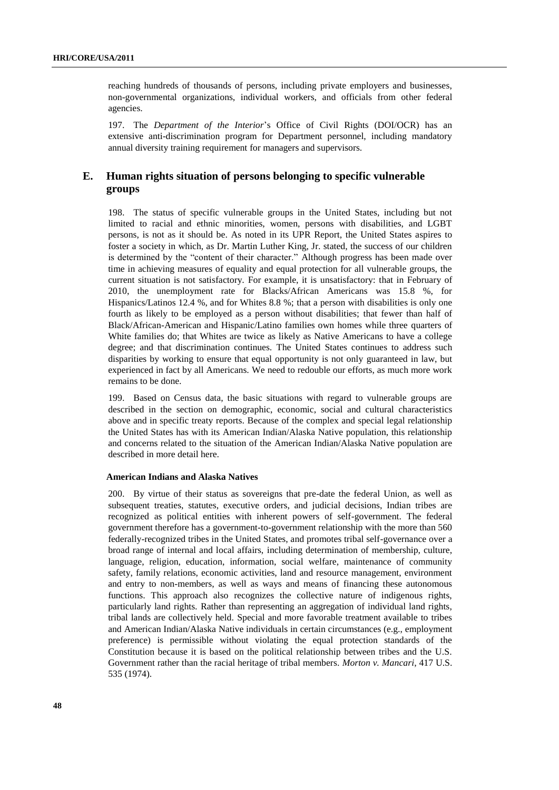reaching hundreds of thousands of persons, including private employers and businesses, non-governmental organizations, individual workers, and officials from other federal agencies.

197. The *Department of the Interior*'s Office of Civil Rights (DOI/OCR) has an extensive anti-discrimination program for Department personnel, including mandatory annual diversity training requirement for managers and supervisors.

# **E. Human rights situation of persons belonging to specific vulnerable groups**

198. The status of specific vulnerable groups in the United States, including but not limited to racial and ethnic minorities, women, persons with disabilities, and LGBT persons, is not as it should be. As noted in its UPR Report, the United States aspires to foster a society in which, as Dr. Martin Luther King, Jr. stated, the success of our children is determined by the "content of their character." Although progress has been made over time in achieving measures of equality and equal protection for all vulnerable groups, the current situation is not satisfactory. For example, it is unsatisfactory: that in February of 2010, the unemployment rate for Blacks/African Americans was 15.8 %, for Hispanics/Latinos 12.4 %, and for Whites 8.8 %; that a person with disabilities is only one fourth as likely to be employed as a person without disabilities; that fewer than half of Black/African-American and Hispanic/Latino families own homes while three quarters of White families do; that Whites are twice as likely as Native Americans to have a college degree; and that discrimination continues. The United States continues to address such disparities by working to ensure that equal opportunity is not only guaranteed in law, but experienced in fact by all Americans. We need to redouble our efforts, as much more work remains to be done.

199. Based on Census data, the basic situations with regard to vulnerable groups are described in the section on demographic, economic, social and cultural characteristics above and in specific treaty reports. Because of the complex and special legal relationship the United States has with its American Indian/Alaska Native population, this relationship and concerns related to the situation of the American Indian/Alaska Native population are described in more detail here.

# **American Indians and Alaska Natives**

200. By virtue of their status as sovereigns that pre-date the federal Union, as well as subsequent treaties, statutes, executive orders, and judicial decisions, Indian tribes are recognized as political entities with inherent powers of self-government. The federal government therefore has a government-to-government relationship with the more than 560 federally-recognized tribes in the United States, and promotes tribal self-governance over a broad range of internal and local affairs, including determination of membership, culture, language, religion, education, information, social welfare, maintenance of community safety, family relations, economic activities, land and resource management, environment and entry to non-members, as well as ways and means of financing these autonomous functions. This approach also recognizes the collective nature of indigenous rights, particularly land rights. Rather than representing an aggregation of individual land rights, tribal lands are collectively held. Special and more favorable treatment available to tribes and American Indian/Alaska Native individuals in certain circumstances (e.g., employment preference) is permissible without violating the equal protection standards of the Constitution because it is based on the political relationship between tribes and the U.S. Government rather than the racial heritage of tribal members. *Morton v. Mancari*, 417 U.S. 535 (1974).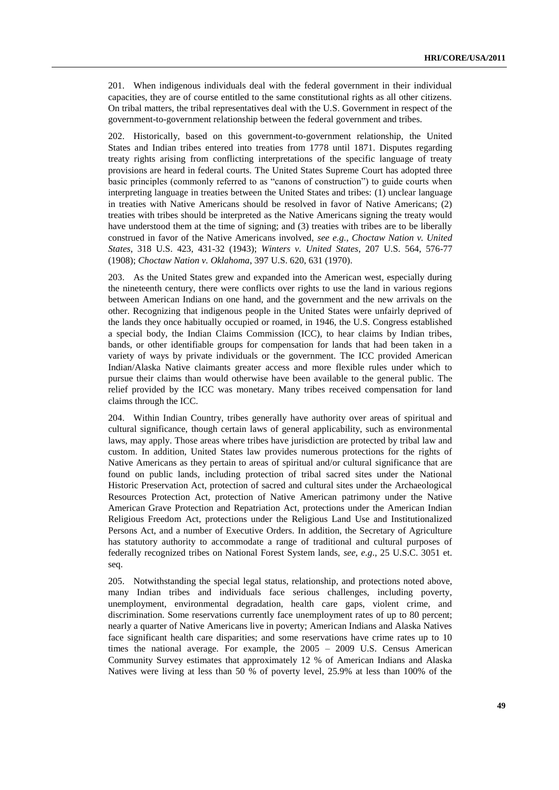201. When indigenous individuals deal with the federal government in their individual capacities, they are of course entitled to the same constitutional rights as all other citizens. On tribal matters, the tribal representatives deal with the U.S. Government in respect of the government-to-government relationship between the federal government and tribes.

202. Historically, based on this government-to-government relationship, the United States and Indian tribes entered into treaties from 1778 until 1871. Disputes regarding treaty rights arising from conflicting interpretations of the specific language of treaty provisions are heard in federal courts. The United States Supreme Court has adopted three basic principles (commonly referred to as "canons of construction") to guide courts when interpreting language in treaties between the United States and tribes: (1) unclear language in treaties with Native Americans should be resolved in favor of Native Americans; (2) treaties with tribes should be interpreted as the Native Americans signing the treaty would have understood them at the time of signing; and (3) treaties with tribes are to be liberally construed in favor of the Native Americans involved, *see e.g.*, *Choctaw Nation v. United States*, 318 U.S. 423, 431-32 (1943); *Winters v. United States*, 207 U.S. 564, 576-77 (1908); *Choctaw Nation v. Oklahoma*, 397 U.S. 620, 631 (1970).

203. As the United States grew and expanded into the American west, especially during the nineteenth century, there were conflicts over rights to use the land in various regions between American Indians on one hand, and the government and the new arrivals on the other. Recognizing that indigenous people in the United States were unfairly deprived of the lands they once habitually occupied or roamed, in 1946, the U.S. Congress established a special body, the Indian Claims Commission (ICC), to hear claims by Indian tribes, bands, or other identifiable groups for compensation for lands that had been taken in a variety of ways by private individuals or the government. The ICC provided American Indian/Alaska Native claimants greater access and more flexible rules under which to pursue their claims than would otherwise have been available to the general public. The relief provided by the ICC was monetary. Many tribes received compensation for land claims through the ICC.

204. Within Indian Country, tribes generally have authority over areas of spiritual and cultural significance, though certain laws of general applicability, such as environmental laws, may apply. Those areas where tribes have jurisdiction are protected by tribal law and custom. In addition, United States law provides numerous protections for the rights of Native Americans as they pertain to areas of spiritual and/or cultural significance that are found on public lands, including protection of tribal sacred sites under the National Historic Preservation Act, protection of sacred and cultural sites under the Archaeological Resources Protection Act, protection of Native American patrimony under the Native American Grave Protection and Repatriation Act, protections under the American Indian Religious Freedom Act, protections under the Religious Land Use and Institutionalized Persons Act, and a number of Executive Orders. In addition, the Secretary of Agriculture has statutory authority to accommodate a range of traditional and cultural purposes of federally recognized tribes on National Forest System lands, *see*, *e.g*., 25 U.S.C. 3051 et. seq.

205. Notwithstanding the special legal status, relationship, and protections noted above, many Indian tribes and individuals face serious challenges, including poverty, unemployment, environmental degradation, health care gaps, violent crime, and discrimination. Some reservations currently face unemployment rates of up to 80 percent; nearly a quarter of Native Americans live in poverty; American Indians and Alaska Natives face significant health care disparities; and some reservations have crime rates up to 10 times the national average. For example, the 2005 – 2009 U.S. Census American Community Survey estimates that approximately 12 % of American Indians and Alaska Natives were living at less than 50 % of poverty level, 25.9% at less than 100% of the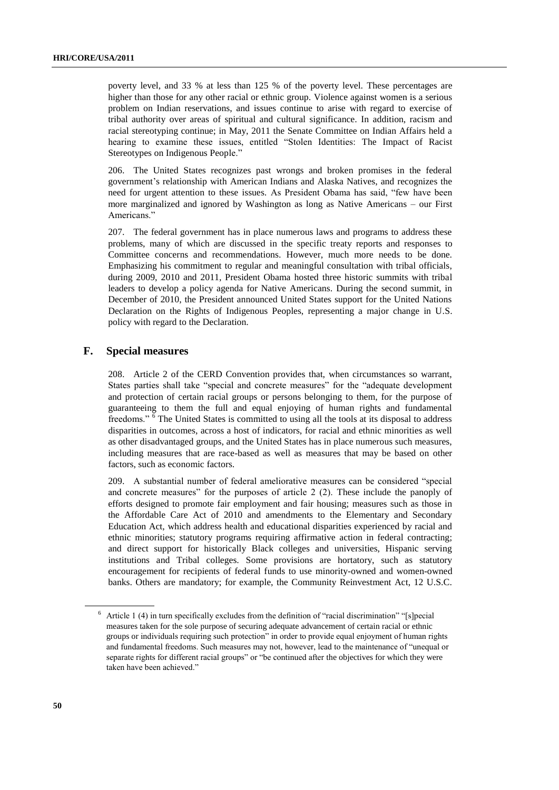poverty level, and 33 % at less than 125 % of the poverty level. These percentages are higher than those for any other racial or ethnic group. Violence against women is a serious problem on Indian reservations, and issues continue to arise with regard to exercise of tribal authority over areas of spiritual and cultural significance. In addition, racism and racial stereotyping continue; in May, 2011 the Senate Committee on Indian Affairs held a hearing to examine these issues, entitled "Stolen Identities: The Impact of Racist Stereotypes on Indigenous People."

206. The United States recognizes past wrongs and broken promises in the federal government's relationship with American Indians and Alaska Natives, and recognizes the need for urgent attention to these issues. As President Obama has said, "few have been more marginalized and ignored by Washington as long as Native Americans – our First Americans."

207. The federal government has in place numerous laws and programs to address these problems, many of which are discussed in the specific treaty reports and responses to Committee concerns and recommendations. However, much more needs to be done. Emphasizing his commitment to regular and meaningful consultation with tribal officials, during 2009, 2010 and 2011, President Obama hosted three historic summits with tribal leaders to develop a policy agenda for Native Americans. During the second summit, in December of 2010, the President announced United States support for the United Nations Declaration on the Rights of Indigenous Peoples, representing a major change in U.S. policy with regard to the Declaration.

# **F. Special measures**

208. Article 2 of the CERD Convention provides that, when circumstances so warrant, States parties shall take "special and concrete measures" for the "adequate development and protection of certain racial groups or persons belonging to them, for the purpose of guaranteeing to them the full and equal enjoying of human rights and fundamental freedoms." <sup>6</sup> The United States is committed to using all the tools at its disposal to address disparities in outcomes, across a host of indicators, for racial and ethnic minorities as well as other disadvantaged groups, and the United States has in place numerous such measures, including measures that are race-based as well as measures that may be based on other factors, such as economic factors.

209. A substantial number of federal ameliorative measures can be considered "special" and concrete measures" for the purposes of article  $2(2)$ . These include the panoply of efforts designed to promote fair employment and fair housing; measures such as those in the Affordable Care Act of 2010 and amendments to the Elementary and Secondary Education Act, which address health and educational disparities experienced by racial and ethnic minorities; statutory programs requiring affirmative action in federal contracting; and direct support for historically Black colleges and universities, Hispanic serving institutions and Tribal colleges. Some provisions are hortatory, such as statutory encouragement for recipients of federal funds to use minority-owned and women-owned banks. Others are mandatory; for example, the Community Reinvestment Act, 12 U.S.C.

 $6$  Article 1 (4) in turn specifically excludes from the definition of "racial discrimination" "[s]pecial measures taken for the sole purpose of securing adequate advancement of certain racial or ethnic groups or individuals requiring such protection" in order to provide equal enjoyment of human rights and fundamental freedoms. Such measures may not, however, lead to the maintenance of "unequal or separate rights for different racial groups" or "be continued after the objectives for which they were taken have been achieved."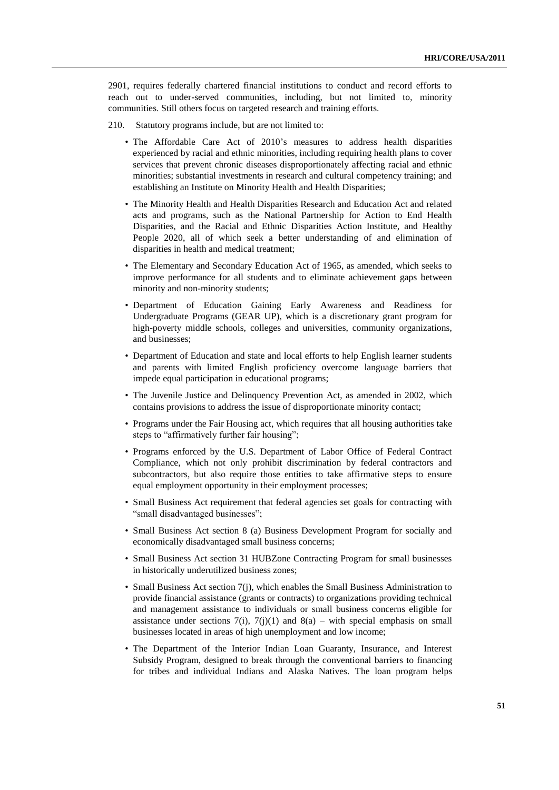2901, requires federally chartered financial institutions to conduct and record efforts to reach out to under-served communities, including, but not limited to, minority communities. Still others focus on targeted research and training efforts.

- 210. Statutory programs include, but are not limited to:
	- The Affordable Care Act of 2010's measures to address health disparities experienced by racial and ethnic minorities, including requiring health plans to cover services that prevent chronic diseases disproportionately affecting racial and ethnic minorities; substantial investments in research and cultural competency training; and establishing an Institute on Minority Health and Health Disparities;
	- The Minority Health and Health Disparities Research and Education Act and related acts and programs, such as the National Partnership for Action to End Health Disparities, and the Racial and Ethnic Disparities Action Institute, and Healthy People 2020, all of which seek a better understanding of and elimination of disparities in health and medical treatment;
	- The Elementary and Secondary Education Act of 1965, as amended, which seeks to improve performance for all students and to eliminate achievement gaps between minority and non-minority students;
	- Department of Education Gaining Early Awareness and Readiness for Undergraduate Programs (GEAR UP), which is a discretionary grant program for high-poverty middle schools, colleges and universities, community organizations, and businesses;
	- Department of Education and state and local efforts to help English learner students and parents with limited English proficiency overcome language barriers that impede equal participation in educational programs;
	- The Juvenile Justice and Delinquency Prevention Act, as amended in 2002, which contains provisions to address the issue of disproportionate minority contact;
	- Programs under the Fair Housing act, which requires that all housing authorities take steps to "affirmatively further fair housing";
	- Programs enforced by the U.S. Department of Labor Office of Federal Contract Compliance, which not only prohibit discrimination by federal contractors and subcontractors, but also require those entities to take affirmative steps to ensure equal employment opportunity in their employment processes;
	- Small Business Act requirement that federal agencies set goals for contracting with "small disadvantaged businesses";
	- Small Business Act section 8 (a) Business Development Program for socially and economically disadvantaged small business concerns;
	- Small Business Act section 31 HUBZone Contracting Program for small businesses in historically underutilized business zones;
	- Small Business Act section 7(j), which enables the Small Business Administration to provide financial assistance (grants or contracts) to organizations providing technical and management assistance to individuals or small business concerns eligible for assistance under sections 7(i), 7(j)(1) and 8(a) – with special emphasis on small businesses located in areas of high unemployment and low income;
	- The Department of the Interior Indian Loan Guaranty, Insurance, and Interest Subsidy Program, designed to break through the conventional barriers to financing for tribes and individual Indians and Alaska Natives. The loan program helps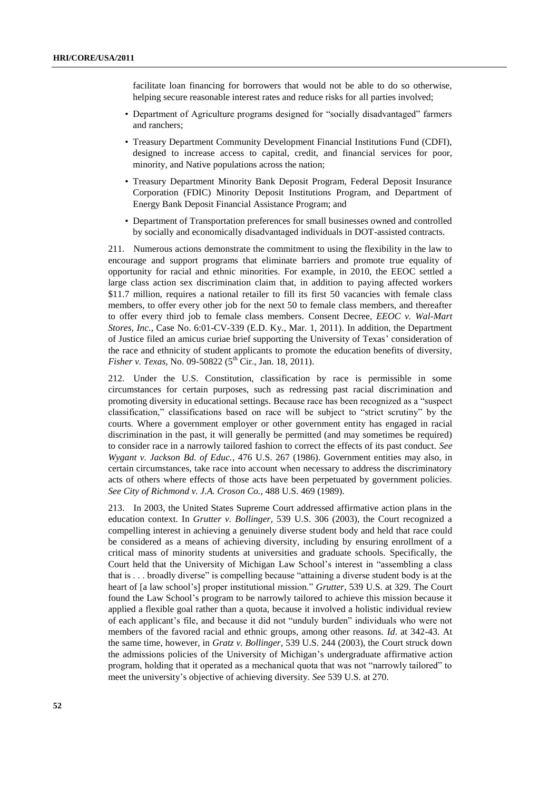facilitate loan financing for borrowers that would not be able to do so otherwise, helping secure reasonable interest rates and reduce risks for all parties involved;

- Department of Agriculture programs designed for "socially disadvantaged" farmers and ranchers;
- Treasury Department Community Development Financial Institutions Fund (CDFI), designed to increase access to capital, credit, and financial services for poor, minority, and Native populations across the nation;
- Treasury Department Minority Bank Deposit Program, Federal Deposit Insurance Corporation (FDIC) Minority Deposit Institutions Program, and Department of Energy Bank Deposit Financial Assistance Program; and
- Department of Transportation preferences for small businesses owned and controlled by socially and economically disadvantaged individuals in DOT-assisted contracts.

211. Numerous actions demonstrate the commitment to using the flexibility in the law to encourage and support programs that eliminate barriers and promote true equality of opportunity for racial and ethnic minorities. For example, in 2010, the EEOC settled a large class action sex discrimination claim that, in addition to paying affected workers \$11.7 million, requires a national retailer to fill its first 50 vacancies with female class members, to offer every other job for the next 50 to female class members, and thereafter to offer every third job to female class members. Consent Decree*, EEOC v. Wal-Mart Stores, Inc.*, Case No. 6:01-CV-339 (E.D. Ky., Mar. 1, 2011). In addition, the Department of Justice filed an amicus curiae brief supporting the University of Texas' consideration of the race and ethnicity of student applicants to promote the education benefits of diversity, *Fisher v. Texas*, No. 09-50822 (5<sup>th</sup> Cir., Jan. 18, 2011).

212. Under the U.S. Constitution, classification by race is permissible in some circumstances for certain purposes, such as redressing past racial discrimination and promoting diversity in educational settings. Because race has been recognized as a "suspect" classification," classifications based on race will be subject to "strict scrutiny" by the courts. Where a government employer or other government entity has engaged in racial discrimination in the past, it will generally be permitted (and may sometimes be required) to consider race in a narrowly tailored fashion to correct the effects of its past conduct. *See Wygant v. Jackson Bd. of Educ.*, 476 U.S. 267 (1986). Government entities may also, in certain circumstances, take race into account when necessary to address the discriminatory acts of others where effects of those acts have been perpetuated by government policies. *See City of Richmond v. J.A. Croson Co.*, 488 U.S. 469 (1989).

213. In 2003, the United States Supreme Court addressed affirmative action plans in the education context. In *Grutter v. Bollinger*, 539 U.S. 306 (2003), the Court recognized a compelling interest in achieving a genuinely diverse student body and held that race could be considered as a means of achieving diversity, including by ensuring enrollment of a critical mass of minority students at universities and graduate schools. Specifically, the Court held that the University of Michigan Law School's interest in "assembling a class that is . . . broadly diverse" is compelling because "attaining a diverse student body is at the heart of [a law school's] proper institutional mission." *Grutter*, 539 U.S. at 329. The Court found the Law School's program to be narrowly tailored to achieve this mission because it applied a flexible goal rather than a quota, because it involved a holistic individual review of each applicant's file, and because it did not "unduly burden" individuals who were not members of the favored racial and ethnic groups, among other reasons. *Id*. at 342-43. At the same time, however, in *Gratz v. Bollinger*, 539 U.S. 244 (2003), the Court struck down the admissions policies of the University of Michigan's undergraduate affirmative action program, holding that it operated as a mechanical quota that was not "narrowly tailored" to meet the university's objective of achieving diversity. *See* 539 U.S. at 270.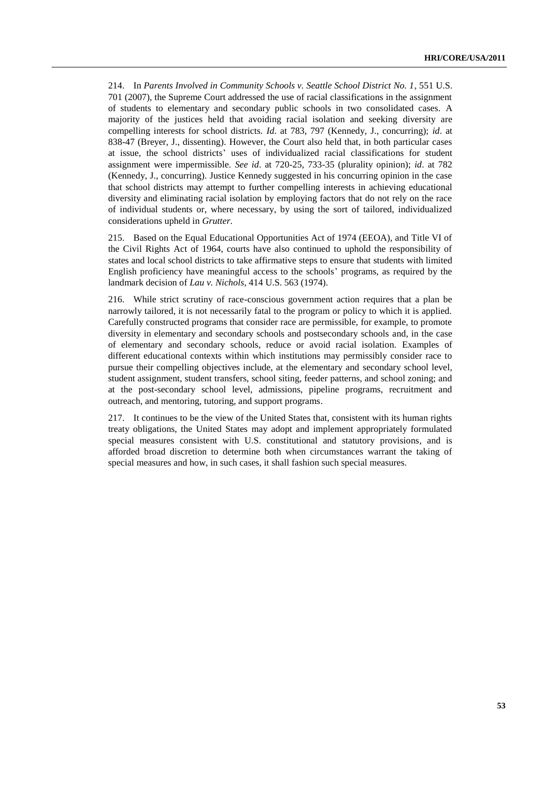214. In *Parents Involved in Community Schools v. Seattle School District No. 1*, 551 U.S. 701 (2007), the Supreme Court addressed the use of racial classifications in the assignment of students to elementary and secondary public schools in two consolidated cases. A majority of the justices held that avoiding racial isolation and seeking diversity are compelling interests for school districts. *Id*. at 783, 797 (Kennedy, J., concurring); *id*. at 838-47 (Breyer, J., dissenting). However, the Court also held that, in both particular cases at issue, the school districts' uses of individualized racial classifications for student assignment were impermissible. *See id*. at 720-25, 733-35 (plurality opinion); *id*. at 782 (Kennedy, J., concurring). Justice Kennedy suggested in his concurring opinion in the case that school districts may attempt to further compelling interests in achieving educational diversity and eliminating racial isolation by employing factors that do not rely on the race of individual students or, where necessary, by using the sort of tailored, individualized considerations upheld in *Grutter*.

215. Based on the Equal Educational Opportunities Act of 1974 (EEOA), and Title VI of the Civil Rights Act of 1964, courts have also continued to uphold the responsibility of states and local school districts to take affirmative steps to ensure that students with limited English proficiency have meaningful access to the schools' programs, as required by the landmark decision of *Lau v. Nichols*, 414 U.S. 563 (1974).

216. While strict scrutiny of race-conscious government action requires that a plan be narrowly tailored, it is not necessarily fatal to the program or policy to which it is applied. Carefully constructed programs that consider race are permissible, for example, to promote diversity in elementary and secondary schools and postsecondary schools and, in the case of elementary and secondary schools, reduce or avoid racial isolation. Examples of different educational contexts within which institutions may permissibly consider race to pursue their compelling objectives include, at the elementary and secondary school level, student assignment, student transfers, school siting, feeder patterns, and school zoning; and at the post-secondary school level, admissions, pipeline programs, recruitment and outreach, and mentoring, tutoring, and support programs.

217. It continues to be the view of the United States that, consistent with its human rights treaty obligations, the United States may adopt and implement appropriately formulated special measures consistent with U.S. constitutional and statutory provisions, and is afforded broad discretion to determine both when circumstances warrant the taking of special measures and how, in such cases, it shall fashion such special measures.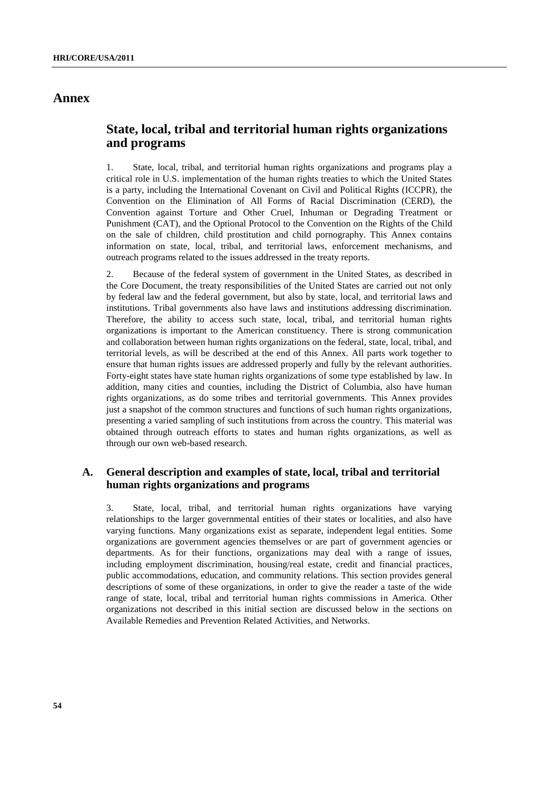# **Annex**

# **State, local, tribal and territorial human rights organizations and programs**

1. State, local, tribal, and territorial human rights organizations and programs play a critical role in U.S. implementation of the human rights treaties to which the United States is a party, including the International Covenant on Civil and Political Rights (ICCPR), the Convention on the Elimination of All Forms of Racial Discrimination (CERD), the Convention against Torture and Other Cruel, Inhuman or Degrading Treatment or Punishment (CAT), and the Optional Protocol to the Convention on the Rights of the Child on the sale of children, child prostitution and child pornography. This Annex contains information on state, local, tribal, and territorial laws, enforcement mechanisms, and outreach programs related to the issues addressed in the treaty reports.

2. Because of the federal system of government in the United States, as described in the Core Document, the treaty responsibilities of the United States are carried out not only by federal law and the federal government, but also by state, local, and territorial laws and institutions. Tribal governments also have laws and institutions addressing discrimination. Therefore, the ability to access such state, local, tribal, and territorial human rights organizations is important to the American constituency. There is strong communication and collaboration between human rights organizations on the federal, state, local, tribal, and territorial levels, as will be described at the end of this Annex. All parts work together to ensure that human rights issues are addressed properly and fully by the relevant authorities. Forty-eight states have state human rights organizations of some type established by law. In addition, many cities and counties, including the District of Columbia, also have human rights organizations, as do some tribes and territorial governments. This Annex provides just a snapshot of the common structures and functions of such human rights organizations, presenting a varied sampling of such institutions from across the country. This material was obtained through outreach efforts to states and human rights organizations, as well as through our own web-based research.

# **A. General description and examples of state, local, tribal and territorial human rights organizations and programs**

3. State, local, tribal, and territorial human rights organizations have varying relationships to the larger governmental entities of their states or localities, and also have varying functions. Many organizations exist as separate, independent legal entities. Some organizations are government agencies themselves or are part of government agencies or departments. As for their functions, organizations may deal with a range of issues, including employment discrimination, housing/real estate, credit and financial practices, public accommodations, education, and community relations. This section provides general descriptions of some of these organizations, in order to give the reader a taste of the wide range of state, local, tribal and territorial human rights commissions in America. Other organizations not described in this initial section are discussed below in the sections on Available Remedies and Prevention Related Activities, and Networks.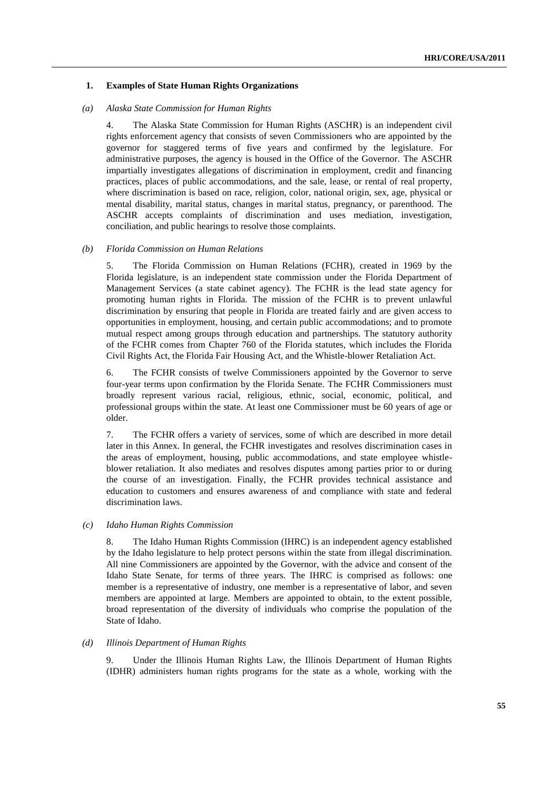## **1. Examples of State Human Rights Organizations**

## *(a) Alaska State Commission for Human Rights*

4. The Alaska State Commission for Human Rights (ASCHR) is an independent civil rights enforcement agency that consists of seven Commissioners who are appointed by the governor for staggered terms of five years and confirmed by the legislature. For administrative purposes, the agency is housed in the Office of the Governor. The ASCHR impartially investigates allegations of discrimination in employment, credit and financing practices, places of public accommodations, and the sale, lease, or rental of real property, where discrimination is based on race, religion, color, national origin, sex, age, physical or mental disability, marital status, changes in marital status, pregnancy, or parenthood. The ASCHR accepts complaints of discrimination and uses mediation, investigation, conciliation, and public hearings to resolve those complaints.

#### *(b) Florida Commission on Human Relations*

5. The Florida Commission on Human Relations (FCHR), created in 1969 by the Florida legislature, is an independent state commission under the Florida Department of Management Services (a state cabinet agency). The FCHR is the lead state agency for promoting human rights in Florida. The mission of the FCHR is to prevent unlawful [discrimination](http://fchr.state.fl.us/fchr/resources/glossary/discrimination) by ensuring that people in Florida are treated fairly and are given access to opportunities in employment, housing, and certain public accommodations; and to promote mutual respect among groups through education and partnerships. The statutory authority of the FCHR comes from Chapter 760 of the Florida statutes, which includes the Florida Civil Rights Act, the Florida Fair Housing Act, and the Whistle-blower Retaliation Act.

6. The FCHR consists of twelve Commissioners appointed by the Governor to serve four-year terms upon confirmation by the Florida Senate. The FCHR Commissioners must broadly represent various racial, religious, ethnic, social, economic, political, and professional groups within the state. At least one Commissioner must be 60 years of age or older.

7. The FCHR offers a variety of services, some of which are described in more detail later in this Annex. In general, the FCHR investigates and resolves discrimination cases in the areas of employment, housing, public accommodations, and state employee whistleblower retaliation. It also mediates and resolves disputes among parties prior to or during the course of an investigation. Finally, the FCHR provides technical assistance and education to customers and ensures awareness of and compliance with state and federal discrimination laws.

#### *(c) Idaho Human Rights Commission*

8. The Idaho Human Rights Commission (IHRC) is an independent agency established by the Idaho legislature to help protect persons within the state from illegal discrimination. All nine Commissioners are appointed by the Governor, with the advice and consent of the Idaho State Senate, for terms of three years. The IHRC is comprised as follows: one member is a representative of industry, one member is a representative of labor, and seven members are appointed at large. Members are appointed to obtain, to the extent possible, broad representation of the diversity of individuals who comprise the population of the State of Idaho.

## *(d) Illinois Department of Human Rights*

9. Under the Illinois Human Rights Law, the Illinois Department of Human Rights (IDHR) administers human rights programs for the state as a whole, working with the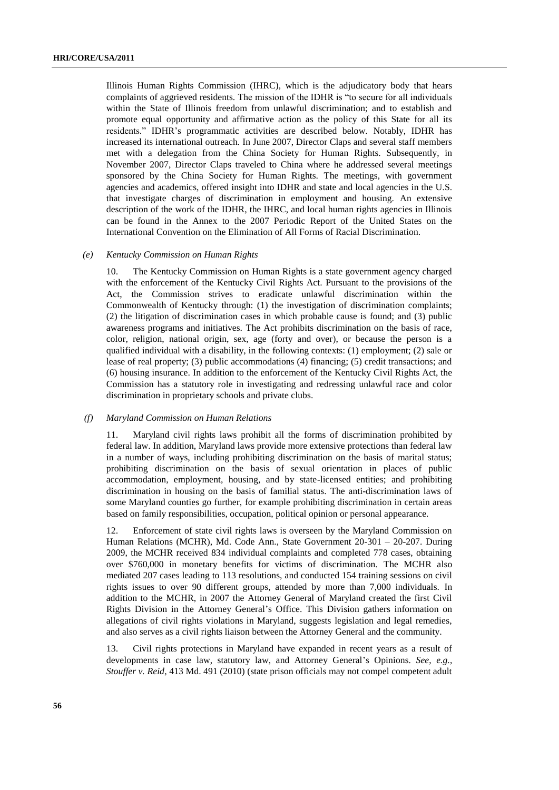Illinois Human Rights Commission (IHRC), which is the adjudicatory body that hears complaints of aggrieved residents. The mission of the IDHR is "to secure for all individuals within the State of Illinois freedom from unlawful discrimination; and to establish and promote equal opportunity and affirmative action as the policy of this State for all its residents.‖ IDHR's programmatic activities are described below. Notably, IDHR has increased its international outreach. In June 2007, Director Claps and several staff members met with a delegation from the China Society for Human Rights. Subsequently, in November 2007, Director Claps traveled to China where he addressed several meetings sponsored by the China Society for Human Rights. The meetings, with government agencies and academics, offered insight into IDHR and state and local agencies in the U.S. that investigate charges of discrimination in employment and housing. An extensive description of the work of the IDHR, the IHRC, and local human rights agencies in Illinois can be found in the Annex to the 2007 Periodic Report of the United States on the International Convention on the Elimination of All Forms of Racial Discrimination.

#### *(e) Kentucky Commission on Human Rights*

10. The Kentucky Commission on Human Rights is a state government agency charged with the enforcement of the Kentucky Civil Rights Act. Pursuant to the provisions of the Act, the Commission strives to eradicate unlawful discrimination within the Commonwealth of Kentucky through: (1) the investigation of discrimination complaints; (2) the litigation of discrimination cases in which probable cause is found; and (3) public awareness programs and initiatives. The Act prohibits discrimination on the basis of race, color, religion, national origin, sex, age (forty and over), or because the person is a qualified individual with a disability, in the following contexts: (1) employment; (2) sale or lease of real property; (3) public accommodations (4) financing; (5) credit transactions; and (6) housing insurance. In addition to the enforcement of the Kentucky Civil Rights Act, the Commission has a statutory role in investigating and redressing unlawful race and color discrimination in proprietary schools and private clubs.

### *(f) Maryland Commission on Human Relations*

11. Maryland civil rights laws prohibit all the forms of discrimination prohibited by federal law. In addition, Maryland laws provide more extensive protections than federal law in a number of ways, including prohibiting discrimination on the basis of marital status; prohibiting discrimination on the basis of sexual orientation in places of public accommodation, employment, housing, and by state-licensed entities; and prohibiting discrimination in housing on the basis of familial status. The anti-discrimination laws of some Maryland counties go further, for example prohibiting discrimination in certain areas based on family responsibilities, occupation, political opinion or personal appearance.

12. Enforcement of state civil rights laws is overseen by the Maryland Commission on Human Relations (MCHR), Md. Code Ann., State Government 20-301 – 20-207. During 2009, the MCHR received 834 individual complaints and completed 778 cases, obtaining over \$760,000 in monetary benefits for victims of discrimination. The MCHR also mediated 207 cases leading to 113 resolutions, and conducted 154 training sessions on civil rights issues to over 90 different groups, attended by more than 7,000 individuals. In addition to the MCHR, in 2007 the Attorney General of Maryland created the first Civil Rights Division in the Attorney General's Office. This Division gathers information on allegations of civil rights violations in Maryland, suggests legislation and legal remedies, and also serves as a civil rights liaison between the Attorney General and the community.

13. Civil rights protections in Maryland have expanded in recent years as a result of developments in case law, statutory law, and Attorney General's Opinions. *See*, *e.g.*, *Stouffer v. Reid*, 413 Md. 491 (2010) (state prison officials may not compel competent adult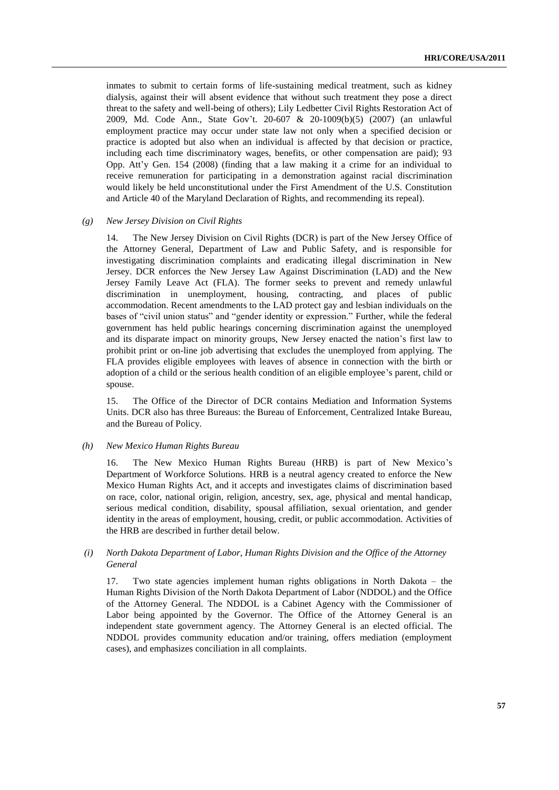inmates to submit to certain forms of life-sustaining medical treatment, such as kidney dialysis, against their will absent evidence that without such treatment they pose a direct threat to the safety and well-being of others); Lily Ledbetter Civil Rights Restoration Act of 2009, Md. Code Ann., State Gov't. 20-607 & 20-1009(b)(5) (2007) (an unlawful employment practice may occur under state law not only when a specified decision or practice is adopted but also when an individual is affected by that decision or practice, including each time discriminatory wages, benefits, or other compensation are paid); 93 Opp. Att'y Gen. 154 (2008) (finding that a law making it a crime for an individual to receive remuneration for participating in a demonstration against racial discrimination would likely be held unconstitutional under the First Amendment of the U.S. Constitution and Article 40 of the Maryland Declaration of Rights, and recommending its repeal).

#### *(g) New Jersey Division on Civil Rights*

14. The New Jersey Division on Civil Rights (DCR) is part of the New Jersey Office of the Attorney General, Department of Law and Public Safety, and is responsible for investigating discrimination complaints and eradicating illegal discrimination in New Jersey. DCR enforces the New Jersey Law Against Discrimination (LAD) and the New Jersey Family Leave Act (FLA). The former seeks to prevent and remedy unlawful discrimination in unemployment, housing, contracting, and places of public accommodation. Recent amendments to the LAD protect gay and lesbian individuals on the bases of "civil union status" and "gender identity or expression." Further, while the federal government has held public hearings concerning discrimination against the unemployed and its disparate impact on minority groups, New Jersey enacted the nation's first law to prohibit print or on-line job advertising that excludes the unemployed from applying. The FLA provides eligible employees with leaves of absence in connection with the birth or adoption of a child or the serious health condition of an eligible employee's parent, child or spouse.

15. The Office of the Director of DCR contains Mediation and Information Systems Units. DCR also has three Bureaus: the Bureau of Enforcement, Centralized Intake Bureau, and the Bureau of Policy.

# *(h) New Mexico Human Rights Bureau*

16. The New Mexico Human Rights Bureau (HRB) is part of New Mexico's Department of Workforce Solutions. HRB is a neutral agency created to enforce the New Mexico Human Rights Act, and it accepts and investigates claims of discrimination based on race, color, national origin, religion, ancestry, sex, age, physical and mental handicap, serious medical condition, disability, spousal affiliation, sexual orientation, and gender identity in the areas of employment, housing, credit, or public accommodation. Activities of the HRB are described in further detail below.

# *(i) North Dakota Department of Labor, Human Rights Division and the Office of the Attorney General*

17. Two state agencies implement human rights obligations in North Dakota – the Human Rights Division of the North Dakota Department of Labor (NDDOL) and the Office of the Attorney General. The NDDOL is a Cabinet Agency with the Commissioner of Labor being appointed by the Governor. The Office of the Attorney General is an independent state government agency. The Attorney General is an elected official. The NDDOL provides community education and/or training, offers mediation (employment cases), and emphasizes conciliation in all complaints.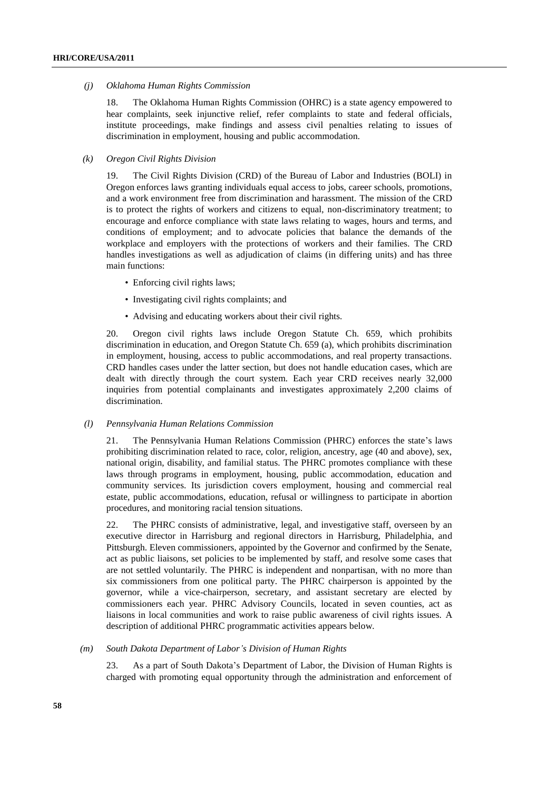#### *(j) Oklahoma Human Rights Commission*

18. The Oklahoma Human Rights Commission (OHRC) is a state agency empowered to hear complaints, seek injunctive relief, refer complaints to state and federal officials, institute proceedings, make findings and assess civil penalties relating to issues of discrimination in employment, housing and public accommodation.

## *(k) Oregon Civil Rights Division*

19. The Civil Rights Division (CRD) of the Bureau of Labor and Industries (BOLI) in Oregon enforces laws granting individuals equal access to jobs, career schools, promotions, and a work environment free from discrimination and harassment. The mission of the CRD is to protect the rights of workers and citizens to equal, non-discriminatory treatment; to encourage and enforce compliance with state laws relating to wages, hours and terms, and conditions of employment; and to advocate policies that balance the demands of the workplace and employers with the protections of workers and their families. The CRD handles investigations as well as adjudication of claims (in differing units) and has three main functions:

- Enforcing civil rights laws;
- Investigating civil rights complaints; and
- Advising and educating workers about their civil rights.

20. Oregon civil rights laws include Oregon Statute Ch. 659, which prohibits discrimination in education, and Oregon Statute Ch. 659 (a), which prohibits discrimination in employment, housing, access to public accommodations, and real property transactions. CRD handles cases under the latter section, but does not handle education cases, which are dealt with directly through the court system. Each year CRD receives nearly 32,000 inquiries from potential complainants and investigates approximately 2,200 claims of discrimination.

## *(l) Pennsylvania Human Relations Commission*

21. The Pennsylvania Human Relations Commission (PHRC) enforces the state's laws prohibiting discrimination related to race, color, religion, ancestry, age (40 and above), sex, national origin, disability, and familial status. The PHRC promotes compliance with these laws through programs in employment, housing, public accommodation, education and community services. Its jurisdiction covers employment, housing and commercial real estate, public accommodations, education, refusal or willingness to participate in abortion procedures, and monitoring racial tension situations.

22. The PHRC consists of administrative, legal, and investigative staff, overseen by an executive director in Harrisburg and regional directors in Harrisburg, Philadelphia, and Pittsburgh. Eleven commissioners, appointed by the Governor and confirmed by the Senate, act as public liaisons, set policies to be implemented by staff, and resolve some cases that are not settled voluntarily. The PHRC is independent and nonpartisan, with no more than six commissioners from one political party. The PHRC chairperson is appointed by the governor, while a vice-chairperson, secretary, and assistant secretary are elected by commissioners each year. PHRC Advisory Councils, located in seven counties, act as liaisons in local communities and work to raise public awareness of civil rights issues. A description of additional PHRC programmatic activities appears below.

### *(m) South Dakota Department of Labor's Division of Human Rights*

23. As a part of South Dakota's Department of Labor, the Division of Human Rights is charged with promoting equal opportunity through the administration and enforcement of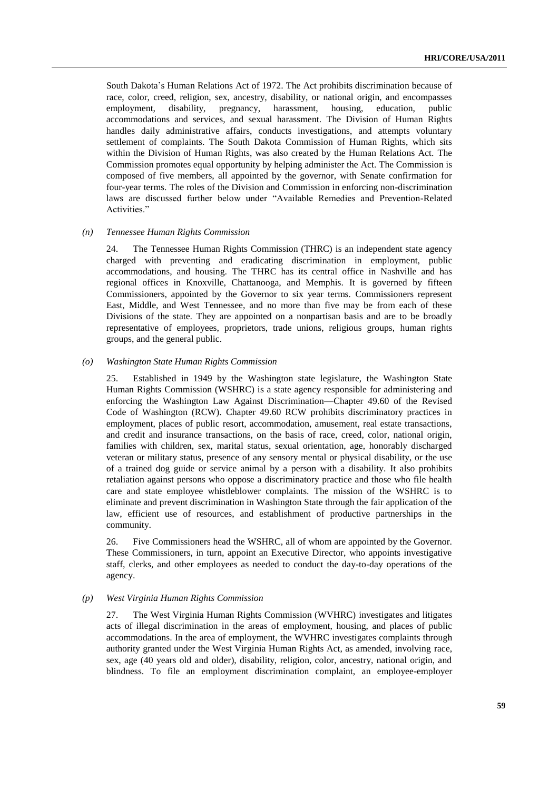South Dakota's Human Relations Act of 1972. The Act prohibits discrimination because of race, color, creed, religion, sex, ancestry, disability, or national origin, and encompasses employment, disability, pregnancy, harassment, housing, education, public employment, disability, pregnancy, harassment, housing, education, public accommodations and services, and sexual harassment. The Division of Human Rights handles daily administrative affairs, conducts investigations, and attempts voluntary settlement of complaints. The South Dakota Commission of Human Rights, which sits within the Division of Human Rights, was also created by the Human Relations Act. The Commission promotes equal opportunity by helping administer the Act. The Commission is composed of five members, all appointed by the governor, with Senate confirmation for four-year terms. The roles of the Division and Commission in enforcing non-discrimination laws are discussed further below under "Available Remedies and Prevention-Related Activities."

## *(n) Tennessee Human Rights Commission*

24. The Tennessee Human Rights Commission (THRC) is an independent state agency charged with preventing and eradicating discrimination in employment, public accommodations, and housing. The THRC has its central office in Nashville and has regional offices in Knoxville, Chattanooga, and Memphis. It is governed by fifteen Commissioners, appointed by the Governor to six year terms. Commissioners represent East, Middle, and West Tennessee, and no more than five may be from each of these Divisions of the state. They are appointed on a nonpartisan basis and are to be broadly representative of employees, proprietors, trade unions, religious groups, human rights groups, and the general public.

#### *(o) Washington State Human Rights Commission*

25. Established in 1949 by the Washington state legislature, the Washington State Human Rights Commission (WSHRC) is a state agency responsible for administering and enforcing the Washington Law Against Discrimination—Chapter 49.60 of the Revised Code of Washington (RCW). Chapter 49.60 RCW prohibits discriminatory practices in employment, places of public resort, accommodation, amusement, real estate transactions, and credit and insurance transactions, on the basis of race, creed, color, national origin, families with children, sex, marital status, sexual orientation, age, honorably discharged veteran or military status, presence of any sensory mental or physical disability, or the use of a trained dog guide or service animal by a person with a disability. It also prohibits retaliation against persons who oppose a discriminatory practice and those who file health care and state employee whistleblower complaints. The mission of the WSHRC is to eliminate and prevent discrimination in Washington State through the fair application of the law, efficient use of resources, and establishment of productive partnerships in the community.

26. Five Commissioners head the WSHRC, all of whom are appointed by the Governor. These Commissioners, in turn, appoint an Executive Director, who appoints investigative staff, clerks, and other employees as needed to conduct the day-to-day operations of the agency.

## *(p) West Virginia Human Rights Commission*

27. The West Virginia Human Rights Commission (WVHRC) investigates and litigates acts of illegal discrimination in the areas of employment, housing, and places of public accommodations. In the area of employment, the WVHRC investigates complaints through authority granted under the West Virginia Human Rights Act, as amended, involving race, sex, age (40 years old and older), disability, religion, color, ancestry, national origin, and blindness. To file an employment discrimination complaint, an employee-employer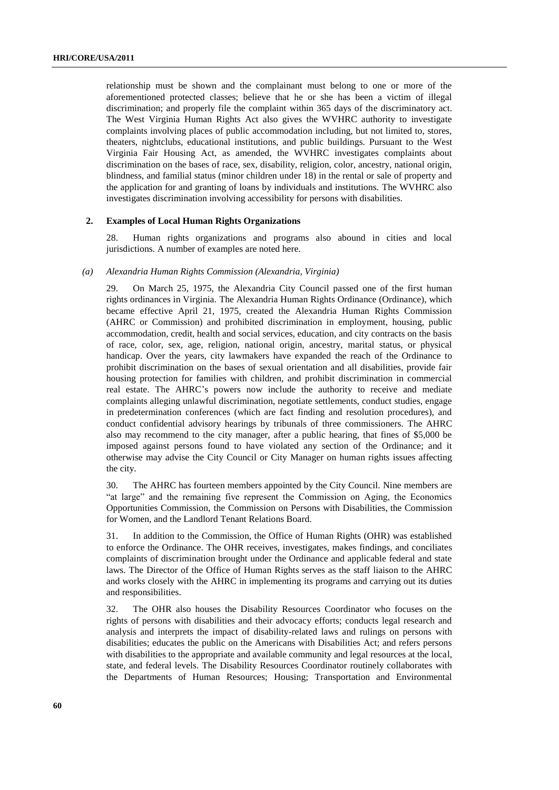relationship must be shown and the complainant must belong to one or more of the aforementioned protected classes; believe that he or she has been a victim of illegal discrimination; and properly file the complaint within 365 days of the discriminatory act. The West Virginia Human Rights Act also gives the WVHRC authority to investigate complaints involving places of public accommodation including, but not limited to, stores, theaters, nightclubs, educational institutions, and public buildings. Pursuant to the West Virginia Fair Housing Act, as amended, the WVHRC investigates complaints about discrimination on the bases of race, sex, disability, religion, color, ancestry, national origin, blindness, and familial status (minor children under 18) in the rental or sale of property and the application for and granting of loans by individuals and institutions. The WVHRC also investigates discrimination involving accessibility for persons with disabilities.

## **2. Examples of Local Human Rights Organizations**

28. Human rights organizations and programs also abound in cities and local jurisdictions. A number of examples are noted here.

# *(a) Alexandria Human Rights Commission (Alexandria, Virginia)*

29. On March 25, 1975, the Alexandria City Council passed one of the first human rights ordinances in Virginia. The Alexandria Human Rights Ordinance (Ordinance), which became effective April 21, 1975, created the Alexandria Human Rights Commission (AHRC or Commission) and prohibited discrimination in employment, housing, public accommodation, credit, health and social services, education, and city contracts on the basis of race, color, sex, age, religion, national origin, ancestry, marital status, or physical handicap. Over the years, city lawmakers have expanded the reach of the Ordinance to prohibit discrimination on the bases of sexual orientation and all disabilities, provide fair housing protection for families with children, and prohibit discrimination in commercial real estate. The AHRC's powers now include the authority to receive and mediate complaints alleging unlawful discrimination, negotiate settlements, conduct studies, engage in predetermination conferences (which are fact finding and resolution procedures), and conduct confidential advisory hearings by tribunals of three commissioners. The AHRC also may recommend to the city manager, after a public hearing, that fines of \$5,000 be imposed against persons found to have violated any section of the Ordinance; and it otherwise may advise the City Council or City Manager on human rights issues affecting the city.

30. The AHRC has fourteen members appointed by the City Council. Nine members are "at large" and the remaining five represent the Commission on Aging, the Economics Opportunities Commission, the Commission on Persons with Disabilities, the Commission for Women, and the Landlord Tenant Relations Board.

31. In addition to the Commission, the Office of Human Rights (OHR) was established to enforce the Ordinance. The OHR receives, investigates, makes findings, and conciliates complaints of discrimination brought under the Ordinance and applicable federal and state laws. The Director of the Office of Human Rights serves as the staff liaison to the AHRC and works closely with the AHRC in implementing its programs and carrying out its duties and responsibilities.

32. The OHR also houses the Disability Resources Coordinator who focuses on the rights of persons with disabilities and their advocacy efforts; conducts legal research and analysis and interprets the impact of disability-related laws and rulings on persons with disabilities; educates the public on the Americans with Disabilities Act; and refers persons with disabilities to the appropriate and available community and legal resources at the local, state, and federal levels. The Disability Resources Coordinator routinely collaborates with the Departments of Human Resources; Housing; Transportation and Environmental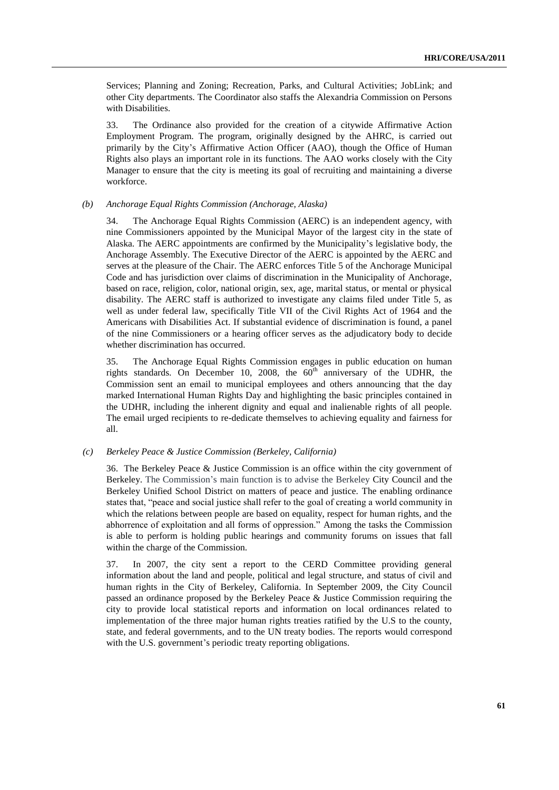Services; Planning and Zoning; Recreation, Parks, and Cultural Activities; JobLink; and other City departments. The Coordinator also staffs the Alexandria Commission on Persons with Disabilities.

33. The Ordinance also provided for the creation of a citywide Affirmative Action Employment Program. The program, originally designed by the AHRC, is carried out primarily by the City's Affirmative Action Officer (AAO), though the Office of Human Rights also plays an important role in its functions. The AAO works closely with the City Manager to ensure that the city is meeting its goal of recruiting and maintaining a diverse workforce.

### *(b) Anchorage Equal Rights Commission (Anchorage, Alaska)*

34. The Anchorage Equal Rights Commission (AERC) is an independent agency, with nine Commissioners appointed by the Municipal Mayor of the largest city in the state of Alaska. The AERC appointments are confirmed by the Municipality's legislative body, the Anchorage Assembly. The Executive Director of the AERC is appointed by the AERC and serves at the pleasure of the Chair. The AERC enforces Title 5 of the Anchorage Municipal Code and has jurisdiction over claims of discrimination in the Municipality of Anchorage, based on race, religion, color, national origin, sex, age, marital status, or mental or physical disability. The AERC staff is authorized to investigate any claims filed under Title 5, as well as under federal law, specifically Title VII of the Civil Rights Act of 1964 and the Americans with Disabilities Act. If substantial evidence of discrimination is found, a panel of the nine Commissioners or a hearing officer serves as the adjudicatory body to decide whether discrimination has occurred.

35. The Anchorage Equal Rights Commission engages in public education on human rights standards. On December 10, 2008, the  $60<sup>th</sup>$  anniversary of the UDHR, the Commission sent an email to municipal employees and others announcing that the day marked International Human Rights Day and highlighting the basic principles contained in the UDHR, including the inherent dignity and equal and inalienable rights of all people. The email urged recipients to re-dedicate themselves to achieving equality and fairness for all.

# *(c) Berkeley Peace & Justice Commission (Berkeley, California)*

36. The Berkeley Peace & Justice Commission is an office within the city government of Berkeley. The Commission's main function is to advise the Berkeley City Council and the Berkeley Unified School District on matters of peace and justice. The enabling ordinance states that, "peace and social justice shall refer to the goal of creating a world community in which the relations between people are based on equality, respect for human rights, and the abhorrence of exploitation and all forms of oppression." Among the tasks the Commission is able to perform is holding public hearings and community forums on issues that fall within the charge of the Commission.

37. In 2007, the city sent a report to the CERD Committee providing general information about the land and people, political and legal structure, and status of civil and human rights in the City of Berkeley, California. In September 2009, the City Council passed an ordinance proposed by the Berkeley Peace & Justice Commission requiring the city to provide local statistical reports and information on local ordinances related to implementation of the three major human rights treaties ratified by the U.S to the county, state, and federal governments, and to the UN treaty bodies. The reports would correspond with the U.S. government's periodic treaty reporting obligations.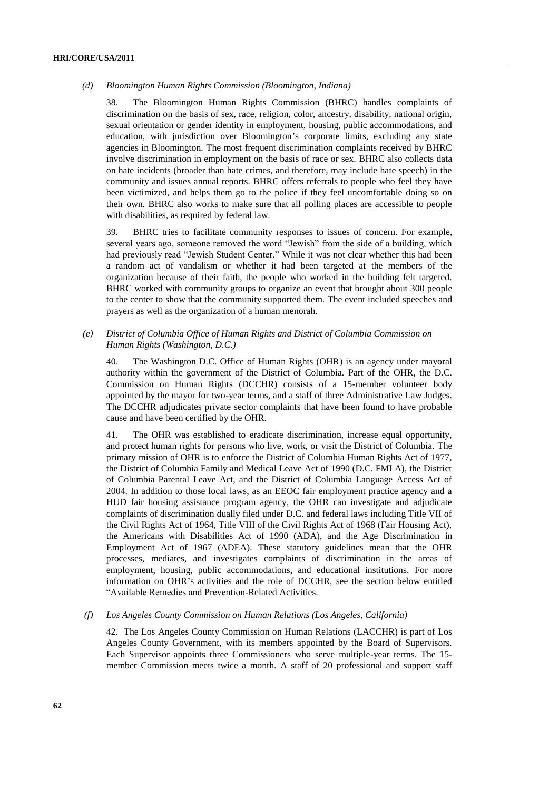#### *(d) Bloomington Human Rights Commission (Bloomington, Indiana)*

38. The Bloomington Human Rights Commission (BHRC) handles complaints of discrimination on the basis of sex, race, religion, color, ancestry, disability, national origin, sexual orientation or gender identity in employment, housing, public accommodations, and education, with jurisdiction over Bloomington's corporate limits, excluding any state agencies in Bloomington. The most frequent discrimination complaints received by BHRC involve discrimination in employment on the basis of race or sex. BHRC also collects data on hate incidents (broader than hate crimes, and therefore, may include hate speech) in the community and issues annual reports. BHRC offers referrals to people who feel they have been victimized, and helps them go to the police if they feel uncomfortable doing so on their own. BHRC also works to make sure that all polling places are accessible to people with disabilities, as required by federal law.

39. BHRC tries to facilitate community responses to issues of concern. For example, several years ago, someone removed the word "Jewish" from the side of a building, which had previously read "Jewish Student Center." While it was not clear whether this had been a random act of vandalism or whether it had been targeted at the members of the organization because of their faith, the people who worked in the building felt targeted. BHRC worked with community groups to organize an event that brought about 300 people to the center to show that the community supported them. The event included speeches and prayers as well as the organization of a human menorah.

# *(e) District of Columbia Office of Human Rights and District of Columbia Commission on Human Rights (Washington, D.C.)*

40. The Washington D.C. Office of Human Rights (OHR) is an agency under mayoral authority within the government of the District of Columbia. Part of the OHR, the D.C. Commission on Human Rights (DCCHR) consists of a 15-member volunteer body appointed by the mayor for two-year terms, and a staff of three Administrative Law Judges. The DCCHR adjudicates private sector complaints that have been found to have probable cause and have been certified by the OHR.

The OHR was established to eradicate discrimination, increase equal opportunity, and protect human rights for persons who live, work, or visit the District of Columbia. The primary mission of OHR is to enforce the District of Columbia Human Rights Act of 1977, the District of Columbia Family and Medical Leave Act of 1990 (D.C. FMLA), the District of Columbia Parental Leave Act, and the District of Columbia Language Access Act of 2004. In addition to those local laws, as an EEOC fair employment practice agency and a HUD fair housing assistance program agency, the OHR can investigate and adjudicate complaints of discrimination dually filed under D.C. and federal laws including Title VII of the Civil Rights Act of 1964, Title VIII of the Civil Rights Act of 1968 (Fair Housing Act), the Americans with Disabilities Act of 1990 (ADA), and the Age Discrimination in Employment Act of 1967 (ADEA). These statutory guidelines mean that the OHR processes, mediates, and investigates complaints of discrimination in the areas of employment, housing, public accommodations, and educational institutions. For more information on OHR's activities and the role of DCCHR, see the section below entitled ―Available Remedies and Prevention-Related Activities.

#### *(f) Los Angeles County Commission on Human Relations (Los Angeles, California)*

42. The Los Angeles County Commission on Human Relations (LACCHR) is part of Los Angeles County Government, with its members appointed by the Board of Supervisors. Each Supervisor appoints three Commissioners who serve multiple-year terms. The 15 member Commission meets twice a month. A staff of 20 professional and support staff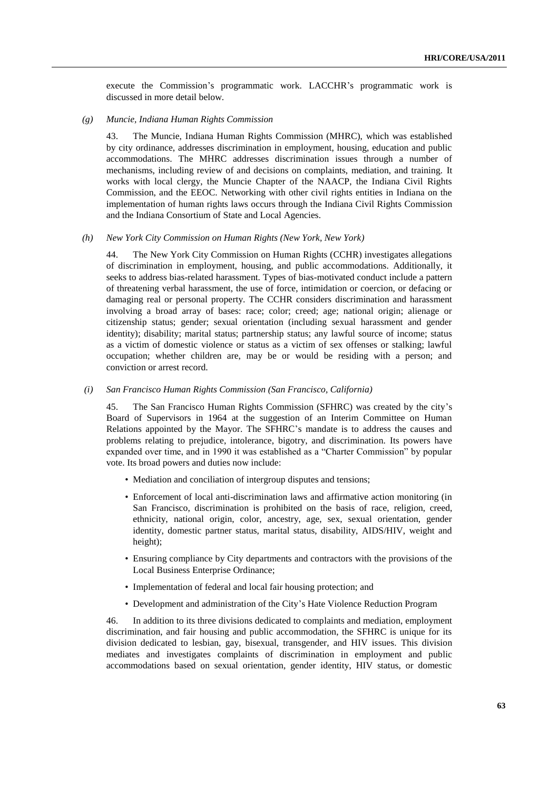execute the Commission's programmatic work. LACCHR's programmatic work is discussed in more detail below.

*(g) Muncie, Indiana Human Rights Commission*

43. The Muncie, Indiana Human Rights Commission (MHRC), which was established by city ordinance, addresses discrimination in employment, housing, education and public accommodations. The MHRC addresses discrimination issues through a number of mechanisms, including review of and decisions on complaints, mediation, and training. It works with local clergy, the Muncie Chapter of the NAACP, the Indiana Civil Rights Commission, and the EEOC. Networking with other civil rights entities in Indiana on the implementation of human rights laws occurs through the Indiana Civil Rights Commission and the Indiana Consortium of State and Local Agencies.

#### *(h) New York City Commission on Human Rights (New York, New York)*

44. The New York City Commission on Human Rights (CCHR) investigates allegations of discrimination in employment, housing, and public accommodations. Additionally, it seeks to address bias-related harassment. Types of bias-motivated conduct include a pattern of threatening verbal harassment, the use of force, intimidation or coercion, or defacing or damaging real or personal property. The CCHR considers discrimination and harassment involving a broad array of bases: race; color; creed; age; national origin; alienage or citizenship status; gender; sexual orientation (including sexual harassment and gender identity); disability; marital status; partnership status; any lawful source of income; status as a victim of domestic violence or status as a victim of sex offenses or stalking; lawful occupation; whether children are, may be or would be residing with a person; and conviction or arrest record.

#### *(i) San Francisco Human Rights Commission (San Francisco, California)*

45. The San Francisco Human Rights Commission (SFHRC) was created by the city's Board of Supervisors in 1964 at the suggestion of an Interim Committee on Human Relations appointed by the Mayor. The SFHRC's mandate is to address the causes and problems relating to prejudice, intolerance, bigotry, and discrimination. Its powers have expanded over time, and in 1990 it was established as a "Charter Commission" by popular vote. Its broad powers and duties now include:

- Mediation and conciliation of intergroup disputes and tensions;
- Enforcement of local anti-discrimination laws and affirmative action monitoring (in San Francisco, discrimination is prohibited on the basis of race, religion, creed, ethnicity, national origin, color, ancestry, age, sex, sexual orientation, gender identity, domestic partner status, marital status, disability, AIDS/HIV, weight and height);
- Ensuring compliance by City departments and contractors with the provisions of the Local Business Enterprise Ordinance;
- Implementation of federal and local fair housing protection; and
- Development and administration of the City's Hate Violence Reduction Program

46. In addition to its three divisions dedicated to complaints and mediation, employment discrimination, and fair housing and public accommodation, the SFHRC is unique for its division dedicated to lesbian, gay, bisexual, transgender, and HIV issues. This division mediates and investigates complaints of discrimination in employment and public accommodations based on sexual orientation, gender identity, HIV status, or domestic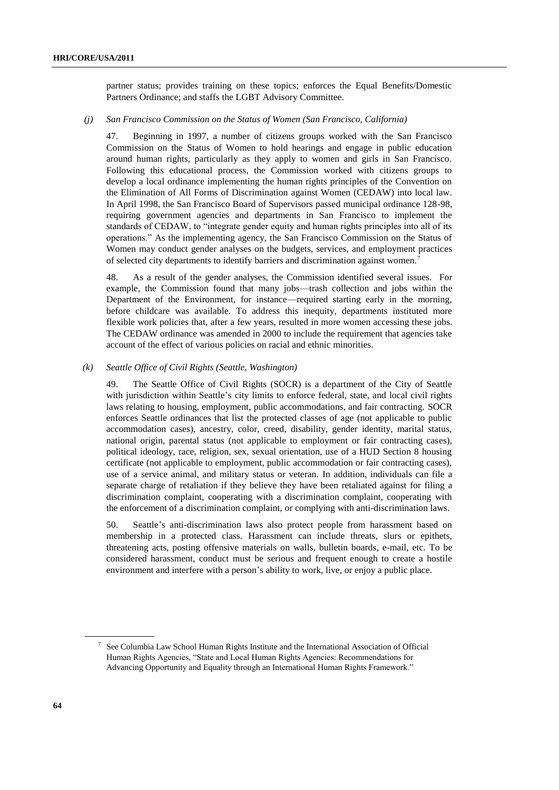partner status; provides training on these topics; enforces the Equal Benefits/Domestic Partners Ordinance; and staffs the LGBT Advisory Committee.

# *(j) San Francisco Commission on the Status of Women (San Francisco, California)*

47. Beginning in 1997, a number of citizens groups worked with the San Francisco Commission on the Status of Women to hold hearings and engage in public education around human rights, particularly as they apply to women and girls in San Francisco. Following this educational process, the Commission worked with citizens groups to develop a local ordinance implementing the human rights principles of the Convention on the Elimination of All Forms of Discrimination against Women (CEDAW) into local law. In April 1998, the San Francisco Board of Supervisors passed municipal ordinance 128-98, requiring government agencies and departments in San Francisco to implement the standards of CEDAW, to "integrate gender equity and human rights principles into all of its operations.‖ As the implementing agency, the San Francisco Commission on the Status of Women may conduct gender analyses on the budgets, services, and employment practices of selected city departments to identify barriers and discrimination against women.<sup>7</sup>

48. As a result of the gender analyses, the Commission identified several issues. For example, the Commission found that many jobs—trash collection and jobs within the Department of the Environment, for instance—required starting early in the morning, before childcare was available. To address this inequity, departments instituted more flexible work policies that, after a few years, resulted in more women accessing these jobs. The CEDAW ordinance was amended in 2000 to include the requirement that agencies take account of the effect of various policies on racial and ethnic minorities.

# *(k) Seattle Office of Civil Rights (Seattle, Washington)*

49. The Seattle Office of Civil Rights (SOCR) is a department of the City of Seattle with jurisdiction within Seattle's city limits to enforce federal, state, and local civil rights laws relating to housing, employment, public accommodations, and fair contracting. SOCR enforces Seattle ordinances that list the protected classes of age (not applicable to public accommodation cases), ancestry, color, creed, disability, gender identity, marital status, national origin, parental status (not applicable to employment or fair contracting cases), political ideology, race, religion, sex, sexual orientation, use of a HUD Section 8 housing certificate (not applicable to employment, public accommodation or fair contracting cases), use of a service animal, and military status or veteran. In addition, individuals can file a separate charge of retaliation if they believe they have been retaliated against for filing a discrimination complaint, cooperating with a discrimination complaint, cooperating with the enforcement of a discrimination complaint, or complying with anti-discrimination laws.

50. Seattle's anti-discrimination laws also protect people from harassment based on membership in a protected class. Harassment can include threats, slurs or epithets, threatening acts, posting offensive materials on walls, bulletin boards, e-mail, etc. To be considered harassment, conduct must be serious and frequent enough to create a hostile environment and interfere with a person's ability to work, live, or enjoy a public place.

<sup>7</sup> See Columbia Law School Human Rights Institute and the International Association of Official Human Rights Agencies, "State and Local Human Rights Agencies: Recommendations for Advancing Opportunity and Equality through an International Human Rights Framework."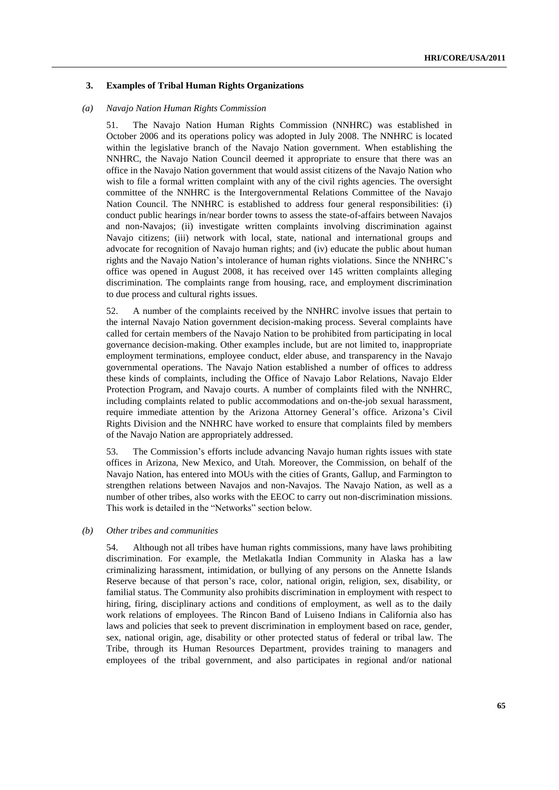#### **3. Examples of Tribal Human Rights Organizations**

## *(a) Navajo Nation Human Rights Commission*

51. The Navajo Nation Human Rights Commission (NNHRC) was established in October 2006 and its operations policy was adopted in July 2008. The NNHRC is located within the legislative branch of the Navajo Nation government. When establishing the NNHRC, the Navajo Nation Council deemed it appropriate to ensure that there was an office in the Navajo Nation government that would assist citizens of the Navajo Nation who wish to file a formal written complaint with any of the civil rights agencies. The oversight committee of the NNHRC is the Intergovernmental Relations Committee of the Navajo Nation Council. The NNHRC is established to address four general responsibilities: (i) conduct public hearings in/near border towns to assess the state-of-affairs between Navajos and non-Navajos; (ii) investigate written complaints involving discrimination against Navajo citizens; (iii) network with local, state, national and international groups and advocate for recognition of Navajo human rights; and (iv) educate the public about human rights and the Navajo Nation's intolerance of human rights violations. Since the NNHRC's office was opened in August 2008, it has received over 145 written complaints alleging discrimination. The complaints range from housing, race, and employment discrimination to due process and cultural rights issues.

52. A number of the complaints received by the NNHRC involve issues that pertain to the internal Navajo Nation government decision-making process. Several complaints have called for certain members of the Navajo Nation to be prohibited from participating in local governance decision-making. Other examples include, but are not limited to, inappropriate employment terminations, employee conduct, elder abuse, and transparency in the Navajo governmental operations. The Navajo Nation established a number of offices to address these kinds of complaints, including the Office of Navajo Labor Relations, Navajo Elder Protection Program, and Navajo courts. A number of complaints filed with the NNHRC, including complaints related to public accommodations and on-the-job sexual harassment, require immediate attention by the Arizona Attorney General's office. Arizona's Civil Rights Division and the NNHRC have worked to ensure that complaints filed by members of the Navajo Nation are appropriately addressed.

53. The Commission's efforts include advancing Navajo human rights issues with state offices in Arizona, New Mexico, and Utah. Moreover, the Commission, on behalf of the Navajo Nation, has entered into MOUs with the cities of Grants, Gallup, and Farmington to strengthen relations between Navajos and non-Navajos. The Navajo Nation, as well as a number of other tribes, also works with the EEOC to carry out non-discrimination missions. This work is detailed in the "Networks" section below.

#### *(b) Other tribes and communities*

54. Although not all tribes have human rights commissions, many have laws prohibiting discrimination. For example, the Metlakatla Indian Community in Alaska has a law criminalizing harassment, intimidation, or bullying of any persons on the Annette Islands Reserve because of that person's race, color, national origin, religion, sex, disability, or familial status. The Community also prohibits discrimination in employment with respect to hiring, firing, disciplinary actions and conditions of employment, as well as to the daily work relations of employees. The Rincon Band of Luiseno Indians in California also has laws and policies that seek to prevent discrimination in employment based on race, gender, sex, national origin, age, disability or other protected status of federal or tribal law. The Tribe, through its Human Resources Department, provides training to managers and employees of the tribal government, and also participates in regional and/or national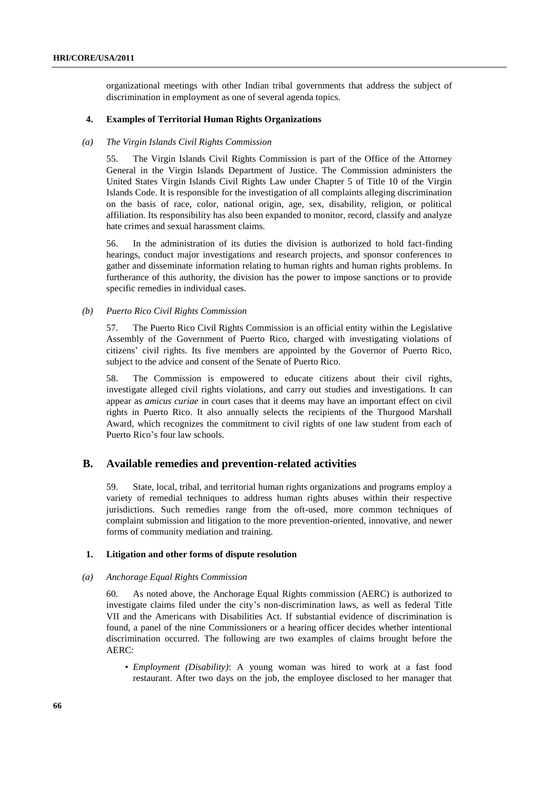organizational meetings with other Indian tribal governments that address the subject of discrimination in employment as one of several agenda topics.

# **4. Examples of Territorial Human Rights Organizations**

## *(a) The Virgin Islands Civil Rights Commission*

55. The Virgin Islands Civil Rights Commission is part of the Office of the Attorney General in the Virgin Islands Department of Justice. The Commission administers the United States Virgin Islands Civil Rights Law under Chapter 5 of Title 10 of the Virgin Islands Code. It is responsible for the investigation of all complaints alleging discrimination on the basis of race, color, national origin, age, sex, disability, religion, or political affiliation. Its responsibility has also been expanded to monitor, record, classify and analyze hate crimes and sexual harassment claims.

56. In the administration of its duties the division is authorized to hold fact-finding hearings, conduct major investigations and research projects, and sponsor conferences to gather and disseminate information relating to human rights and human rights problems. In furtherance of this authority, the division has the power to impose sanctions or to provide specific remedies in individual cases.

# *(b) Puerto Rico Civil Rights Commission*

57. The Puerto Rico Civil Rights Commission is an official entity within the Legislative Assembly of the Government of Puerto Rico, charged with investigating violations of citizens' civil rights. Its five members are appointed by the Governor of Puerto Rico, subject to the advice and consent of the Senate of Puerto Rico.

58. The Commission is empowered to educate citizens about their civil rights, investigate alleged civil rights violations, and carry out studies and investigations. It can appear as *amicus curiae* in court cases that it deems may have an important effect on civil rights in Puerto Rico. It also annually selects the recipients of the Thurgood Marshall Award, which recognizes the commitment to civil rights of one law student from each of Puerto Rico's four law schools.

# **B. Available remedies and prevention-related activities**

59. State, local, tribal, and territorial human rights organizations and programs employ a variety of remedial techniques to address human rights abuses within their respective jurisdictions. Such remedies range from the oft-used, more common techniques of complaint submission and litigation to the more prevention-oriented, innovative, and newer forms of community mediation and training.

# **1. Litigation and other forms of dispute resolution**

## *(a) Anchorage Equal Rights Commission*

60. As noted above, the Anchorage Equal Rights commission (AERC) is authorized to investigate claims filed under the city's non-discrimination laws, as well as federal Title VII and the Americans with Disabilities Act. If substantial evidence of discrimination is found, a panel of the nine Commissioners or a hearing officer decides whether intentional discrimination occurred. The following are two examples of claims brought before the AERC:

• *Employment (Disability)*: A young woman was hired to work at a fast food restaurant. After two days on the job, the employee disclosed to her manager that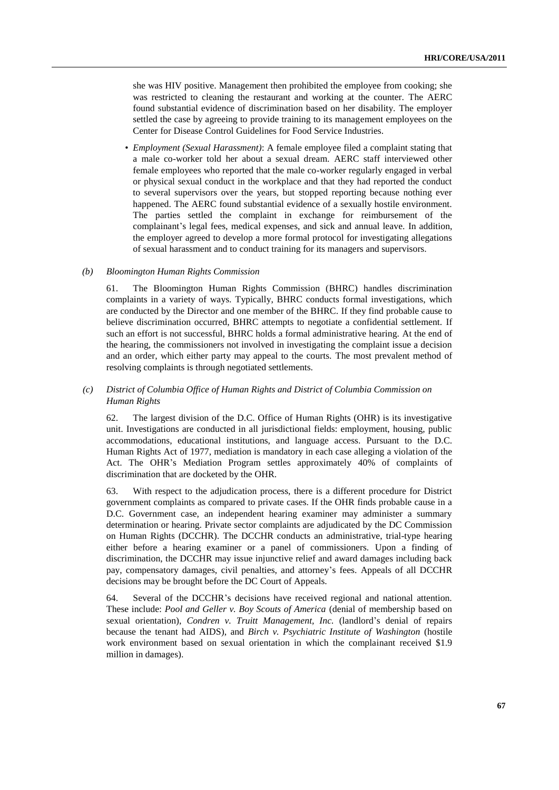she was HIV positive. Management then prohibited the employee from cooking; she was restricted to cleaning the restaurant and working at the counter. The AERC found substantial evidence of discrimination based on her disability. The employer settled the case by agreeing to provide training to its management employees on the Center for Disease Control Guidelines for Food Service Industries.

• *Employment (Sexual Harassment)*: A female employee filed a complaint stating that a male co-worker told her about a sexual dream. AERC staff interviewed other female employees who reported that the male co-worker regularly engaged in verbal or physical sexual conduct in the workplace and that they had reported the conduct to several supervisors over the years, but stopped reporting because nothing ever happened. The AERC found substantial evidence of a sexually hostile environment. The parties settled the complaint in exchange for reimbursement of the complainant's legal fees, medical expenses, and sick and annual leave. In addition, the employer agreed to develop a more formal protocol for investigating allegations of sexual harassment and to conduct training for its managers and supervisors.

# *(b) Bloomington Human Rights Commission*

61. The Bloomington Human Rights Commission (BHRC) handles discrimination complaints in a variety of ways. Typically, BHRC conducts formal investigations, which are conducted by the Director and one member of the BHRC. If they find probable cause to believe discrimination occurred, BHRC attempts to negotiate a confidential settlement. If such an effort is not successful, BHRC holds a formal administrative hearing. At the end of the hearing, the commissioners not involved in investigating the complaint issue a decision and an order, which either party may appeal to the courts. The most prevalent method of resolving complaints is through negotiated settlements.

# *(c) District of Columbia Office of Human Rights and District of Columbia Commission on Human Rights*

62. The largest division of the D.C. Office of Human Rights (OHR) is its investigative unit. Investigations are conducted in all jurisdictional fields: employment, housing, public accommodations, educational institutions, and language access. Pursuant to the D.C. Human Rights Act of 1977, mediation is mandatory in each case alleging a violation of the Act. The OHR's Mediation Program settles approximately 40% of complaints of discrimination that are docketed by the OHR.

63. With respect to the adjudication process, there is a different procedure for District government complaints as compared to private cases. If the OHR finds probable cause in a D.C. Government case, an independent hearing examiner may administer a summary determination or hearing. Private sector complaints are adjudicated by the DC Commission on Human Rights (DCCHR). The DCCHR conducts an administrative, trial-type hearing either before a hearing examiner or a panel of commissioners. Upon a finding of discrimination, the DCCHR may issue injunctive relief and award damages including back pay, compensatory damages, civil penalties, and attorney's fees. Appeals of all DCCHR decisions may be brought before the DC Court of Appeals.

64. Several of the DCCHR's decisions have received regional and national attention. These include: *Pool and Geller v. Boy Scouts of America* (denial of membership based on sexual orientation), *Condren v. Truitt Management, Inc.* (landlord's denial of repairs because the tenant had AIDS), and *Birch v. Psychiatric Institute of Washington* (hostile work environment based on sexual orientation in which the complainant received \$1.9 million in damages).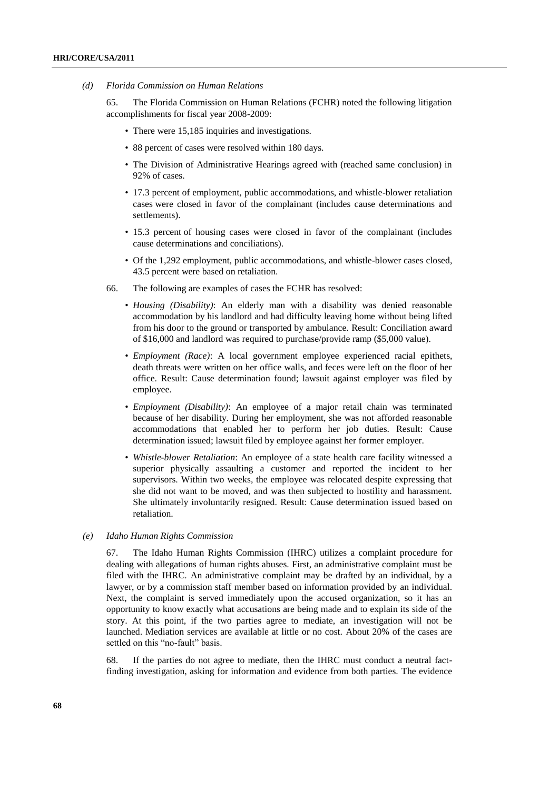*(d) Florida Commission on Human Relations*

65. The Florida Commission on Human Relations (FCHR) noted the following litigation accomplishments for fiscal year 2008-2009:

- There were 15,185 inquiries and investigations.
- 88 percent of cases were resolved within 180 days.
- The Division of Administrative Hearings agreed with (reached same conclusion) in 92% of cases.
- 17.3 percent of employment, public accommodations, and whistle-blower retaliation cases were closed in favor of the complainant (includes cause determinations and settlements).
- 15.3 percent of housing cases were closed in favor of the complainant (includes cause determinations and conciliations).
- Of the 1,292 employment, public accommodations, and whistle-blower cases closed, 43.5 percent were based on retaliation.
- 66. The following are examples of cases the FCHR has resolved:
	- *Housing (Disability)*: An elderly man with a disability was denied reasonable accommodation by his landlord and had difficulty leaving home without being lifted from his door to the ground or transported by ambulance. Result: Conciliation award of \$16,000 and landlord was required to purchase/provide ramp (\$5,000 value).
	- *Employment (Race)*: A local government employee experienced racial epithets, death threats were written on her office walls, and feces were left on the floor of her office. Result: Cause determination found; lawsuit against employer was filed by employee.
	- *Employment (Disability)*: An employee of a major retail chain was terminated because of her disability. During her employment, she was not afforded reasonable accommodations that enabled her to perform her job duties. Result: Cause determination issued; lawsuit filed by employee against her former employer.
	- *Whistle-blower Retaliation*: An employee of a state health care facility witnessed a superior physically assaulting a customer and reported the incident to her supervisors. Within two weeks, the employee was relocated despite expressing that she did not want to be moved, and was then subjected to hostility and harassment. She ultimately involuntarily resigned. Result: Cause determination issued based on retaliation.
- *(e) Idaho Human Rights Commission*

67. The Idaho Human Rights Commission (IHRC) utilizes a complaint procedure for dealing with allegations of human rights abuses. First, an administrative complaint must be filed with the IHRC. An administrative complaint may be drafted by an individual, by a lawyer, or by a commission staff member based on information provided by an individual. Next, the complaint is served immediately upon the accused organization, so it has an opportunity to know exactly what accusations are being made and to explain its side of the story. At this point, if the two parties agree to mediate, an investigation will not be launched. Mediation services are available at little or no cost. About 20% of the cases are settled on this "no-fault" basis.

68. If the parties do not agree to mediate, then the IHRC must conduct a neutral factfinding investigation, asking for information and evidence from both parties. The evidence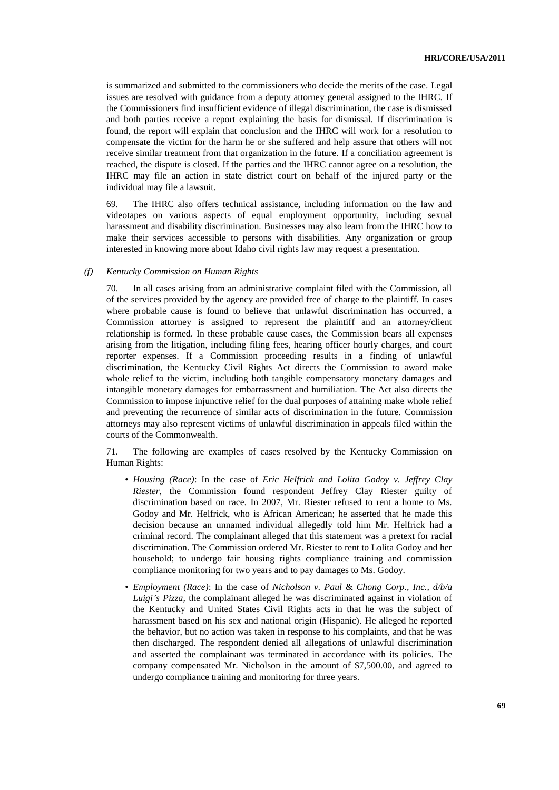is summarized and submitted to the commissioners who decide the merits of the case. Legal issues are resolved with guidance from a deputy attorney general assigned to the IHRC. If the Commissioners find insufficient evidence of illegal discrimination, the case is dismissed and both parties receive a report explaining the basis for dismissal. If discrimination is found, the report will explain that conclusion and the IHRC will work for a resolution to compensate the victim for the harm he or she suffered and help assure that others will not receive similar treatment from that organization in the future. If a conciliation agreement is reached, the dispute is closed. If the parties and the IHRC cannot agree on a resolution, the IHRC may file an action in state district court on behalf of the injured party or the individual may file a lawsuit.

69. The IHRC also offers technical assistance, including information on the law and videotapes on various aspects of equal employment opportunity, including sexual harassment and disability discrimination. Businesses may also learn from the IHRC how to make their services accessible to persons with disabilities. Any organization or group interested in knowing more about Idaho civil rights law may request a presentation.

#### *(f) Kentucky Commission on Human Rights*

70. In all cases arising from an administrative complaint filed with the Commission, all of the services provided by the agency are provided free of charge to the plaintiff. In cases where probable cause is found to believe that unlawful discrimination has occurred, a Commission attorney is assigned to represent the plaintiff and an attorney/client relationship is formed. In these probable cause cases, the Commission bears all expenses arising from the litigation, including filing fees, hearing officer hourly charges, and court reporter expenses. If a Commission proceeding results in a finding of unlawful discrimination, the Kentucky Civil Rights Act directs the Commission to award make whole relief to the victim, including both tangible compensatory monetary damages and intangible monetary damages for embarrassment and humiliation. The Act also directs the Commission to impose injunctive relief for the dual purposes of attaining make whole relief and preventing the recurrence of similar acts of discrimination in the future. Commission attorneys may also represent victims of unlawful discrimination in appeals filed within the courts of the Commonwealth.

71. The following are examples of cases resolved by the Kentucky Commission on Human Rights:

- *Housing (Race)*: In the case of *Eric Helfrick and Lolita Godoy v. Jeffrey Clay Riester*, the Commission found respondent Jeffrey Clay Riester guilty of discrimination based on race. In 2007, Mr. Riester refused to rent a home to Ms. Godoy and Mr. Helfrick, who is African American; he asserted that he made this decision because an unnamed individual allegedly told him Mr. Helfrick had a criminal record. The complainant alleged that this statement was a pretext for racial discrimination. The Commission ordered Mr. Riester to rent to Lolita Godoy and her household; to undergo fair housing rights compliance training and commission compliance monitoring for two years and to pay damages to Ms. Godoy.
- *Employment (Race)*: In the case of *Nicholson v. Paul* & *Chong Corp., Inc., d/b/a Luigi's Pizza,* the complainant alleged he was discriminated against in violation of the Kentucky and United States Civil Rights acts in that he was the subject of harassment based on his sex and national origin (Hispanic). He alleged he reported the behavior, but no action was taken in response to his complaints, and that he was then discharged. The respondent denied all allegations of unlawful discrimination and asserted the complainant was terminated in accordance with its policies. The company compensated Mr. Nicholson in the amount of \$7,500.00, and agreed to undergo compliance training and monitoring for three years.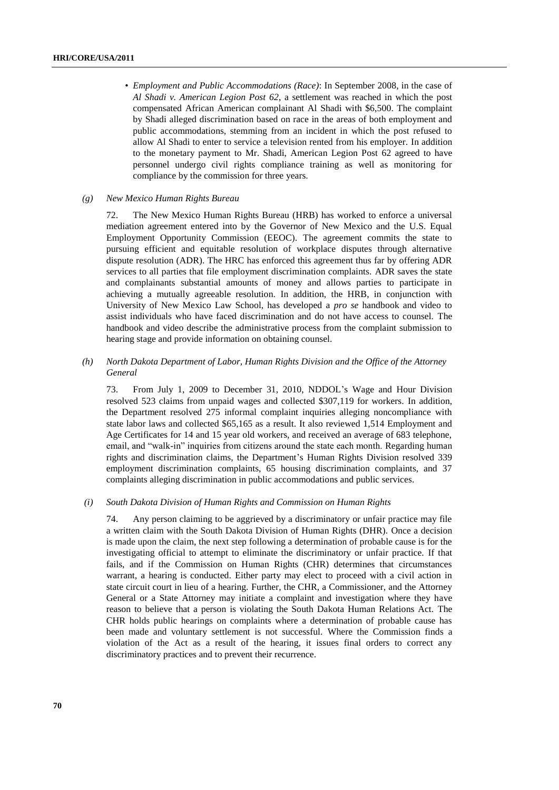• *Employment and Public Accommodations (Race)*: In September 2008, in the case of *Al Shadi v. American Legion Post 62*, a settlement was reached in which the post compensated African American complainant Al Shadi with \$6,500. The complaint by Shadi alleged discrimination based on race in the areas of both employment and public accommodations, stemming from an incident in which the post refused to allow Al Shadi to enter to service a television rented from his employer. In addition to the monetary payment to Mr. Shadi, American Legion Post 62 agreed to have personnel undergo civil rights compliance training as well as monitoring for compliance by the commission for three years.

#### *(g) New Mexico Human Rights Bureau*

72. The New Mexico Human Rights Bureau (HRB) has worked to enforce a universal mediation agreement entered into by the Governor of New Mexico and the U.S. Equal Employment Opportunity Commission (EEOC). The agreement commits the state to pursuing efficient and equitable resolution of workplace disputes through alternative dispute resolution (ADR). The HRC has enforced this agreement thus far by offering ADR services to all parties that file employment discrimination complaints. ADR saves the state and complainants substantial amounts of money and allows parties to participate in achieving a mutually agreeable resolution. In addition, the HRB, in conjunction with University of New Mexico Law School, has developed a *pro se* handbook and video to assist individuals who have faced discrimination and do not have access to counsel. The handbook and video describe the administrative process from the complaint submission to hearing stage and provide information on obtaining counsel.

# *(h) North Dakota Department of Labor, Human Rights Division and the Office of the Attorney General*

73. From July 1, 2009 to December 31, 2010, NDDOL's Wage and Hour Division resolved 523 claims from unpaid wages and collected \$307,119 for workers. In addition, the Department resolved 275 informal complaint inquiries alleging noncompliance with state labor laws and collected \$65,165 as a result. It also reviewed 1,514 Employment and Age Certificates for 14 and 15 year old workers, and received an average of 683 telephone, email, and "walk-in" inquiries from citizens around the state each month. Regarding human rights and discrimination claims, the Department's Human Rights Division resolved 339 employment discrimination complaints, 65 housing discrimination complaints, and 37 complaints alleging discrimination in public accommodations and public services.

#### *(i) South Dakota Division of Human Rights and Commission on Human Rights*

74. Any person claiming to be aggrieved by a discriminatory or unfair practice may file a written claim with the South Dakota Division of Human Rights (DHR). Once a decision is made upon the claim, the next step following a determination of probable cause is for the investigating official to attempt to eliminate the discriminatory or unfair practice. If that fails, and if the Commission on Human Rights (CHR) determines that circumstances warrant, a hearing is conducted. Either party may elect to proceed with a civil action in state circuit court in lieu of a hearing. Further, the CHR, a Commissioner, and the Attorney General or a State Attorney may initiate a complaint and investigation where they have reason to believe that a person is violating the South Dakota Human Relations Act. The CHR holds public hearings on complaints where a determination of probable cause has been made and voluntary settlement is not successful. Where the Commission finds a violation of the Act as a result of the hearing, it issues final orders to correct any discriminatory practices and to prevent their recurrence.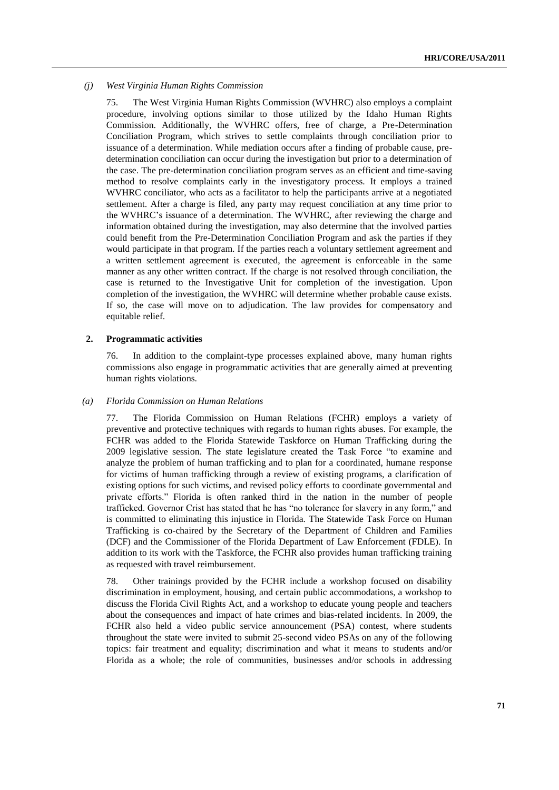## *(j) West Virginia Human Rights Commission*

75. The West Virginia Human Rights Commission (WVHRC) also employs a complaint procedure, involving options similar to those utilized by the Idaho Human Rights Commission. Additionally, the WVHRC offers, free of charge, a Pre-Determination Conciliation Program, which strives to settle complaints through conciliation prior to issuance of a determination. While mediation occurs after a finding of probable cause, predetermination conciliation can occur during the investigation but prior to a determination of the case. The pre-determination conciliation program serves as an efficient and time-saving method to resolve complaints early in the investigatory process. It employs a trained WVHRC conciliator, who acts as a facilitator to help the participants arrive at a negotiated settlement. After a charge is filed, any party may request conciliation at any time prior to the WVHRC's issuance of a determination. The WVHRC, after reviewing the charge and information obtained during the investigation, may also determine that the involved parties could benefit from the Pre-Determination Conciliation Program and ask the parties if they would participate in that program. If the parties reach a voluntary settlement agreement and a written settlement agreement is executed, the agreement is enforceable in the same manner as any other written contract. If the charge is not resolved through conciliation, the case is returned to the Investigative Unit for completion of the investigation. Upon completion of the investigation, the WVHRC will determine whether probable cause exists. If so, the case will move on to adjudication. The law provides for compensatory and equitable relief.

#### **2. Programmatic activities**

76. In addition to the complaint-type processes explained above, many human rights commissions also engage in programmatic activities that are generally aimed at preventing human rights violations.

#### *(a) Florida Commission on Human Relations*

77. The Florida Commission on Human Relations (FCHR) employs a variety of preventive and protective techniques with regards to human rights abuses. For example, the FCHR was added to the Florida Statewide Taskforce on Human Trafficking during the 2009 legislative session. The state legislature created the Task Force "to examine and analyze the problem of human trafficking and to plan for a coordinated, humane response for victims of human trafficking through a review of existing programs, a clarification of existing options for such victims, and revised policy efforts to coordinate governmental and private efforts." Florida is often ranked third in the nation in the number of people trafficked. Governor Crist has stated that he has "no tolerance for slavery in any form," and is committed to eliminating this injustice in Florida. The Statewide Task Force on Human Trafficking is co-chaired by the Secretary of the Department of Children and Families (DCF) and the Commissioner of the Florida Department of Law Enforcement (FDLE). In addition to its work with the Taskforce, the FCHR also provides human trafficking training as requested with travel reimbursement.

78. Other trainings provided by the FCHR include a workshop focused on disability discrimination in employment, housing, and certain public accommodations, a workshop to discuss the Florida Civil Rights Act, and a workshop to educate young people and teachers about the consequences and impact of hate crimes and bias-related incidents. In 2009, the FCHR also held a video public service announcement (PSA) contest, where students throughout the state were invited to submit 25-second video PSAs on any of the following topics: fair treatment and equality; discrimination and what it means to students and/or Florida as a whole; the role of communities, businesses and/or schools in addressing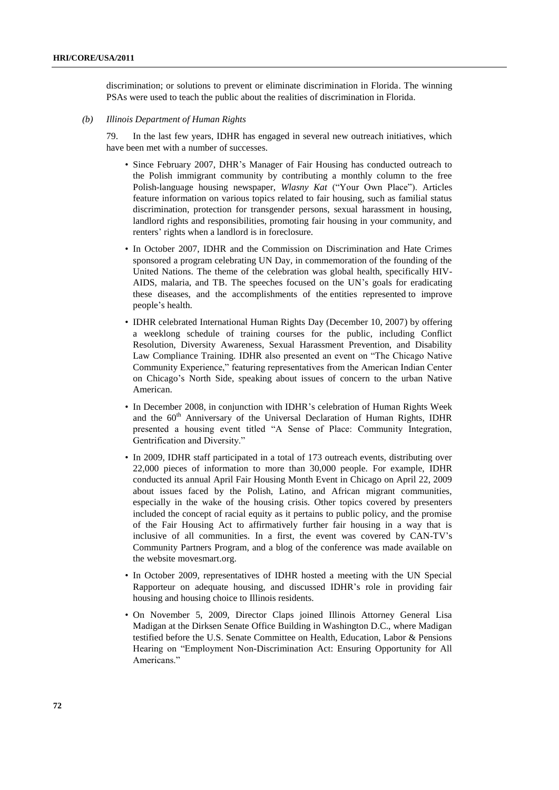discrimination; or solutions to prevent or eliminate discrimination in Florida. The winning PSAs were used to teach the public about the realities of discrimination in Florida.

*(b) Illinois Department of Human Rights*

79. In the last few years, IDHR has engaged in several new outreach initiatives, which have been met with a number of successes.

- Since February 2007, DHR's Manager of Fair Housing has conducted outreach to the Polish immigrant community by contributing a monthly column to the free Polish-language housing newspaper, *Wlasny Kat* ("Your Own Place"). Articles feature information on various topics related to fair housing, such as familial status discrimination, protection for transgender persons, sexual harassment in housing, landlord rights and responsibilities, promoting fair housing in your community, and renters' rights when a landlord is in foreclosure.
- In October 2007, IDHR and the Commission on Discrimination and Hate Crimes sponsored a program celebrating UN Day, in commemoration of the founding of the United Nations. The theme of the celebration was global health, specifically HIV-AIDS, malaria, and TB. The speeches focused on the UN's goals for eradicating these diseases, and the accomplishments of the entities represented to improve people's health.
- IDHR celebrated International Human Rights Day (December 10, 2007) by offering a weeklong schedule of training courses for the public, including Conflict Resolution, Diversity Awareness, Sexual Harassment Prevention, and Disability Law Compliance Training. IDHR also presented an event on "The Chicago Native Community Experience," featuring representatives from the American Indian Center on Chicago's North Side, speaking about issues of concern to the urban Native American.
- In December 2008, in conjunction with IDHR's celebration of Human Rights Week and the 60<sup>th</sup> Anniversary of the Universal Declaration of Human Rights, IDHR presented a housing event titled "A Sense of Place: Community Integration, Gentrification and Diversity."
- In 2009, IDHR staff participated in a total of 173 outreach events, distributing over 22,000 pieces of information to more than 30,000 people. For example, IDHR conducted its annual April Fair Housing Month Event in Chicago on April 22, 2009 about issues faced by the Polish, Latino, and African migrant communities, especially in the wake of the housing crisis. Other topics covered by presenters included the concept of racial equity as it pertains to public policy, and the promise of the Fair Housing Act to affirmatively further fair housing in a way that is inclusive of all communities. In a first, the event was covered by CAN-TV's Community Partners Program, and a blog of the conference was made available on the website movesmart.org.
- In October 2009, representatives of IDHR hosted a meeting with the UN Special Rapporteur on adequate housing, and discussed IDHR's role in providing fair housing and housing choice to Illinois residents.
- On November 5, 2009, Director Claps joined Illinois Attorney General Lisa Madigan at the Dirksen Senate Office Building in Washington D.C., where Madigan testified before the U.S. Senate Committee on Health, Education, Labor & Pensions Hearing on "Employment Non-Discrimination Act: Ensuring Opportunity for All Americans."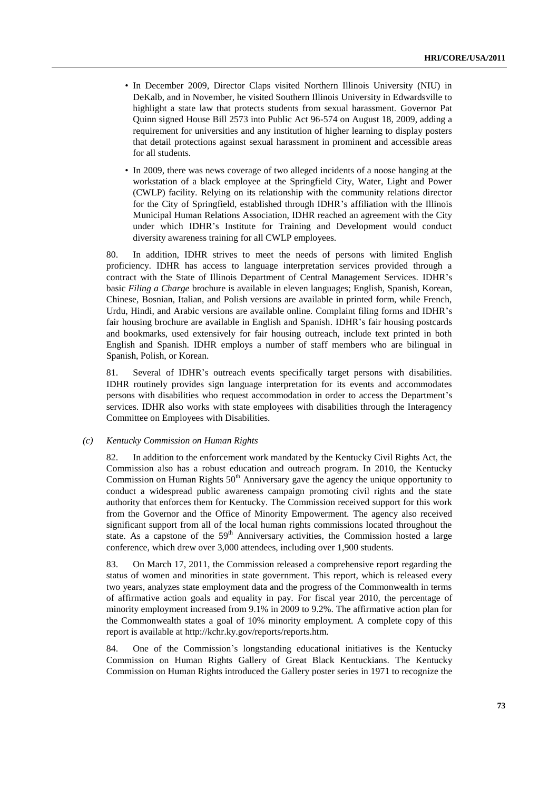- In December 2009, Director Claps visited Northern Illinois University (NIU) in DeKalb, and in November, he visited Southern Illinois University in Edwardsville to highlight a state law that protects students from sexual harassment. Governor Pat Quinn signed House Bill 2573 into Public Act 96-574 on August 18, 2009, adding a requirement for universities and any institution of higher learning to display posters that detail protections against sexual harassment in prominent and accessible areas for all students.
- In 2009, there was news coverage of two alleged incidents of a noose hanging at the workstation of a black employee at the Springfield City, Water, Light and Power (CWLP) facility. Relying on its relationship with the community relations director for the City of Springfield, established through IDHR's affiliation with the Illinois Municipal Human Relations Association, IDHR reached an agreement with the City under which IDHR's Institute for Training and Development would conduct diversity awareness training for all CWLP employees.

80. In addition, IDHR strives to meet the needs of persons with limited English proficiency. IDHR has access to language interpretation services provided through a contract with the State of Illinois Department of Central Management Services. IDHR's basic *Filing a Charge* brochure is available in eleven languages; English, Spanish, Korean, Chinese, Bosnian, Italian, and Polish versions are available in printed form, while French, Urdu, Hindi, and Arabic versions are available online. Complaint filing forms and IDHR's fair housing brochure are available in English and Spanish. IDHR's fair housing postcards and bookmarks, used extensively for fair housing outreach, include text printed in both English and Spanish. IDHR employs a number of staff members who are bilingual in Spanish, Polish, or Korean.

81. Several of IDHR's outreach events specifically target persons with disabilities. IDHR routinely provides sign language interpretation for its events and accommodates persons with disabilities who request accommodation in order to access the Department's services. IDHR also works with state employees with disabilities through the Interagency Committee on Employees with Disabilities.

### *(c) Kentucky Commission on Human Rights*

82. In addition to the enforcement work mandated by the Kentucky Civil Rights Act, the Commission also has a robust education and outreach program. In 2010, the Kentucky Commission on Human Rights  $50<sup>th</sup>$  Anniversary gave the agency the unique opportunity to conduct a widespread public awareness campaign promoting civil rights and the state authority that enforces them for Kentucky. The Commission received support for this work from the Governor and the Office of Minority Empowerment. The agency also received significant support from all of the local human rights commissions located throughout the state. As a capstone of the 59<sup>th</sup> Anniversary activities, the Commission hosted a large conference, which drew over 3,000 attendees, including over 1,900 students.

83. On March 17, 2011, the Commission released a comprehensive report regarding the status of women and minorities in state government. This report, which is released every two years, analyzes state employment data and the progress of the Commonwealth in terms of affirmative action goals and equality in pay. For fiscal year 2010, the percentage of minority employment increased from 9.1% in 2009 to 9.2%. The affirmative action plan for the Commonwealth states a goal of 10% minority employment. A complete copy of this report is available at [http://kchr.ky.gov/reports/reports.htm.](http://kchr.ky.gov/reports/reports.htm)

84. One of the Commission's longstanding educational initiatives is the Kentucky Commission on Human Rights Gallery of Great Black Kentuckians. The Kentucky Commission on Human Rights introduced the Gallery poster series in 1971 to recognize the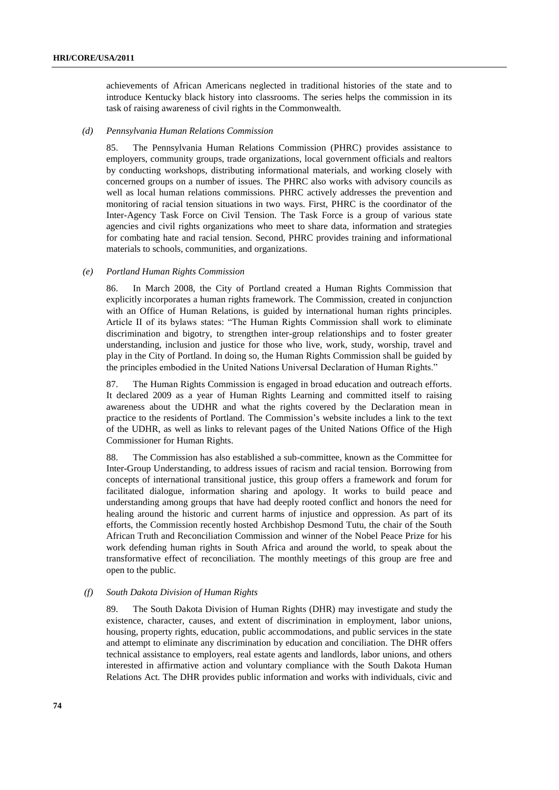achievements of African Americans neglected in traditional histories of the state and to introduce Kentucky black history into classrooms. The series helps the commission in its task of raising awareness of civil rights in the Commonwealth.

#### *(d) Pennsylvania Human Relations Commission*

85. The Pennsylvania Human Relations Commission (PHRC) provides assistance to employers, community groups, trade organizations, local government officials and realtors by conducting workshops, distributing informational materials, and working closely with concerned groups on a number of issues. The PHRC also works with advisory councils as well as local human relations commissions. PHRC actively addresses the prevention and monitoring of racial tension situations in two ways. First, PHRC is the coordinator of the Inter-Agency Task Force on Civil Tension. The Task Force is a group of various state agencies and civil rights organizations who meet to share data, information and strategies for combating hate and racial tension. Second, PHRC provides training and informational materials to schools, communities, and organizations.

## *(e) Portland Human Rights Commission*

86. In March 2008, the City of Portland created a Human Rights Commission that explicitly incorporates a human rights framework. The Commission, created in conjunction with an Office of Human Relations, is guided by international human rights principles. Article II of its bylaws states: "The Human Rights Commission shall work to eliminate discrimination and bigotry, to strengthen inter-group relationships and to foster greater understanding, inclusion and justice for those who live, work, study, worship, travel and play in the City of Portland. In doing so, the Human Rights Commission shall be guided by the principles embodied in the United Nations Universal Declaration of Human Rights."

87. The Human Rights Commission is engaged in broad education and outreach efforts. It declared 2009 as a year of Human Rights Learning and committed itself to raising awareness about the UDHR and what the rights covered by the Declaration mean in practice to the residents of Portland. The Commission's website includes a link to the text of the UDHR, as well as links to relevant pages of the United Nations Office of the High Commissioner for Human Rights.

88. The Commission has also established a sub-committee, known as the Committee for Inter-Group Understanding, to address issues of racism and racial tension. Borrowing from concepts of international transitional justice, this group offers a framework and forum for facilitated dialogue, information sharing and apology. It works to build peace and understanding among groups that have had deeply rooted conflict and honors the need for healing around the historic and current harms of injustice and oppression. As part of its efforts, the Commission recently hosted Archbishop Desmond Tutu, the chair of the South African Truth and Reconciliation Commission and winner of the Nobel Peace Prize for his work defending human rights in South Africa and around the world, to speak about the transformative effect of reconciliation. The monthly meetings of this group are free and open to the public.

#### *(f) South Dakota Division of Human Rights*

89. The South Dakota Division of Human Rights (DHR) may investigate and study the existence, character, causes, and extent of discrimination in employment, labor unions, housing, property rights, education, public accommodations, and public services in the state and attempt to eliminate any discrimination by education and conciliation. The DHR offers technical assistance to employers, real estate agents and landlords, labor unions, and others interested in affirmative action and voluntary compliance with the South Dakota Human Relations Act. The DHR provides public information and works with individuals, civic and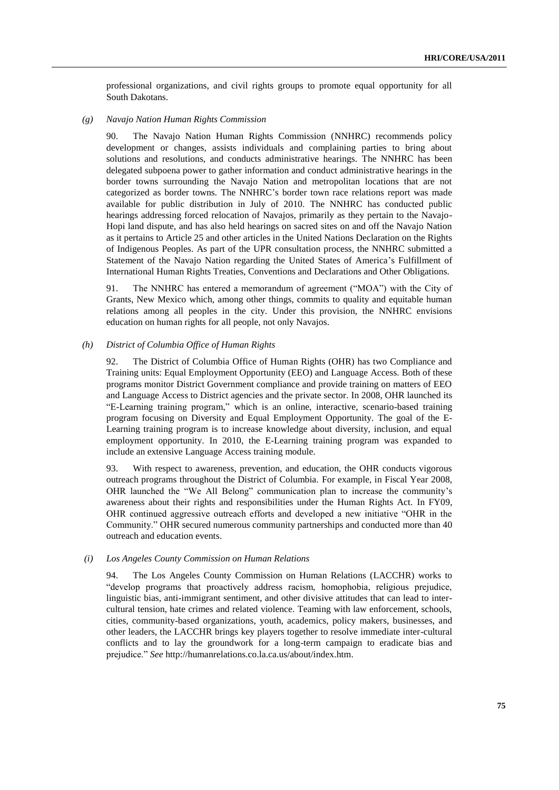professional organizations, and civil rights groups to promote equal opportunity for all South Dakotans.

## *(g) Navajo Nation Human Rights Commission*

90. The Navajo Nation Human Rights Commission (NNHRC) recommends policy development or changes, assists individuals and complaining parties to bring about solutions and resolutions, and conducts administrative hearings. The NNHRC has been delegated subpoena power to gather information and conduct administrative hearings in the border towns surrounding the Navajo Nation and metropolitan locations that are not categorized as border towns. The NNHRC's border town race relations report was made available for public distribution in July of 2010. The NNHRC has conducted public hearings addressing forced relocation of Navajos, primarily as they pertain to the Navajo-Hopi land dispute, and has also held hearings on sacred sites on and off the Navajo Nation as it pertains to Article 25 and other articles in the United Nations Declaration on the Rights of Indigenous Peoples. As part of the UPR consultation process, the NNHRC submitted a Statement of the Navajo Nation regarding the United States of America's Fulfillment of International Human Rights Treaties, Conventions and Declarations and Other Obligations.

91. The NNHRC has entered a memorandum of agreement ("MOA") with the City of Grants, New Mexico which, among other things, commits to quality and equitable human relations among all peoples in the city. Under this provision, the NNHRC envisions education on human rights for all people, not only Navajos.

# *(h) District of Columbia Office of Human Rights*

92. The District of Columbia Office of Human Rights (OHR) has two Compliance and Training units: Equal Employment Opportunity (EEO) and Language Access. Both of these programs monitor District Government compliance and provide training on matters of EEO and Language Access to District agencies and the private sector. In 2008, OHR launched [its](http://dcohrtraining.skillport.com/skillportfe/login.action?errmessage=sessiontimeouterror&redirect_to=%2Fskillportfe%2Fmain.action%3FselectedTab%3D0)  [―E-Learning training program,‖](http://dcohrtraining.skillport.com/skillportfe/login.action?errmessage=sessiontimeouterror&redirect_to=%2Fskillportfe%2Fmain.action%3FselectedTab%3D0) which is an online, interactive, scenario-based training program focusing on Diversity and Equal Employment Opportunity. The goal of the E-Learning training program is to increase knowledge about diversity, inclusion, and equal employment opportunity. In 2010, the E-Learning training program was expanded to include an extensive Language Access training module.

93. With respect to awareness, prevention, and education, the OHR conducts vigorous outreach programs throughout the District of Columbia. For example, in Fiscal Year 2008, OHR launched the "We All Belong" communication plan to increase the community's awareness about their rights and responsibilities under the Human Rights Act. In FY09, OHR continued aggressive outreach efforts and developed a new initiative "OHR in the Community." OHR secured numerous community partnerships and conducted more than 40 outreach and education events.

## *(i) Los Angeles County Commission on Human Relations*

94. The Los Angeles County Commission on Human Relations (LACCHR) works to ―develop programs that proactively address racism, homophobia, religious prejudice, linguistic bias, anti-immigrant sentiment, and other divisive attitudes that can lead to intercultural tension, hate crimes and related violence. Teaming with law enforcement, schools, cities, community-based organizations, youth, academics, policy makers, businesses, and other leaders, the LACCHR brings key players together to resolve immediate inter-cultural conflicts and to lay the groundwork for a long-term campaign to eradicate bias and prejudice." See [http://humanrelations.co.la.ca.us/about/index.htm.](http://humanrelations.co.la.ca.us/about/index.htm)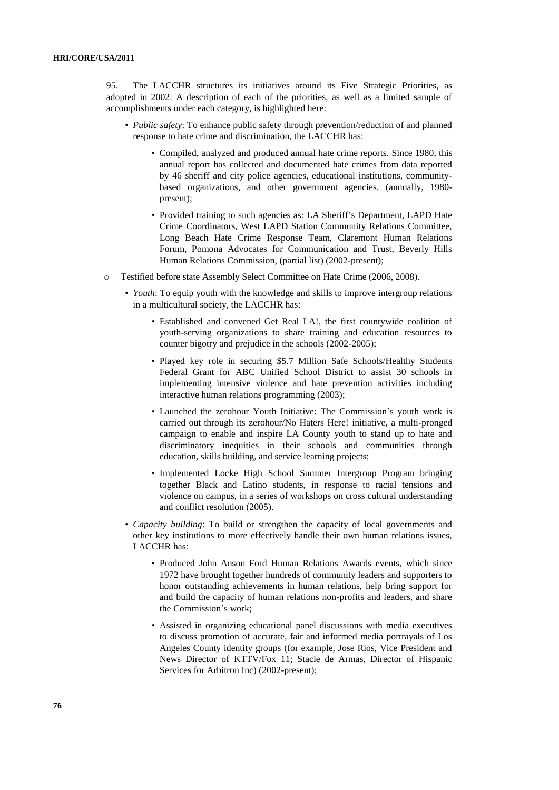95. The LACCHR structures its initiatives around its Five Strategic Priorities, as adopted in 2002. A description of each of the priorities, as well as a limited sample of accomplishments under each category, is highlighted here:

- *Public safety*: To enhance public safety through prevention/reduction of and planned response to hate crime and discrimination, the LACCHR has:
	- Compiled, analyzed and produced annual hate crime reports*.* Since 1980, this annual report has collected and documented hate crimes from data reported by 46 sheriff and city police agencies, educational institutions, communitybased organizations, and other government agencies. (annually, 1980 present);
	- Provided training to such agencies as: LA Sheriff's Department, LAPD Hate Crime Coordinators, West LAPD Station Community Relations Committee, Long Beach Hate Crime Response Team, Claremont Human Relations Forum, Pomona Advocates for Communication and Trust, Beverly Hills Human Relations Commission, (partial list) (2002-present);
- o Testified before state Assembly Select Committee on Hate Crime (2006, 2008).
	- *Youth*: To equip youth with the knowledge and skills to improve intergroup relations in a multicultural society, the LACCHR has:
		- Established and convened Get Real LA!, the first countywide coalition of youth-serving organizations to share training and education resources to counter bigotry and prejudice in the schools (2002-2005);
		- Played key role in securing \$5.7 Million Safe Schools/Healthy Students Federal Grant for ABC Unified School District to assist 30 schools in implementing intensive violence and hate prevention activities including interactive human relations programming (2003);
		- Launched the zerohour Youth Initiative: The Commission's youth work is carried out through its zerohour/No Haters Here! initiative, a multi-pronged campaign to enable and inspire LA County youth to stand up to hate and discriminatory inequities in their schools and communities through education, skills building, and service learning projects;
		- Implemented Locke High School Summer Intergroup Program bringing together Black and Latino students, in response to racial tensions and violence on campus, in a series of workshops on cross cultural understanding and conflict resolution (2005).
	- *Capacity building*: To build or strengthen the capacity of local governments and other key institutions to more effectively handle their own human relations issues, LACCHR has:
		- Produced John Anson Ford Human Relations Awards events, which since 1972 have brought together hundreds of community leaders and supporters to honor outstanding achievements in human relations, help bring support for and build the capacity of human relations non-profits and leaders, and share the Commission's work;
		- Assisted in organizing educational panel discussions with media executives to discuss promotion of accurate, fair and informed media portrayals of Los Angeles County identity groups (for example, Jose Rios, Vice President and News Director of KTTV/Fox 11; Stacie de Armas, Director of Hispanic Services for Arbitron Inc) (2002-present);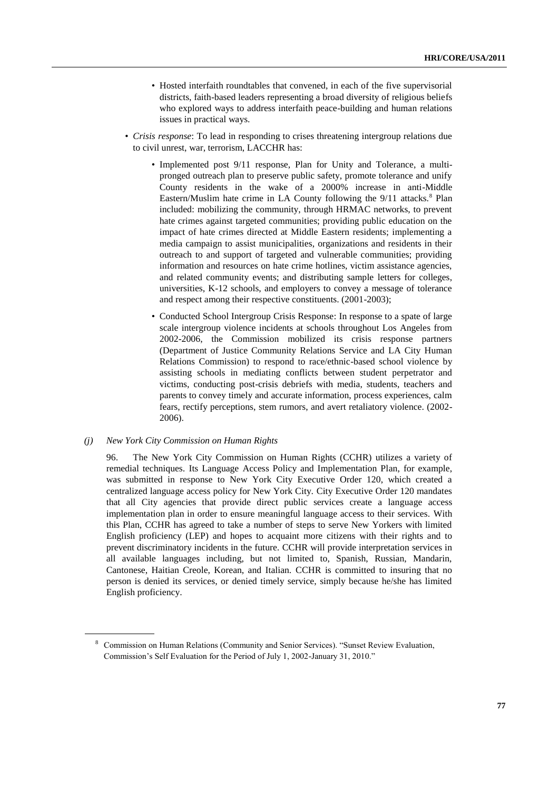- Hosted interfaith roundtables that convened, in each of the five supervisorial districts, faith-based leaders representing a broad diversity of religious beliefs who explored ways to address interfaith peace-building and human relations issues in practical ways.
- *Crisis response*: To lead in responding to crises threatening intergroup relations due to civil unrest, war, terrorism, LACCHR has:
	- Implemented post 9/11 response, Plan for Unity and Tolerance, a multipronged outreach plan to preserve public safety, promote tolerance and unify County residents in the wake of a 2000% increase in anti-Middle Eastern/Muslim hate crime in LA County following the  $9/11$  attacks.<sup>8</sup> Plan included: mobilizing the community, through HRMAC networks, to prevent hate crimes against targeted communities; providing public education on the impact of hate crimes directed at Middle Eastern residents; implementing a media campaign to assist municipalities, organizations and residents in their outreach to and support of targeted and vulnerable communities; providing information and resources on hate crime hotlines, victim assistance agencies, and related community events; and distributing sample letters for colleges, universities, K-12 schools, and employers to convey a message of tolerance and respect among their respective constituents. (2001-2003);
	- Conducted School Intergroup Crisis Response: In response to a spate of large scale intergroup violence incidents at schools throughout Los Angeles from 2002-2006, the Commission mobilized its crisis response partners (Department of Justice Community Relations Service and LA City Human Relations Commission) to respond to race/ethnic-based school violence by assisting schools in mediating conflicts between student perpetrator and victims, conducting post-crisis debriefs with media, students, teachers and parents to convey timely and accurate information, process experiences, calm fears, rectify perceptions, stem rumors, and avert retaliatory violence. (2002- 2006).

## *(j) New York City Commission on Human Rights*

96. The New York City Commission on Human Rights (CCHR) utilizes a variety of remedial techniques. Its Language Access Policy and Implementation Plan, for example, was submitted in response to New York City Executive Order 120, which created a centralized language access policy for New York City. City Executive Order 120 mandates that all City agencies that provide direct public services create a language access implementation plan in order to ensure meaningful language access to their services. With this Plan, CCHR has agreed to take a number of steps to serve New Yorkers with limited English proficiency (LEP) and hopes to acquaint more citizens with their rights and to prevent discriminatory incidents in the future. CCHR will provide interpretation services in all available languages including, but not limited to, Spanish, Russian, Mandarin, Cantonese, Haitian Creole, Korean, and Italian. CCHR is committed to insuring that no person is denied its services, or denied timely service, simply because he/she has limited English proficiency.

<sup>&</sup>lt;sup>8</sup> Commission on Human Relations (Community and Senior Services). "Sunset Review Evaluation, Commission's Self Evaluation for the Period of July 1, 2002-January 31, 2010."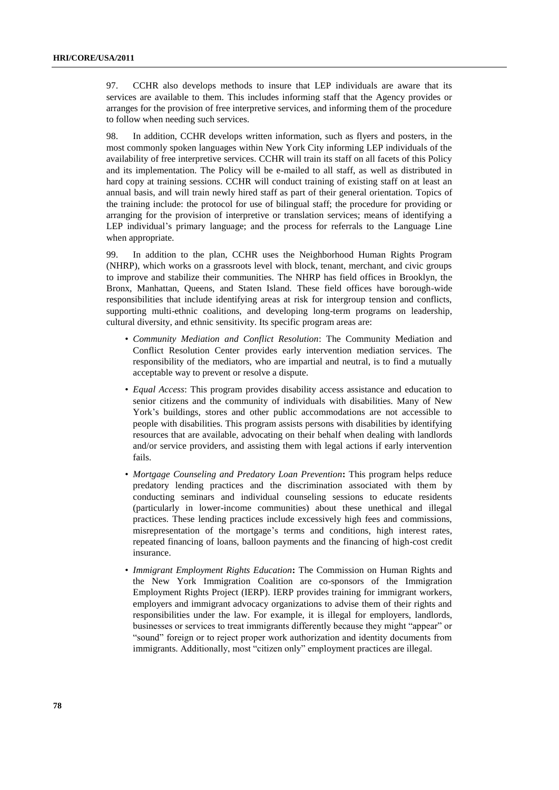97. CCHR also develops methods to insure that LEP individuals are aware that its services are available to them. This includes informing staff that the Agency provides or arranges for the provision of free interpretive services, and informing them of the procedure to follow when needing such services.

98. In addition, CCHR develops written information, such as flyers and posters, in the most commonly spoken languages within New York City informing LEP individuals of the availability of free interpretive services. CCHR will train its staff on all facets of this Policy and its implementation. The Policy will be e-mailed to all staff, as well as distributed in hard copy at training sessions. CCHR will conduct training of existing staff on at least an annual basis, and will train newly hired staff as part of their general orientation. Topics of the training include: the protocol for use of bilingual staff; the procedure for providing or arranging for the provision of interpretive or translation services; means of identifying a LEP individual's primary language; and the process for referrals to the Language Line when appropriate.

99. In addition to the plan, CCHR uses the Neighborhood Human Rights Program (NHRP), which works on a grassroots level with block, tenant, merchant, and civic groups to improve and stabilize their communities. The NHRP has field offices in Brooklyn, the Bronx, Manhattan, Queens, and Staten Island. These field offices have borough-wide responsibilities that include identifying areas at risk for intergroup tension and conflicts, supporting multi-ethnic coalitions, and developing long-term programs on leadership, cultural diversity, and ethnic sensitivity. Its specific program areas are:

- *Community Mediation and Conflict Resolution*: The Community Mediation and Conflict Resolution Center provides early intervention mediation services. The responsibility of the mediators, who are impartial and neutral, is to find a mutually acceptable way to prevent or resolve a dispute.
- *Equal Access*: This program provides disability access assistance and education to senior citizens and the community of individuals with disabilities. Many of New York's buildings, stores and other public accommodations are not accessible to people with disabilities. This program assists persons with disabilities by identifying resources that are available, advocating on their behalf when dealing with landlords and/or service providers, and assisting them with legal actions if early intervention fails.
- *Mortgage Counseling and Predatory Loan Prevention***:** This program helps reduce predatory lending practices and the discrimination associated with them by conducting seminars and individual counseling sessions to educate residents (particularly in lower-income communities) about these unethical and illegal practices. These lending practices include excessively high fees and commissions, misrepresentation of the mortgage's terms and conditions, high interest rates, repeated financing of loans, balloon payments and the financing of high-cost credit insurance.
- *Immigrant Employment Rights Education***:** The Commission on Human Rights and the New York Immigration Coalition are co-sponsors of the Immigration Employment Rights Project (IERP). IERP provides training for immigrant workers, employers and immigrant advocacy organizations to advise them of their rights and responsibilities under the law. For example, it is illegal for employers, landlords, businesses or services to treat immigrants differently because they might "appear" or "sound" foreign or to reject proper work authorization and identity documents from immigrants. Additionally, most "citizen only" employment practices are illegal.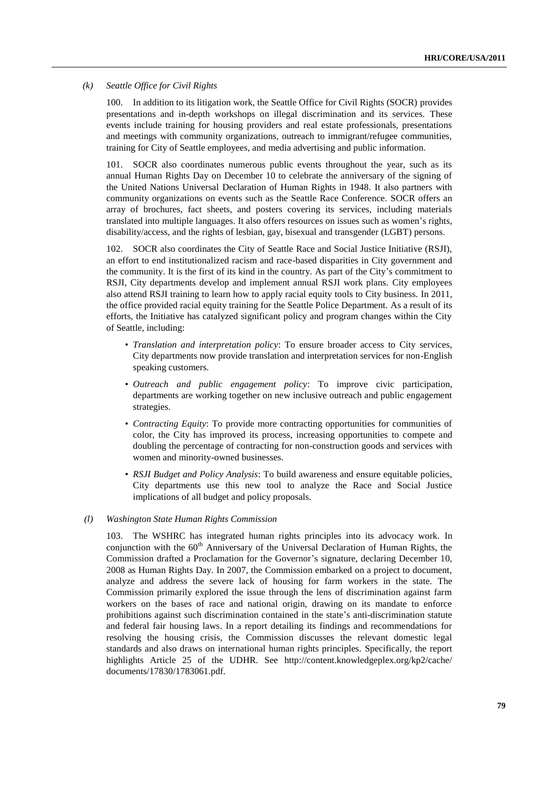#### *(k) Seattle Office for Civil Rights*

100. In addition to its litigation work, the Seattle Office for Civil Rights (SOCR) provides presentations and in-depth workshops on illegal discrimination and its services. These events include training for housing providers and real estate professionals, presentations and meetings with community organizations, outreach to immigrant/refugee communities, training for City of Seattle employees, and media advertising and public information.

101. SOCR also coordinates numerous public events throughout the year, such as its annual Human Rights Day on December 10 to celebrate the anniversary of the signing of the United Nations Universal Declaration of Human Rights in 1948. It also partners with community organizations on events such as the Seattle Race Conference. SOCR offers an array of brochures, fact sheets, and posters covering its services, including materials translated into multiple languages. It also offers resources on issues such as women's rights, disability/access, and the rights of lesbian, gay, bisexual and transgender (LGBT) persons.

102. SOCR also coordinates the City of Seattle Race and Social Justice Initiative (RSJI), an effort to end institutionalized racism and race-based disparities in City government and the community. It is the first of its kind in the country. As part of the City's commitment to RSJI, City departments develop and implement annual RSJI work plans. City employees also attend RSJI training to learn how to apply racial equity tools to City business. In 2011, the office provided racial equity training for the Seattle Police Department. As a result of its efforts, the Initiative has catalyzed significant policy and program changes within the City of Seattle, including:

- *Translation and interpretation policy*: To ensure broader access to City services, City departments now provide translation and interpretation services for non-English speaking customers.
- *Outreach and public engagement policy*: To improve civic participation, departments are working together on new inclusive outreach and public engagement strategies.
- *Contracting Equity*: To provide more contracting opportunities for communities of color, the City has improved its process, increasing opportunities to compete and doubling the percentage of contracting for non-construction goods and services with women and minority-owned businesses.
- *RSJI Budget and Policy Analysis*: To build awareness and ensure equitable policies, City departments use this new tool to analyze the Race and Social Justice implications of all budget and policy proposals.

# *(l) Washington State Human Rights Commission*

103. The WSHRC has integrated human rights principles into its advocacy work. In conjunction with the 60<sup>th</sup> Anniversary of the Universal Declaration of Human Rights, the Commission drafted a Proclamation for the Governor's signature, declaring December 10, 2008 as Human Rights Day. In 2007, the Commission embarked on a project to document, analyze and address the severe lack of housing for farm workers in the state. The Commission primarily explored the issue through the lens of discrimination against farm workers on the bases of race and national origin, drawing on its mandate to enforce prohibitions against such discrimination contained in the state's anti-discrimination statute and federal fair housing laws. In a report detailing its findings and recommendations for resolving the housing crisis, the Commission discusses the relevant domestic legal standards and also draws on international human rights principles. Specifically, the report highlights Article 25 of the UDHR. See <http://content.knowledgeplex.org/kp2/cache/> documents/17830/1783061.pdf.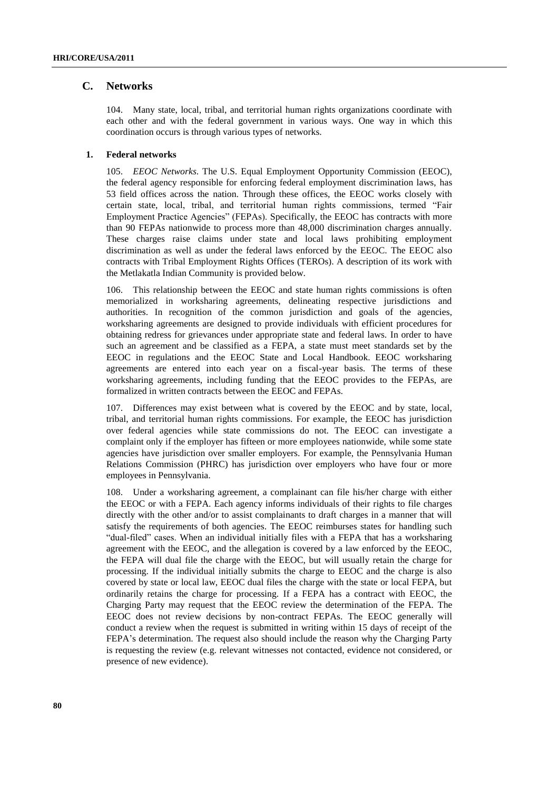# **C. Networks**

104. Many state, local, tribal, and territorial human rights organizations coordinate with each other and with the federal government in various ways. One way in which this coordination occurs is through various types of networks.

# **1. Federal networks**

105. *EEOC Networks*. The U.S. Equal Employment Opportunity Commission (EEOC), the federal agency responsible for enforcing federal employment discrimination laws, has 53 field offices across the nation. Through these offices, the EEOC works closely with certain state, local, tribal, and territorial human rights commissions, termed "Fair Employment Practice Agencies" (FEPAs). Specifically, the EEOC has contracts with more than 90 FEPAs nationwide to process more than 48,000 discrimination charges annually. These charges raise claims under state and local laws prohibiting employment discrimination as well as under the federal laws enforced by the EEOC. The EEOC also contracts with Tribal Employment Rights Offices (TEROs). A description of its work with the Metlakatla Indian Community is provided below.

106. This relationship between the EEOC and state human rights commissions is often memorialized in worksharing agreements, delineating respective jurisdictions and authorities. In recognition of the common jurisdiction and goals of the agencies, worksharing agreements are designed to provide individuals with efficient procedures for obtaining redress for grievances under appropriate state and federal laws. In order to have such an agreement and be classified as a FEPA, a state must meet standards set by the EEOC in regulations and the EEOC State and Local Handbook. EEOC worksharing agreements are entered into each year on a fiscal-year basis. The terms of these worksharing agreements, including funding that the EEOC provides to the FEPAs, are formalized in written contracts between the EEOC and FEPAs.

107. Differences may exist between what is covered by the EEOC and by state, local, tribal, and territorial human rights commissions. For example, the EEOC has jurisdiction over federal agencies while state commissions do not. The EEOC can investigate a complaint only if the employer has fifteen or more employees nationwide, while some state agencies have jurisdiction over smaller employers. For example, the Pennsylvania Human Relations Commission (PHRC) has jurisdiction over employers who have four or more employees in Pennsylvania.

108. Under a worksharing agreement, a complainant can file his/her charge with either the EEOC or with a FEPA. Each agency informs individuals of their rights to file charges directly with the other and/or to assist complainants to draft charges in a manner that will satisfy the requirements of both agencies. The EEOC reimburses states for handling such "dual-filed" cases. When an individual initially files with a FEPA that has a worksharing agreement with the EEOC, and the allegation is covered by a law enforced by the EEOC, the FEPA will dual file the charge with the EEOC, but will usually retain the charge for processing. If the individual initially submits the charge to EEOC and the charge is also covered by state or local law, EEOC dual files the charge with the state or local FEPA, but ordinarily retains the charge for processing. If a FEPA has a contract with EEOC, the Charging Party may request that the EEOC review the determination of the FEPA. The EEOC does not review decisions by non-contract FEPAs. The EEOC generally will conduct a review when the request is submitted in writing within 15 days of receipt of the FEPA's determination. The request also should include the reason why the Charging Party is requesting the review (e.g. relevant witnesses not contacted, evidence not considered, or presence of new evidence).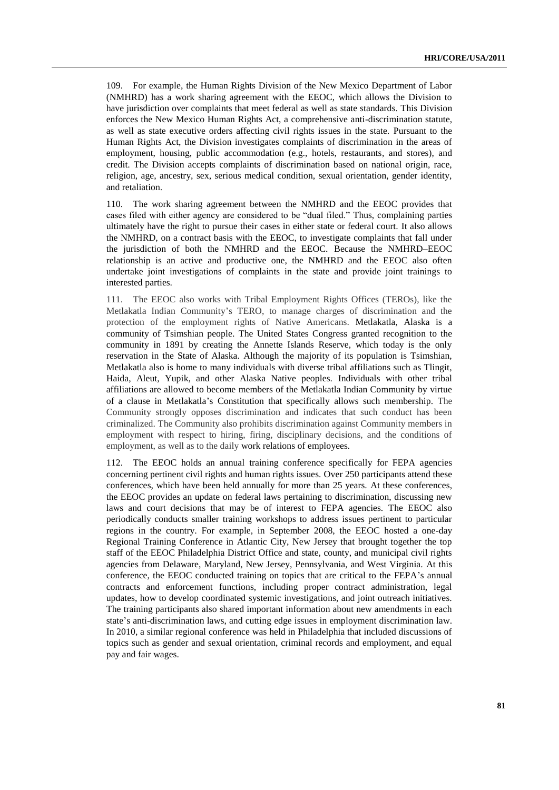109. For example, the Human Rights Division of the New Mexico Department of Labor (NMHRD) has a work sharing agreement with the EEOC, which allows the Division to have jurisdiction over complaints that meet federal as well as state standards. This Division enforces the New Mexico Human Rights Act, a comprehensive anti-discrimination statute, as well as state executive orders affecting civil rights issues in the state. Pursuant to the Human Rights Act, the Division investigates complaints of discrimination in the areas of employment, housing, public accommodation (e.g., hotels, restaurants, and stores), and credit. The Division accepts complaints of discrimination based on national origin, race, religion, age, ancestry, sex, serious medical condition, sexual orientation, gender identity, and retaliation.

110. The work sharing agreement between the NMHRD and the EEOC provides that cases filed with either agency are considered to be "dual filed." Thus, complaining parties ultimately have the right to pursue their cases in either state or federal court. It also allows the NMHRD, on a contract basis with the EEOC, to investigate complaints that fall under the jurisdiction of both the NMHRD and the EEOC. Because the NMHRD–EEOC relationship is an active and productive one, the NMHRD and the EEOC also often undertake joint investigations of complaints in the state and provide joint trainings to interested parties.

111. The EEOC also works with Tribal Employment Rights Offices (TEROs), like the Metlakatla Indian Community's TERO, to manage charges of discrimination and the protection of the employment rights of Native Americans. Metlakatla, Alaska is a community of Tsimshian people. The United States Congress granted recognition to the community in 1891 by creating the Annette Islands Reserve, which today is the only reservation in the State of Alaska. Although the majority of its population is Tsimshian, Metlakatla also is home to many individuals with diverse tribal affiliations such as Tlingit, Haida, Aleut, Yupik, and other Alaska Native peoples. Individuals with other tribal affiliations are allowed to become members of the Metlakatla Indian Community by virtue of a clause in Metlakatla's Constitution that specifically allows such membership. The Community strongly opposes discrimination and indicates that such conduct has been criminalized. The Community also prohibits discrimination against Community members in employment with respect to hiring, firing, disciplinary decisions, and the conditions of employment, as well as to the daily work relations of employees.

112. The EEOC holds an annual training conference specifically for FEPA agencies concerning pertinent civil rights and human rights issues. Over 250 participants attend these conferences, which have been held annually for more than 25 years. At these conferences, the EEOC provides an update on federal laws pertaining to discrimination, discussing new laws and court decisions that may be of interest to FEPA agencies. The EEOC also periodically conducts smaller training workshops to address issues pertinent to particular regions in the country. For example, in September 2008, the EEOC hosted a one-day Regional Training Conference in Atlantic City, New Jersey that brought together the top staff of the EEOC Philadelphia District Office and state, county, and municipal civil rights agencies from Delaware, Maryland, New Jersey, Pennsylvania, and West Virginia. At this conference, the EEOC conducted training on topics that are critical to the FEPA's annual contracts and enforcement functions, including proper contract administration, legal updates, how to develop coordinated systemic investigations, and joint outreach initiatives. The training participants also shared important information about new amendments in each state's anti-discrimination laws, and cutting edge issues in employment discrimination law. In 2010, a similar regional conference was held in Philadelphia that included discussions of topics such as gender and sexual orientation, criminal records and employment, and equal pay and fair wages.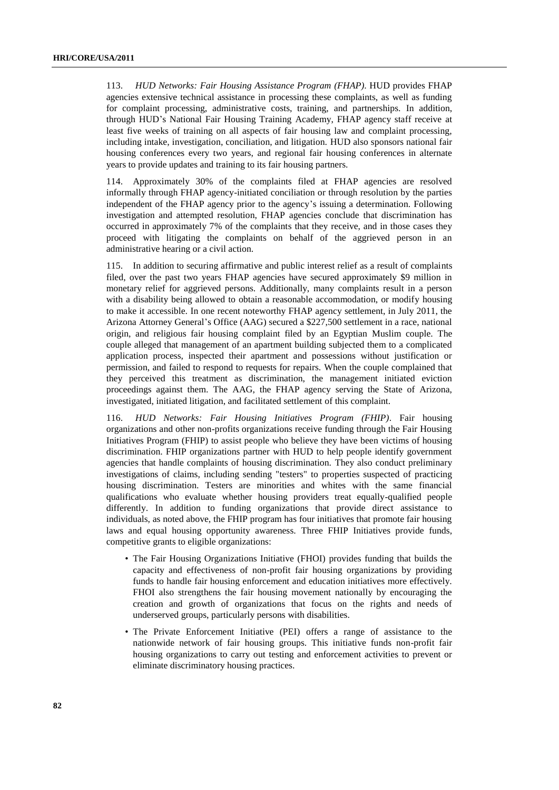113. *HUD Networks: Fair Housing Assistance Program (FHAP)*. HUD provides FHAP agencies extensive technical assistance in processing these complaints, as well as funding for complaint processing, administrative costs, training, and partnerships. In addition, through HUD's National Fair Housing Training Academy, FHAP agency staff receive at least five weeks of training on all aspects of fair housing law and complaint processing, including intake, investigation, conciliation, and litigation. HUD also sponsors national fair housing conferences every two years, and regional fair housing conferences in alternate years to provide updates and training to its fair housing partners.

114. Approximately 30% of the complaints filed at FHAP agencies are resolved informally through FHAP agency-initiated conciliation or through resolution by the parties independent of the FHAP agency prior to the agency's issuing a determination. Following investigation and attempted resolution, FHAP agencies conclude that discrimination has occurred in approximately 7% of the complaints that they receive, and in those cases they proceed with litigating the complaints on behalf of the aggrieved person in an administrative hearing or a civil action.

115. In addition to securing affirmative and public interest relief as a result of complaints filed, over the past two years FHAP agencies have secured approximately \$9 million in monetary relief for aggrieved persons. Additionally, many complaints result in a person with a disability being allowed to obtain a reasonable accommodation, or modify housing to make it accessible. In one recent noteworthy FHAP agency settlement, in July 2011, the Arizona Attorney General's Office (AAG) secured a \$227,500 settlement in a race, national origin, and religious fair housing complaint filed by an Egyptian Muslim couple. The couple alleged that management of an apartment building subjected them to a complicated application process, inspected their apartment and possessions without justification or permission, and failed to respond to requests for repairs. When the couple complained that they perceived this treatment as discrimination, the management initiated eviction proceedings against them. The AAG, the FHAP agency serving the State of Arizona, investigated, initiated litigation, and facilitated settlement of this complaint.

116. *HUD Networks: Fair Housing Initiatives Program (FHIP)*. Fair housing organizations and other non-profits organizations receive funding through the Fair Housing Initiatives Program (FHIP) to assist people who believe they have been victims of housing discrimination. FHIP organizations partner with HUD to help people identify government agencies that handle complaints of housing discrimination. They also conduct preliminary investigations of claims, including sending "testers" to properties suspected of practicing housing discrimination. Testers are minorities and whites with the same financial qualifications who evaluate whether housing providers treat equally-qualified people differently. In addition to funding organizations that provide direct assistance to individuals, as noted above, the FHIP program has four initiatives that promote fair housing laws and equal housing opportunity awareness. Three FHIP Initiatives provide funds, competitive grants to eligible organizations:

- The Fair Housing Organizations Initiative (FHOI) provides funding that builds the capacity and effectiveness of non-profit fair housing organizations by providing funds to handle fair housing enforcement and education initiatives more effectively. FHOI also strengthens the fair housing movement nationally by encouraging the creation and growth of organizations that focus on the rights and needs of underserved groups, particularly persons with disabilities.
- The Private Enforcement Initiative (PEI) offers a range of assistance to the nationwide network of fair housing groups. This initiative funds non-profit fair housing organizations to carry out testing and enforcement activities to prevent or eliminate discriminatory housing practices.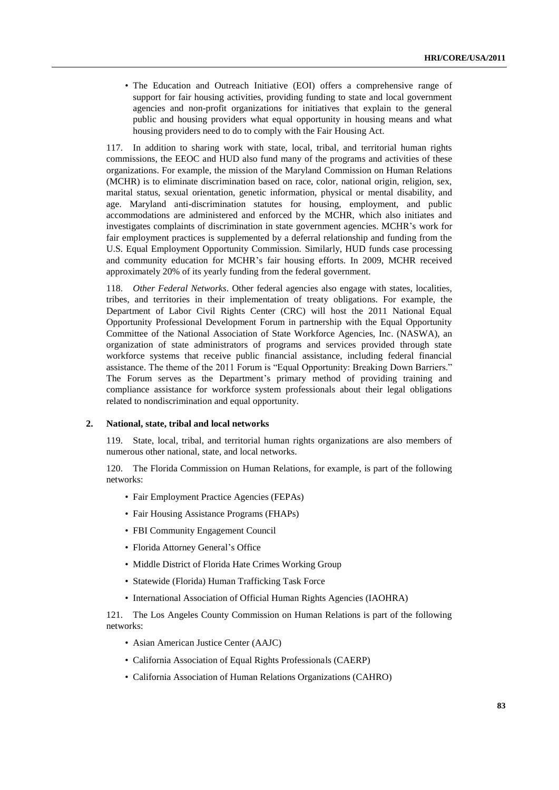• The Education and Outreach Initiative (EOI) offers a comprehensive range of support for fair housing activities, providing funding to state and local government agencies and non-profit organizations for initiatives that explain to the general public and housing providers what equal opportunity in housing means and what housing providers need to do to comply with the Fair Housing Act.

117. In addition to sharing work with state, local, tribal, and territorial human rights commissions, the EEOC and HUD also fund many of the programs and activities of these organizations. For example, the mission of the Maryland Commission on Human Relations (MCHR) is to eliminate discrimination based on race, color, national origin, religion, sex, marital status, sexual orientation, genetic information, physical or mental disability, and age. Maryland anti-discrimination statutes for housing, employment, and public accommodations are administered and enforced by the MCHR, which also initiates and investigates complaints of discrimination in state government agencies. MCHR's work for fair employment practices is supplemented by a deferral relationship and funding from the U.S. Equal Employment Opportunity Commission. Similarly, HUD funds case processing and community education for MCHR's fair housing efforts. In 2009, MCHR received approximately 20% of its yearly funding from the federal government.

118. *Other Federal Networks*. Other federal agencies also engage with states, localities, tribes, and territories in their implementation of treaty obligations. For example, the Department of Labor Civil Rights Center (CRC) will host the 2011 National Equal Opportunity Professional Development Forum in partnership with the Equal Opportunity Committee of the National Association of State Workforce Agencies, Inc. (NASWA), an organization of state administrators of programs and services provided through state workforce systems that receive public financial assistance, including federal financial assistance. The theme of the 2011 Forum is "Equal Opportunity: Breaking Down Barriers." The Forum serves as the Department's primary method of providing training and compliance assistance for workforce system professionals about their legal obligations related to nondiscrimination and equal opportunity.

#### **2. National, state, tribal and local networks**

119. State, local, tribal, and territorial human rights organizations are also members of numerous other national, state, and local networks.

120. The Florida Commission on Human Relations, for example, is part of the following networks:

- Fair Employment Practice Agencies (FEPAs)
- Fair Housing Assistance Programs (FHAPs)
- FBI Community Engagement Council
- Florida Attorney General's Office
- Middle District of Florida Hate Crimes Working Group
- Statewide (Florida) Human Trafficking Task Force
- International Association of Official Human Rights Agencies (IAOHRA)

121. The Los Angeles County Commission on Human Relations is part of the following networks:

- Asian American Justice Center (AAJC)
- California Association of Equal Rights Professionals (CAERP)
- California Association of Human Relations Organizations (CAHRO)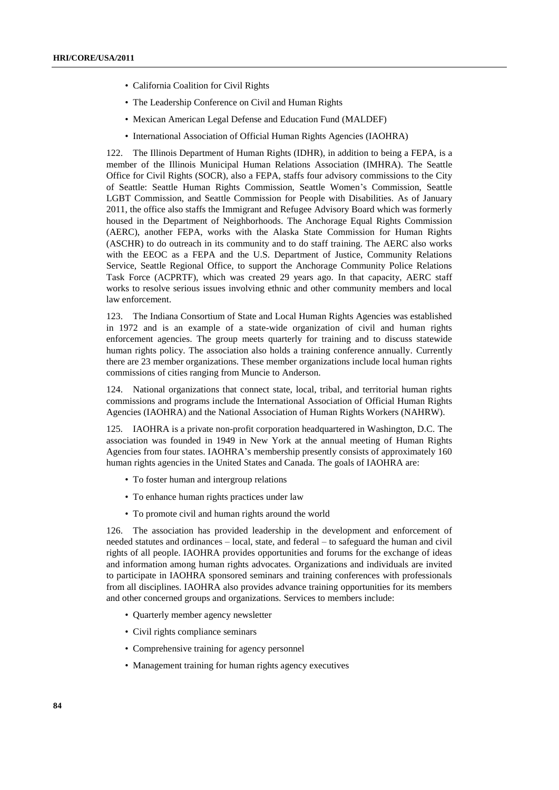- California Coalition for Civil Rights
- The Leadership Conference on Civil and Human Rights
- Mexican American Legal Defense and Education Fund (MALDEF)
- International Association of Official Human Rights Agencies (IAOHRA)

122. The Illinois Department of Human Rights (IDHR), in addition to being a FEPA, is a member of the Illinois Municipal Human Relations Association (IMHRA). The Seattle Office for Civil Rights (SOCR), also a FEPA, staffs four advisory commissions to the City of Seattle: Seattle Human Rights Commission, Seattle Women's Commission, Seattle LGBT Commission, and Seattle Commission for People with Disabilities. As of January 2011, the office also staffs the Immigrant and Refugee Advisory Board which was formerly housed in the Department of Neighborhoods. The Anchorage Equal Rights Commission (AERC), another FEPA, works with the Alaska State Commission for Human Rights (ASCHR) to do outreach in its community and to do staff training. The AERC also works with the EEOC as a FEPA and the U.S. Department of Justice, Community Relations Service, Seattle Regional Office, to support the Anchorage Community Police Relations Task Force (ACPRTF), which was created 29 years ago. In that capacity, AERC staff works to resolve serious issues involving ethnic and other community members and local law enforcement.

123. The Indiana Consortium of State and Local Human Rights Agencies was established in 1972 and is an example of a state-wide organization of civil and human rights enforcement agencies. The group meets quarterly for training and to discuss statewide human rights policy. The association also holds a training conference annually. Currently there are 23 member organizations. These member organizations include local human rights commissions of cities ranging from Muncie to Anderson.

124. National organizations that connect state, local, tribal, and territorial human rights commissions and programs include the International Association of Official Human Rights Agencies (IAOHRA) and the National Association of Human Rights Workers (NAHRW).

125. IAOHRA is a private non-profit corporation headquartered in Washington, D.C. The association was founded in 1949 in New York at the annual meeting of Human Rights Agencies from four states. IAOHRA's membership presently consists of approximately 160 human rights agencies in the United States and Canada. The goals of IAOHRA are:

- To foster human and intergroup relations
- To enhance human rights practices under law
- To promote civil and human rights around the world

126. The association has provided leadership in the development and enforcement of needed statutes and ordinances – local, state, and federal – to safeguard the human and civil rights of all people. IAOHRA provides opportunities and forums for the exchange of ideas and information among human rights advocates. Organizations and individuals are invited to participate in IAOHRA sponsored seminars and training conferences with professionals from all disciplines. IAOHRA also provides advance training opportunities for its members and other concerned groups and organizations. Services to members include:

- Quarterly member agency newsletter
- Civil rights compliance seminars
- Comprehensive training for agency personnel
- Management training for human rights agency executives